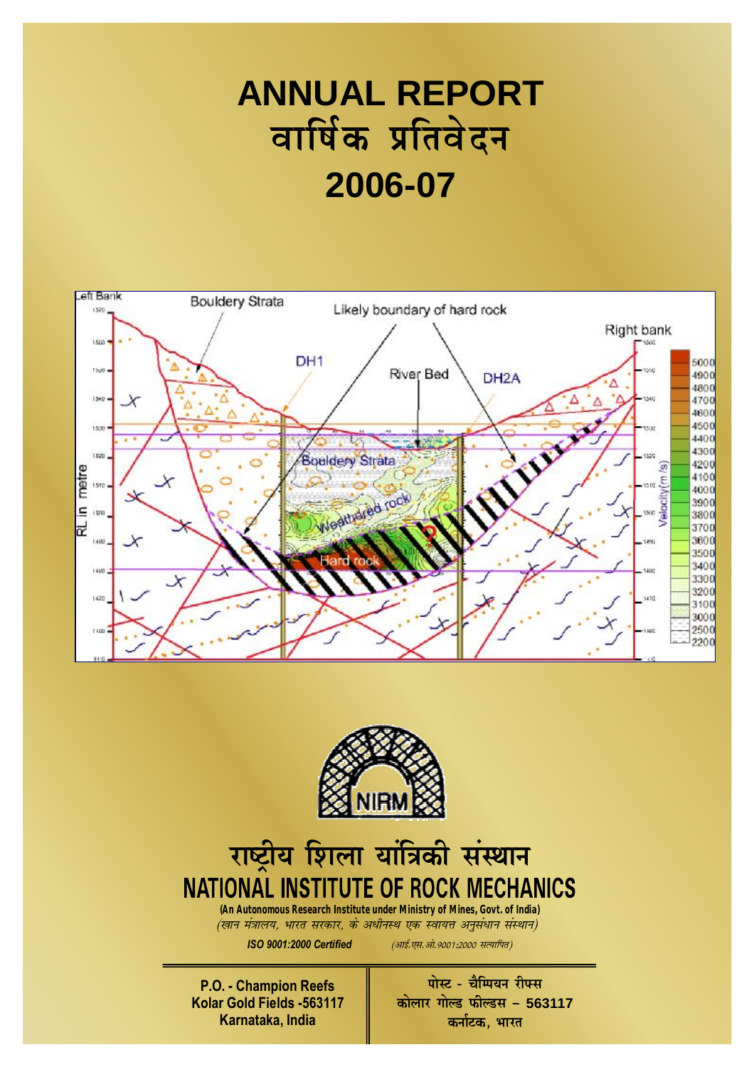## **ANNUAL REPORT**  वार्षिक प्रतिवेदन **2006-07**





# राष्ट्रीय शिला यांत्रिकी संस्थान

*(An Autonomous Research Institute under Ministry of Mines, Govt. of India) ¼Âku ea=ky;] Òkjr ljdkj] ds vÌhuLÉ ,d Lok;Ùk vuqlaÌku laLÉku½*

*ISO 9001:2000 Certified <sup>(आई. एस. औ. 9001:2000 सत्यापित)*</sup>

**P.O. - Champion Reefs Kolar Gold Fields -563117 Karnataka, India** 

 $\overline{u}$  **in**  $\overline{u}$   $\overline{u}$   $\overline{v}$   $\overline{v}$   $\overline{v}$   $\overline{v}$   $\overline{v}$   $\overline{v}$   $\overline{v}$   $\overline{v}$   $\overline{v}$   $\overline{v}$   $\overline{v}$   $\overline{v}$   $\overline{v}$   $\overline{v}$   $\overline{v}$   $\overline{v}$   $\overline{v}$   $\overline{v}$   $\overline{v}$   $\overline{v}$   $\overline{v}$   $\overline{a}$  **a**  $\overline{b}$  **a**  $\overline{b}$  *n*  $\overline{c}$  **w**  $\overline{b}$  *n*  $\overline{c}$  *n*  $\overline{c}$  *n*  $\overline{c}$  *n*  $\overline{c}$  *n*  $\overline{c}$  *n*  $\overline{c}$  *n*  $\overline{c}$  *n*  $\overline{c}$  *n*  $\overline{c}$  *n*  $\overline{c}$  *n*  $\$ **कर्नाटक, भारत**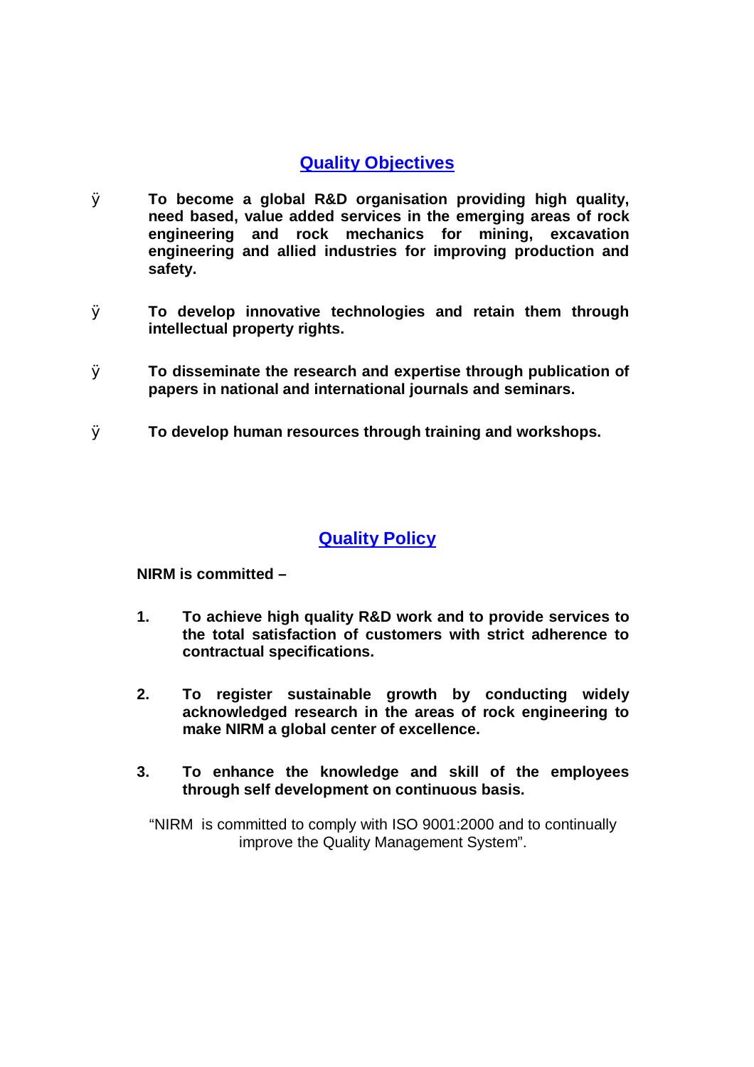## **Quality Objectives**

- Ø **To become a global R&D organisation providing high quality, need based, value added services in the emerging areas of rock engineering and rock mechanics for mining, excavation engineering and allied industries for improving production and safety.**
- Ø **To develop innovative technologies and retain them through intellectual property rights.**
- Ø **To disseminate the research and expertise through publication of papers in national and international journals and seminars.**
- Ø **To develop human resources through training and workshops.**

### **Quality Policy**

**NIRM is committed –** 

- **1. To achieve high quality R&D work and to provide services to the total satisfaction of customers with strict adherence to contractual specifications.**
- **2. To register sustainable growth by conducting widely acknowledged research in the areas of rock engineering to make NIRM a global center of excellence.**
- **3. To enhance the knowledge and skill of the employees through self development on continuous basis.**

"NIRM is committed to comply with ISO 9001:2000 and to continually improve the Quality Management System".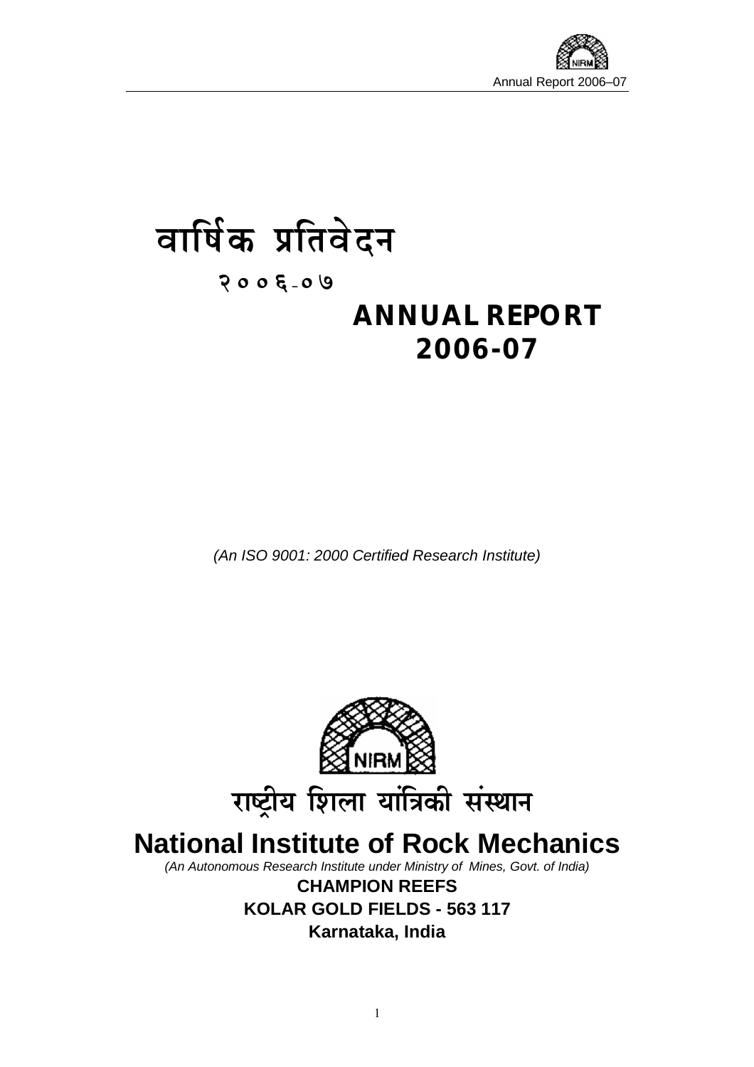

## वार्षिक प्रतिवेदन **s**

**2006µ07** 

## **ANNUAL REPORT 2006-07**

*(An ISO 9001: 2000 Certified Research Institute)* 



**CHAMPION REEFS KOLAR GOLD FIELDS - 563 117 Karnataka, India**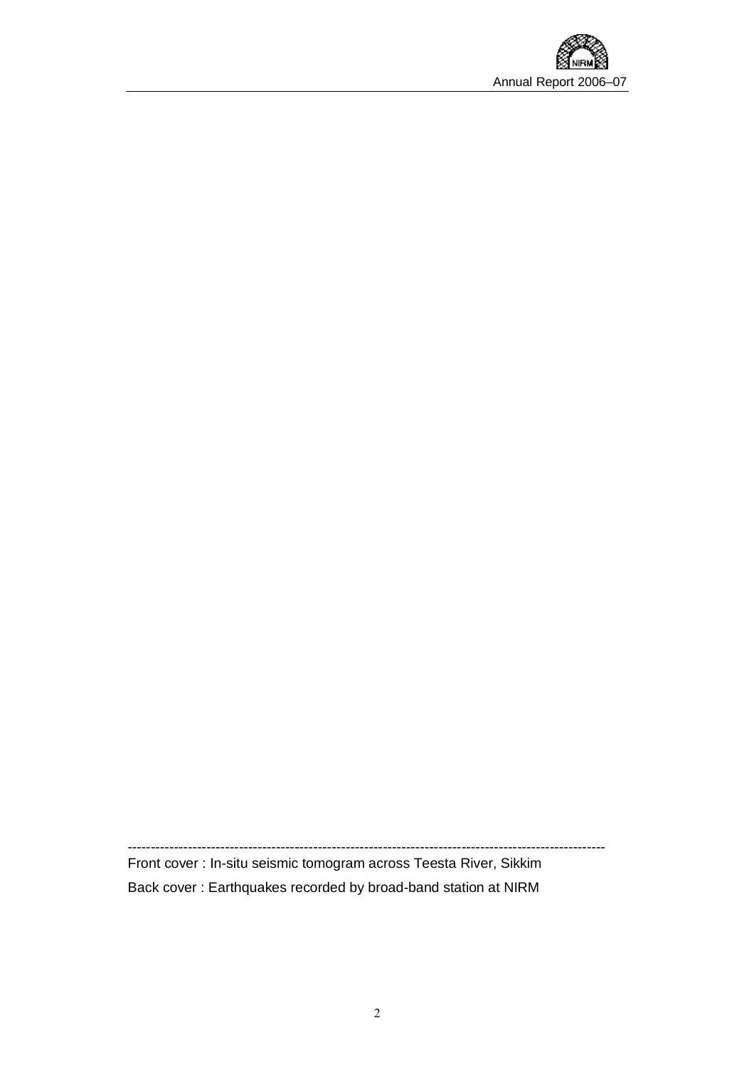

------------------------------------------------------------------------------------------------------- Front cover : In-situ seismic tomogram across Teesta River, Sikkim Back cover : Earthquakes recorded by broad-band station at NIRM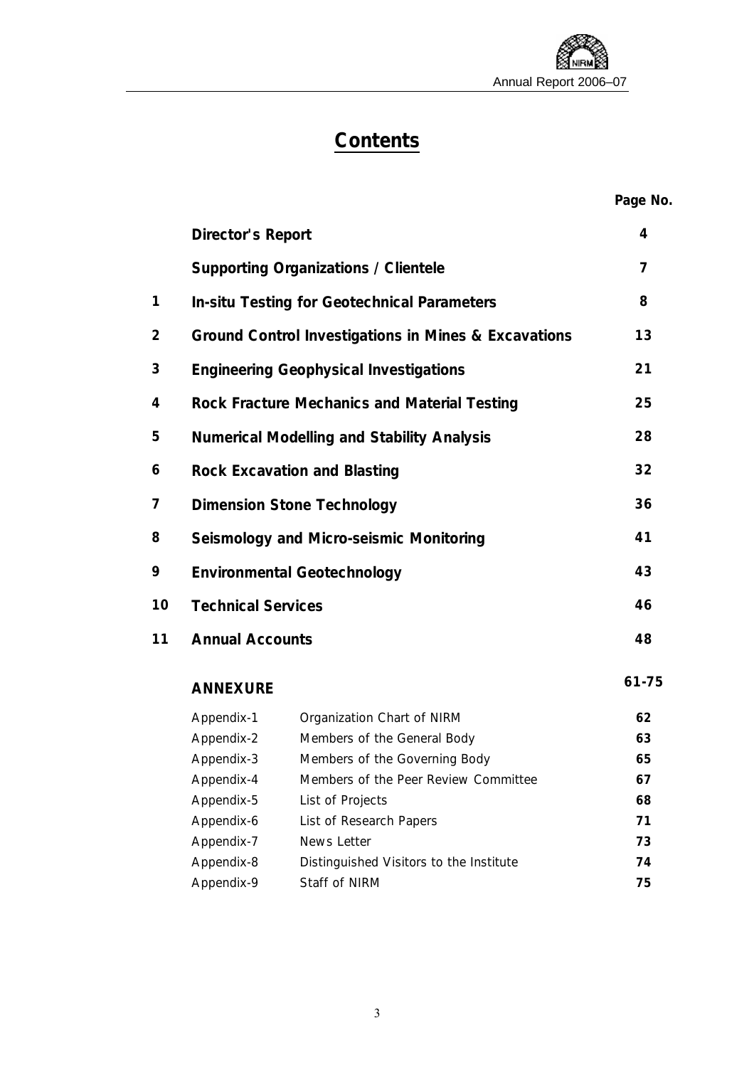## **Contents**

#### **Page No.**

|    | <b>Director's Report</b>                              |                                                      | 4              |  |  |  |
|----|-------------------------------------------------------|------------------------------------------------------|----------------|--|--|--|
|    |                                                       | <b>Supporting Organizations / Clientele</b>          | $\overline{7}$ |  |  |  |
| 1  |                                                       | <b>In-situ Testing for Geotechnical Parameters</b>   |                |  |  |  |
| 2  |                                                       | Ground Control Investigations in Mines & Excavations |                |  |  |  |
| 3  | <b>Engineering Geophysical Investigations</b>         |                                                      |                |  |  |  |
| 4  | Rock Fracture Mechanics and Material Testing          |                                                      |                |  |  |  |
| 5  | <b>Numerical Modelling and Stability Analysis</b>     |                                                      |                |  |  |  |
| 6  | <b>Rock Excavation and Blasting</b>                   |                                                      |                |  |  |  |
| 7  | <b>Dimension Stone Technology</b>                     |                                                      |                |  |  |  |
| 8  | Seismology and Micro-seismic Monitoring               |                                                      |                |  |  |  |
| 9  | <b>Environmental Geotechnology</b>                    |                                                      |                |  |  |  |
| 10 | <b>Technical Services</b>                             |                                                      |                |  |  |  |
| 11 | <b>Annual Accounts</b>                                |                                                      |                |  |  |  |
|    | <b>ANNEXURE</b>                                       |                                                      | 61-75          |  |  |  |
|    | Appendix-1                                            | Organization Chart of NIRM                           | 62             |  |  |  |
|    | Appendix-2                                            | Members of the General Body                          | 63             |  |  |  |
|    | Appendix-3                                            | Members of the Governing Body                        | 65             |  |  |  |
|    | Appendix-4                                            | Members of the Peer Review Committee                 | 67             |  |  |  |
|    | Appendix-5                                            | List of Projects                                     | 68             |  |  |  |
|    | Appendix-6                                            | List of Research Papers                              | 71             |  |  |  |
|    | Appendix-7                                            | News Letter                                          |                |  |  |  |
|    | Appendix-8<br>Distinguished Visitors to the Institute |                                                      | 74             |  |  |  |
|    | Appendix-9                                            | <b>Staff of NIRM</b>                                 | 75             |  |  |  |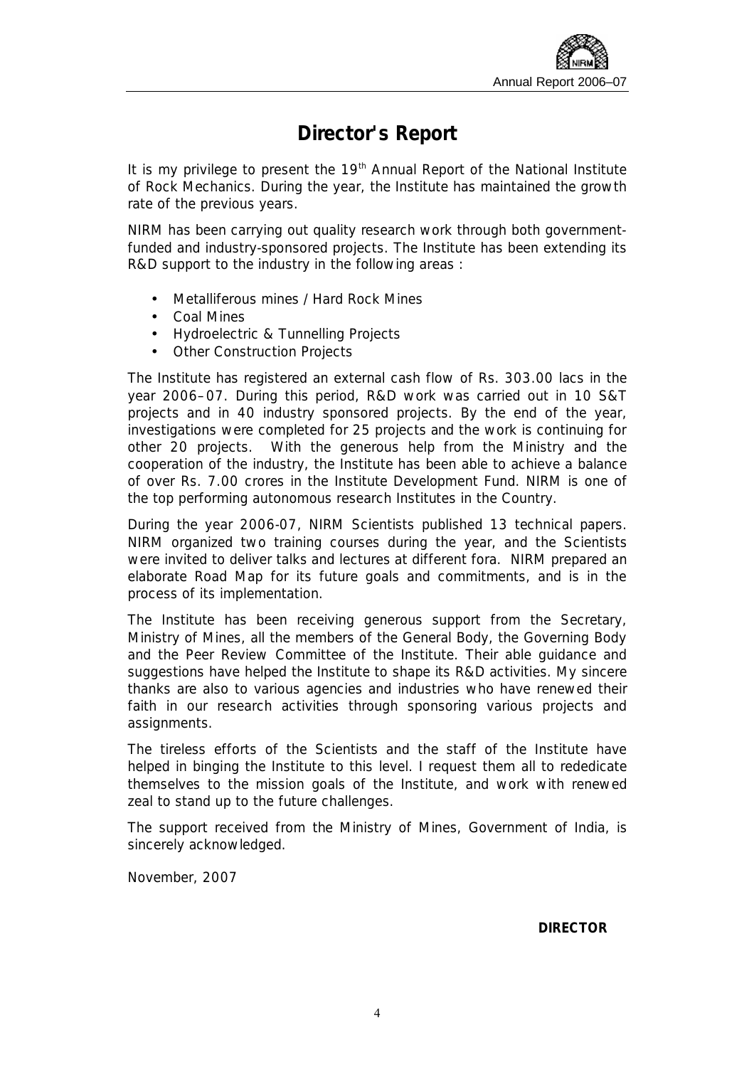## **Director's Report**

It is my privilege to present the 19<sup>th</sup> Annual Report of the National Institute of Rock Mechanics. During the year, the Institute has maintained the growth rate of the previous years.

NIRM has been carrying out quality research work through both governmentfunded and industry-sponsored projects. The Institute has been extending its R&D support to the industry in the following areas :

- Metalliferous mines / Hard Rock Mines
- Coal Mines
- Hydroelectric & Tunnelling Projects
- Other Construction Projects

The Institute has registered an external cash flow of Rs. 303.00 lacs in the year 2006–07. During this period, R&D work was carried out in 10 S&T projects and in 40 industry sponsored projects. By the end of the year, investigations were completed for 25 projects and the work is continuing for other 20 projects. With the generous help from the Ministry and the cooperation of the industry, the Institute has been able to achieve a balance of over Rs. 7.00 crores in the Institute Development Fund. NIRM is one of the top performing autonomous research Institutes in the Country.

During the year 2006-07, NIRM Scientists published 13 technical papers. NIRM organized two training courses during the year, and the Scientists were invited to deliver talks and lectures at different fora. NIRM prepared an elaborate Road Map for its future goals and commitments, and is in the process of its implementation.

The Institute has been receiving generous support from the Secretary, Ministry of Mines, all the members of the General Body, the Governing Body and the Peer Review Committee of the Institute. Their able guidance and suggestions have helped the Institute to shape its R&D activities. My sincere thanks are also to various agencies and industries who have renewed their faith in our research activities through sponsoring various projects and assignments.

The tireless efforts of the Scientists and the staff of the Institute have helped in binging the Institute to this level. I request them all to rededicate themselves to the mission goals of the Institute, and work with renewed zeal to stand up to the future challenges.

The support received from the Ministry of Mines, Government of India, is sincerely acknowledged.

November, 2007

**DIRECTOR**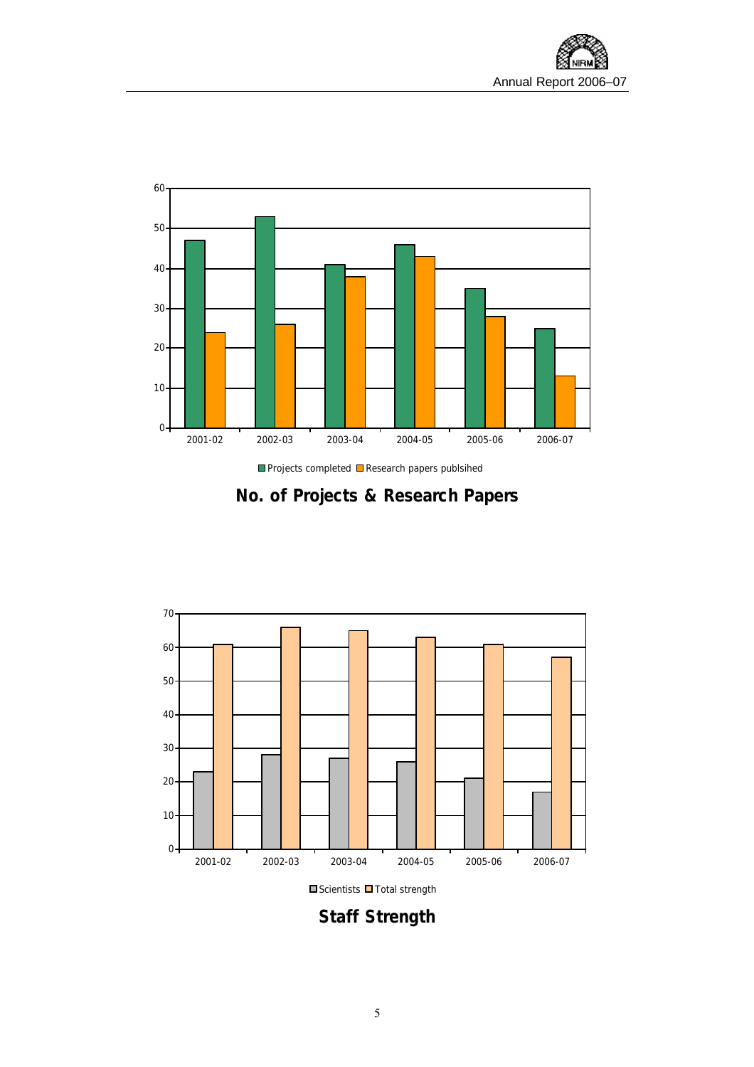



## **No. of Projects & Research Papers**



 $\square$  Scientists  $\square$  Total strength

**Staff Strength**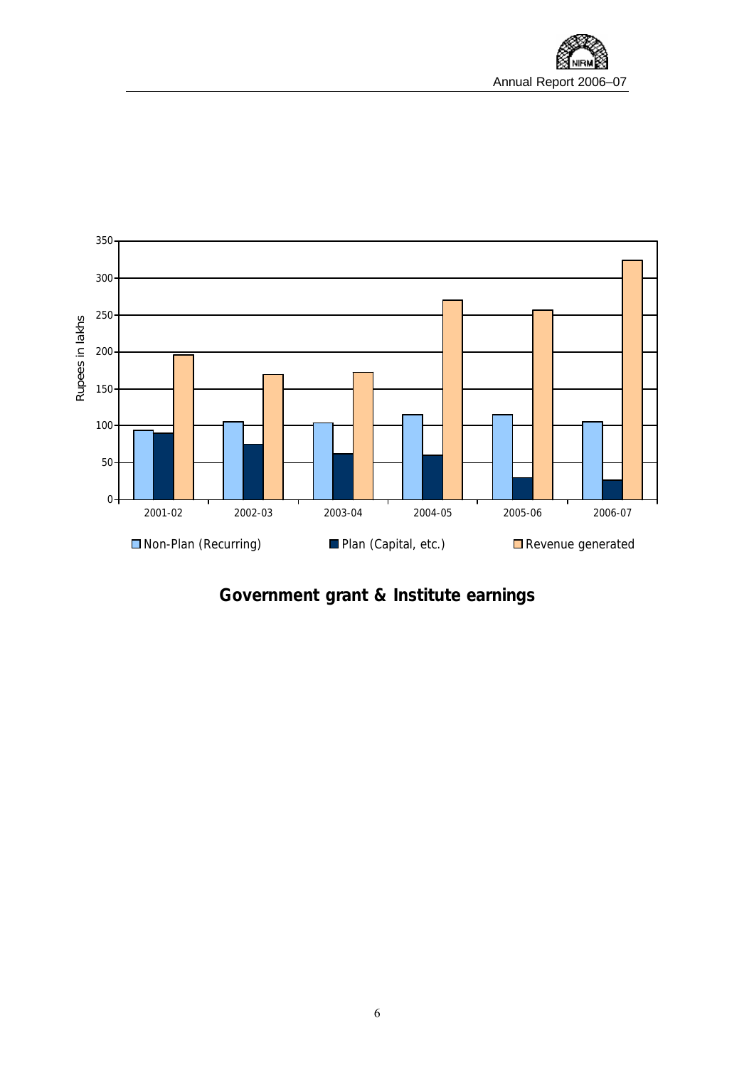

**Government grant & Institute earnings**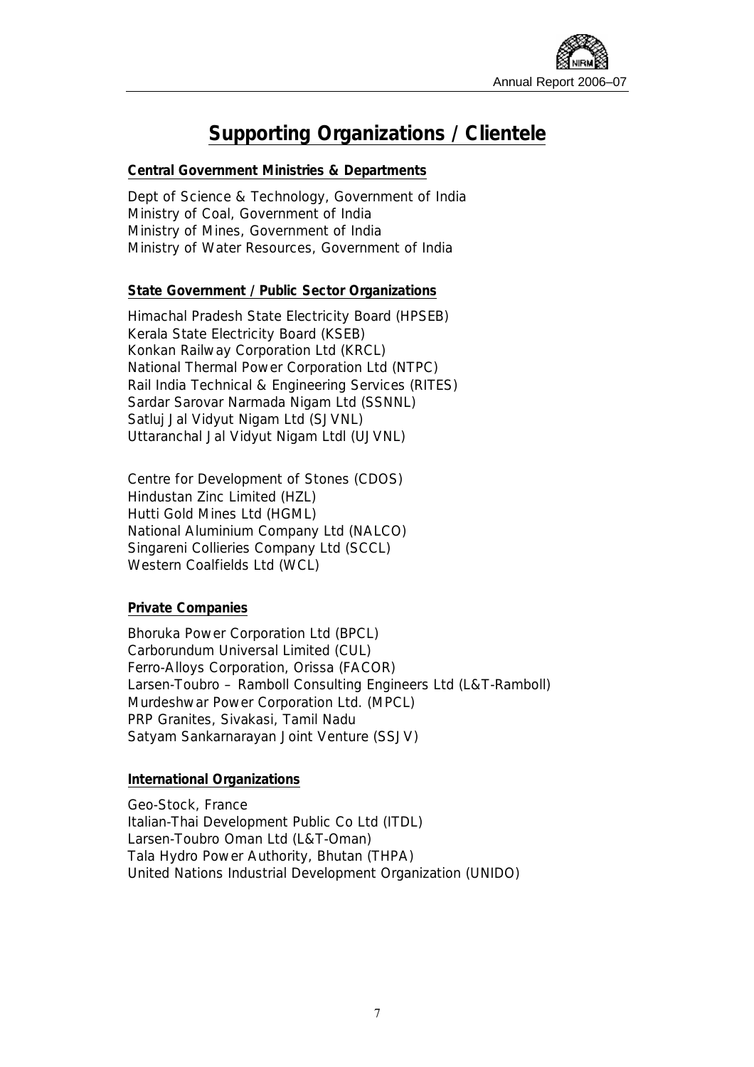

## **Supporting Organizations / Clientele**

#### **Central Government Ministries & Departments**

Dept of Science & Technology, Government of India Ministry of Coal, Government of India Ministry of Mines, Government of India Ministry of Water Resources, Government of India

#### **State Government / Public Sector Organizations**

Himachal Pradesh State Electricity Board (HPSEB) Kerala State Electricity Board (KSEB) Konkan Railway Corporation Ltd (KRCL) National Thermal Power Corporation Ltd (NTPC) Rail India Technical & Engineering Services (RITES) Sardar Sarovar Narmada Nigam Ltd (SSNNL) Satluj Jal Vidyut Nigam Ltd (SJVNL) Uttaranchal Jal Vidyut Nigam Ltdl (UJVNL)

Centre for Development of Stones (CDOS) Hindustan Zinc Limited (HZL) Hutti Gold Mines Ltd (HGML) National Aluminium Company Ltd (NALCO) Singareni Collieries Company Ltd (SCCL) Western Coalfields Ltd (WCL)

#### **Private Companies**

Bhoruka Power Corporation Ltd (BPCL) Carborundum Universal Limited (CUL) Ferro-Alloys Corporation, Orissa (FACOR) Larsen-Toubro – Ramboll Consulting Engineers Ltd (L&T-Ramboll) Murdeshwar Power Corporation Ltd. (MPCL) PRP Granites, Sivakasi, Tamil Nadu Satyam Sankarnarayan Joint Venture (SSJV)

#### **International Organizations**

Geo-Stock, France Italian-Thai Development Public Co Ltd (ITDL) Larsen-Toubro Oman Ltd (L&T-Oman) Tala Hydro Power Authority, Bhutan (THPA) United Nations Industrial Development Organization (UNIDO)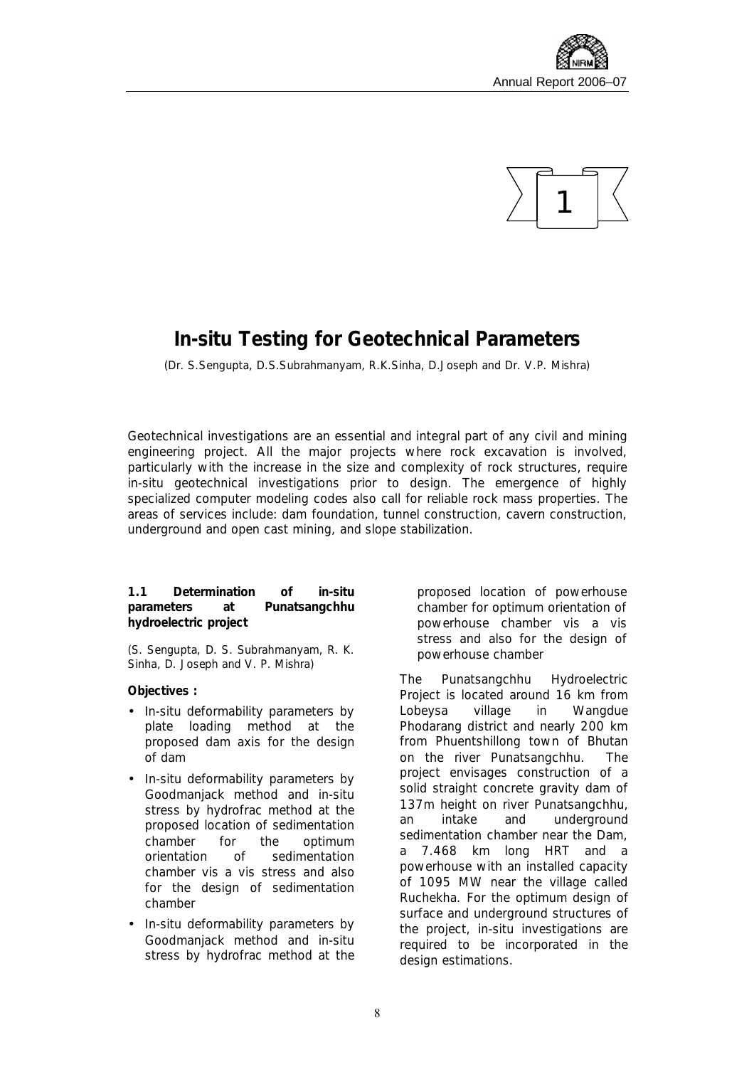



## **In-situ Testing for Geotechnical Parameters**

*(Dr. S.Sengupta, D.S.Subrahmanyam, R.K.Sinha, D.Joseph and Dr. V.P. Mishra)* 

Geotechnical investigations are an essential and integral part of any civil and mining engineering project. All the major projects where rock excavation is involved, particularly with the increase in the size and complexity of rock structures, require in-situ geotechnical investigations prior to design. The emergence of highly specialized computer modeling codes also call for reliable rock mass properties. The areas of services include: dam foundation, tunnel construction, cavern construction, underground and open cast mining, and slope stabilization.

**1.1 Determination of in-situ parameters at Punatsangchhu hydroelectric project** 

*(S. Sengupta, D. S. Subrahmanyam, R. K. Sinha, D. Joseph and V. P. Mishra)*

**Objectives :** 

- In-situ deformability parameters by plate loading method at the proposed dam axis for the design of dam
- In-situ deformability parameters by Goodmanjack method and in-situ stress by hydrofrac method at the proposed location of sedimentation chamber for the optimum orientation of sedimentation chamber vis a vis stress and also for the design of sedimentation chamber
- In-situ deformability parameters by Goodmanjack method and in-situ stress by hydrofrac method at the

proposed location of powerhouse chamber for optimum orientation of powerhouse chamber vis a vis stress and also for the design of powerhouse chamber

The Punatsangchhu Hydroelectric Project is located around 16 km from Lobeysa village in Wangdue Phodarang district and nearly 200 km from Phuentshillong town of Bhutan on the river Punatsangchhu. The project envisages construction of a solid straight concrete gravity dam of 137m height on river Punatsangchhu, an intake and underground sedimentation chamber near the Dam, a 7.468 km long HRT and a powerhouse with an installed capacity of 1095 MW near the village called Ruchekha. For the optimum design of surface and underground structures of the project, in-situ investigations are required to be incorporated in the design estimations.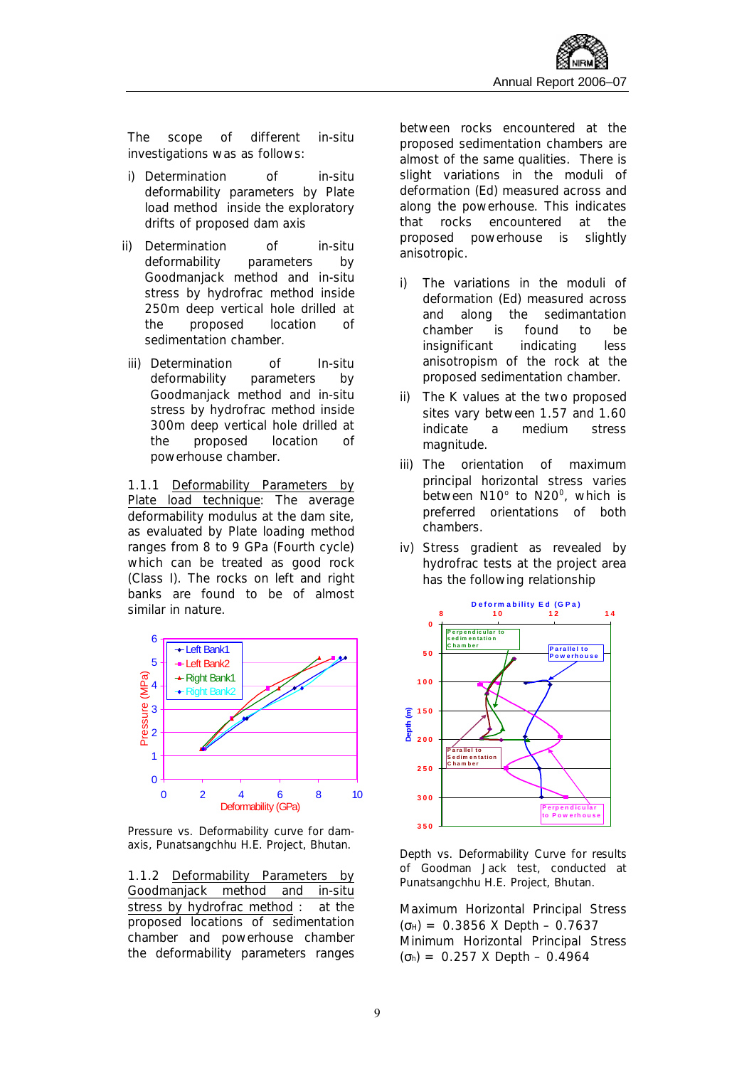The scope of different in-situ investigations was as follows:

- i) Determination of in-situ deformability parameters by Plate load method inside the exploratory drifts of proposed dam axis
- ii) Determination of in-situ deformability parameters by Goodmanjack method and in-situ stress by hydrofrac method inside 250m deep vertical hole drilled at the proposed location of sedimentation chamber.
- iii) Determination of In-situ deformability parameters by Goodmanjack method and in-situ stress by hydrofrac method inside 300m deep vertical hole drilled at the proposed location of powerhouse chamber.

1.1.1 Deformability Parameters by Plate load technique: The average deformability modulus at the dam site, as evaluated by Plate loading method ranges from 8 to 9 GPa (Fourth cycle) which can be treated as good rock (Class I). The rocks on left and right banks are found to be of almost similar in nature.



*Pressure vs. Deformability curve for damaxis, Punatsangchhu H.E. Project, Bhutan.* 

1.1.2 Deformability Parameters by Goodmanjack method and in-situ stress by hydrofrac method : at the proposed locations of sedimentation chamber and powerhouse chamber the deformability parameters ranges between rocks encountered at the proposed sedimentation chambers are almost of the same qualities. There is slight variations in the moduli of deformation (Ed) measured across and along the powerhouse. This indicates that rocks encountered at the proposed powerhouse is slightly anisotropic.

- i) The variations in the moduli of deformation (Ed) measured across and along the sedimantation chamber is found to be insignificant indicating less anisotropism of the rock at the proposed sedimentation chamber.
- ii) The K values at the two proposed sites vary between 1.57 and 1.60 indicate a medium stress magnitude.
- iii) The orientation of maximum principal horizontal stress varies between N10° to N20°, which is preferred orientations of both chambers.
- iv) Stress gradient as revealed by hydrofrac tests at the project area has the following relationship



*Depth vs. Deformability Curve for results of Goodman Jack test, conducted at Punatsangchhu H.E. Project, Bhutan.* 

Maximum Horizontal Principal Stress  $(G_{H}) = 0.3856$  X Depth - 0.7637 Minimum Horizontal Principal Stress (σh) = 0.257 X Depth – 0.4964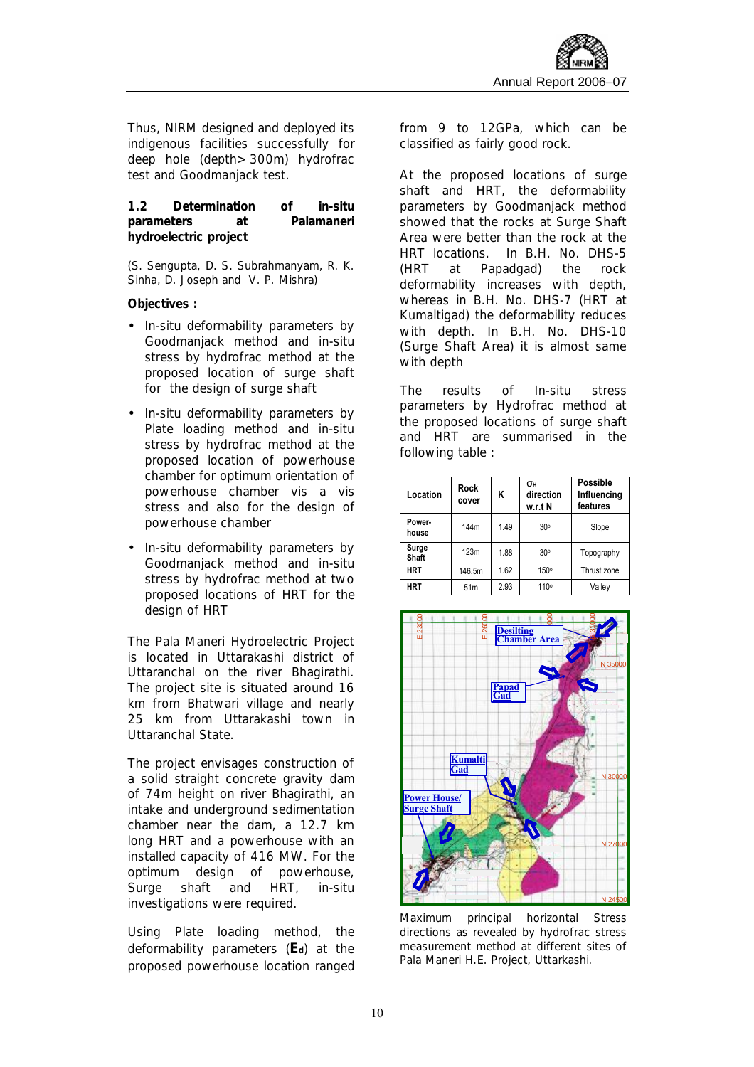Thus, NIRM designed and deployed its indigenous facilities successfully for deep hole (depth>300m) hydrofrac test and Goodmanjack test.

**1.2 Determination of in-situ parameters at Palamaneri hydroelectric project** 

*(S. Sengupta, D. S. Subrahmanyam, R. K. Sinha, D. Joseph and V. P. Mishra)*

**Objectives :** 

- In-situ deformability parameters by Goodmanjack method and in-situ stress by hydrofrac method at the proposed location of surge shaft for the design of surge shaft
- In-situ deformability parameters by Plate loading method and in-situ stress by hydrofrac method at the proposed location of powerhouse chamber for optimum orientation of powerhouse chamber vis a vis stress and also for the design of powerhouse chamber
- In-situ deformability parameters by Goodmanjack method and in-situ stress by hydrofrac method at two proposed locations of HRT for the design of HRT

The Pala Maneri Hydroelectric Project is located in Uttarakashi district of Uttaranchal on the river Bhagirathi. The project site is situated around 16 km from Bhatwari village and nearly 25 km from Uttarakashi town in Uttaranchal State.

The project envisages construction of a solid straight concrete gravity dam of 74m height on river Bhagirathi, an intake and underground sedimentation chamber near the dam, a 12.7 km long HRT and a powerhouse with an installed capacity of 416 MW. For the optimum design of powerhouse, Surge shaft and HRT, in-situ investigations were required.

Using Plate loading method, the deformability parameters (**Ed**) at the proposed powerhouse location ranged from 9 to 12GPa, which can be classified as fairly good rock.

At the proposed locations of surge shaft and HRT, the deformability parameters by Goodmanjack method showed that the rocks at Surge Shaft Area were better than the rock at the HRT locations. In B.H. No. DHS-5 (HRT at Papadgad) the rock deformability increases with depth, whereas in B.H. No. DHS-7 (HRT at Kumaltigad) the deformability reduces with depth. In B.H. No. DHS-10 (Surge Shaft Area) it is almost same with depth

The results of In-situ stress parameters by Hydrofrac method at the proposed locations of surge shaft and HRT are summarised in the following table :

| Location        | Rock<br>cover   | K    | $\mathbf{S}$ H<br>direction<br>w.r.t N | Possible<br>Influencing<br>features |
|-----------------|-----------------|------|----------------------------------------|-------------------------------------|
| Power-<br>house | 144m            | 1.49 | 30 <sup>o</sup>                        | Slope                               |
| Surge<br>Shaft  | 123m            | 1.88 | 30°                                    | Topography                          |
| <b>HRT</b>      | 146.5m          | 1.62 | 150°                                   | Thrust zone                         |
| <b>HRT</b>      | 51 <sub>m</sub> | 2.93 | 110°                                   | Valley                              |



*Maximum principal horizontal Stress directions as revealed by hydrofrac stress measurement method at different sites of Pala Maneri H.E. Project, Uttarkashi.*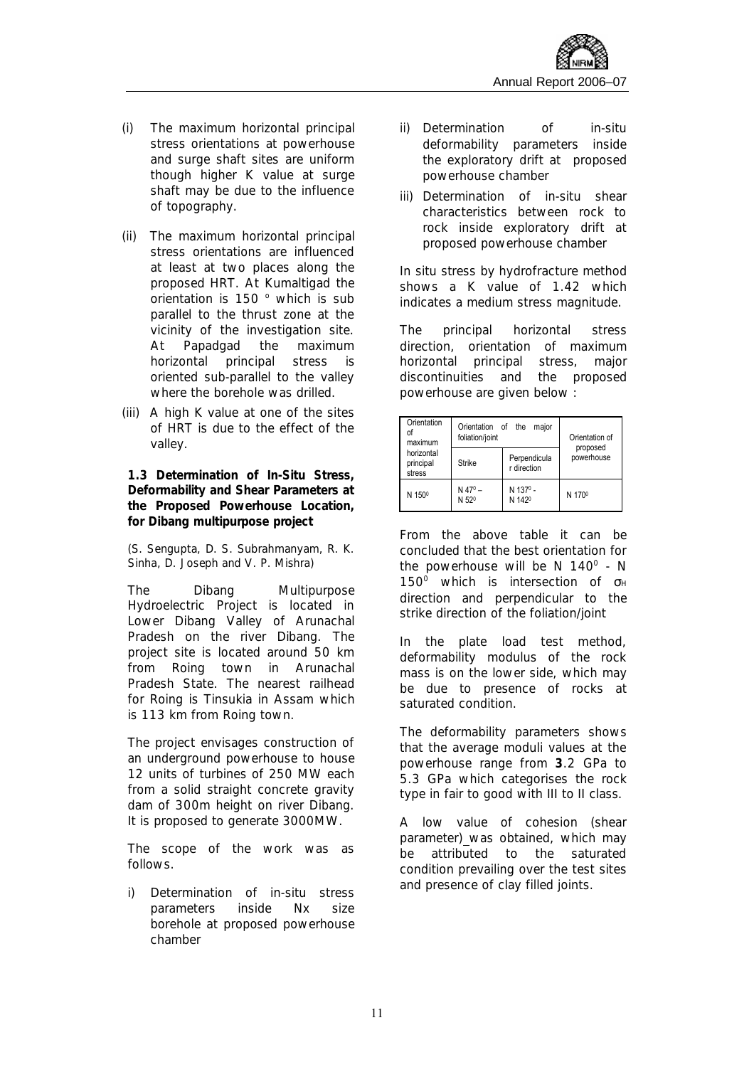- (i) The maximum horizontal principal stress orientations at powerhouse and surge shaft sites are uniform though higher K value at surge shaft may be due to the influence of topography.
- (ii) The maximum horizontal principal stress orientations are influenced at least at two places along the proposed HRT. At Kumaltigad the orientation is 150 ° which is sub parallel to the thrust zone at the vicinity of the investigation site. At Papadgad the maximum horizontal principal stress is oriented sub-parallel to the valley where the borehole was drilled.
- (iii) A high K value at one of the sites of HRT is due to the effect of the valley.

**1.3 Determination of In-Situ Stress, Deformability and Shear Parameters at the Proposed Powerhouse Location, for Dibang multipurpose project** 

*(S. Sengupta, D. S. Subrahmanyam, R. K. Sinha, D. Joseph and V. P. Mishra)*

The Dibang Multipurpose Hydroelectric Project is located in Lower Dibang Valley of Arunachal Pradesh on the river Dibang. The project site is located around 50 km from Roing town in Arunachal Pradesh State. The nearest railhead for Roing is Tinsukia in Assam which is 113 km from Roing town.

The project envisages construction of an underground powerhouse to house 12 units of turbines of 250 MW each from a solid straight concrete gravity dam of 300m height on river Dibang. It is proposed to generate 3000MW.

The scope of the work was as follows.

i) Determination of in-situ stress parameters inside Nx size borehole at proposed powerhouse chamber

- ii) Determination of in-situ deformability parameters inside the exploratory drift at proposed powerhouse chamber
- iii) Determination of in-situ shear characteristics between rock to rock inside exploratory drift at proposed powerhouse chamber

In situ stress by hydrofracture method shows a K value of 1.42 which indicates a medium stress magnitude.

The principal horizontal stress direction, orientation of maximum horizontal principal stress, major discontinuities and the proposed powerhouse are given below :

| Orientation<br>of<br>maximum      | Orientation of the<br>foliation/joint      | Orientation of                             |                        |
|-----------------------------------|--------------------------------------------|--------------------------------------------|------------------------|
| horizontal<br>principal<br>stress | <b>Strike</b>                              | Perpendicula<br>r direction                | proposed<br>powerhouse |
| N 150 <sup>0</sup>                | $N$ 47 <sup>0</sup> –<br>N 52 <sup>0</sup> | N 137 <sup>0</sup> -<br>N 142 <sup>0</sup> | N 170 <sup>0</sup>     |

From the above table it can be concluded that the best orientation for the powerhouse will be N  $140^{\circ}$  - N  $150^{\circ}$  which is intersection of σ<sub>H</sub> direction and perpendicular to the strike direction of the foliation/joint

In the plate load test method, deformability modulus of the rock mass is on the lower side, which may be due to presence of rocks at saturated condition.

The deformability parameters shows that the average moduli values at the powerhouse range from **3**.2 GPa to 5.3 GPa which categorises the rock type in fair to good with III to II class.

A low value of cohesion (shear parameter) was obtained, which may be attributed to the saturated condition prevailing over the test sites and presence of clay filled joints.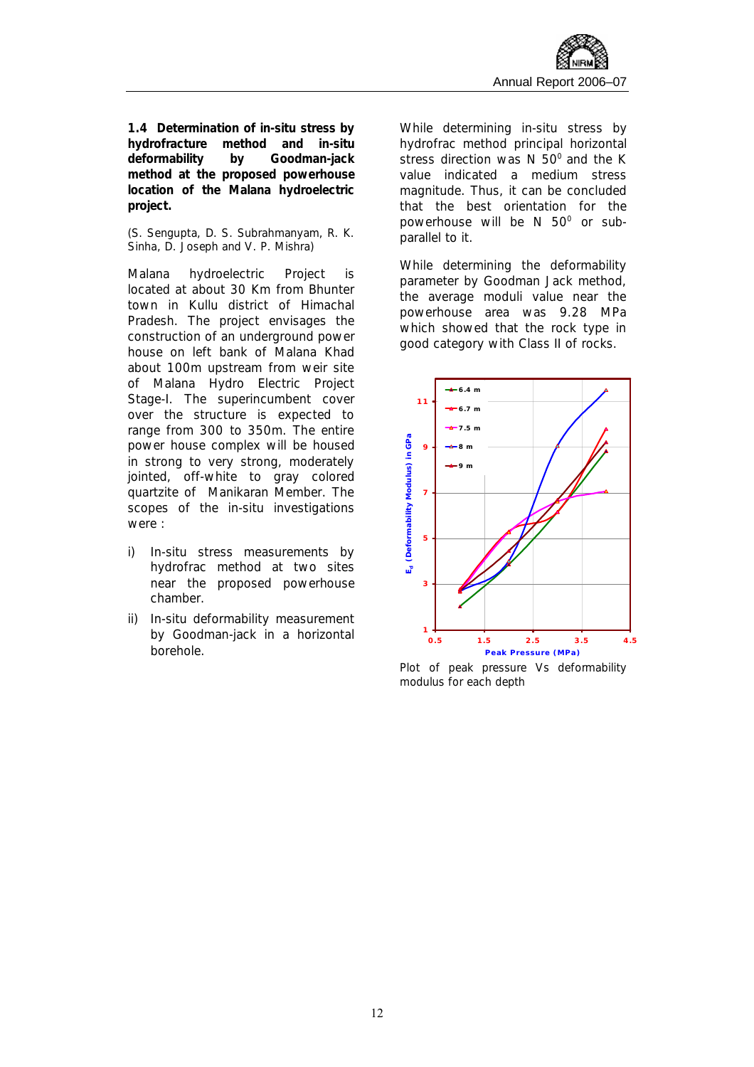**1.4 Determination of in-situ stress by hydrofracture method and in-situ deformability by Goodman-jack method at the proposed powerhouse location of the Malana hydroelectric project.** 

#### *(S. Sengupta, D. S. Subrahmanyam, R. K. Sinha, D. Joseph and V. P. Mishra)*

Malana hydroelectric Project is located at about 30 Km from Bhunter town in Kullu district of Himachal Pradesh. The project envisages the construction of an underground power house on left bank of Malana Khad about 100m upstream from weir site of Malana Hydro Electric Project Stage-I. The superincumbent cover over the structure is expected to range from 300 to 350m. The entire power house complex will be housed in strong to very strong, moderately jointed, off-white to gray colored quartzite of Manikaran Member. The scopes of the in-situ investigations were :

- i) In-situ stress measurements by hydrofrac method at two sites near the proposed powerhouse chamber.
- ii) In-situ deformability measurement by Goodman-jack in a horizontal borehole.

While determining in-situ stress by hydrofrac method principal horizontal stress direction was N  $50^{\circ}$  and the K value indicated a medium stress magnitude. Thus, it can be concluded that the best orientation for the powerhouse will be  $N$  50 $^{\circ}$  or subparallel to it.

While determining the deformability parameter by Goodman Jack method, the average moduli value near the powerhouse area was 9.28 MPa which showed that the rock type in good category with Class II of rocks.



*Plot of peak pressure Vs deformability modulus for each depth*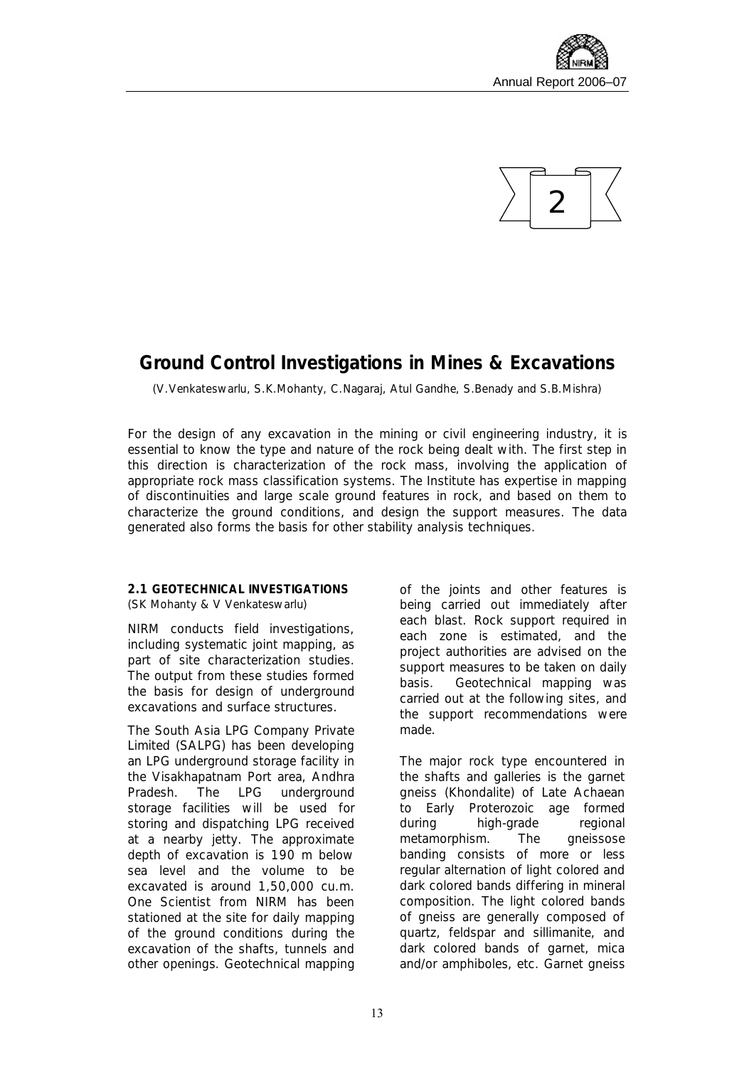



## **Ground Control Investigations in Mines & Excavations**

*(V.Venkateswarlu, S.K.Mohanty, C.Nagaraj, Atul Gandhe, S.Benady and S.B.Mishra)* 

For the design of any excavation in the mining or civil engineering industry, it is essential to know the type and nature of the rock being dealt with. The first step in this direction is characterization of the rock mass, involving the application of appropriate rock mass classification systems. The Institute has expertise in mapping of discontinuities and large scale ground features in rock, and based on them to characterize the ground conditions, and design the support measures. The data generated also forms the basis for other stability analysis techniques.

#### **2.1 GEOTECHNICAL INVESTIGATIONS** *(SK Mohanty & V Venkateswarlu)*

NIRM conducts field investigations, including systematic joint mapping, as part of site characterization studies. The output from these studies formed the basis for design of underground excavations and surface structures.

The South Asia LPG Company Private Limited (SALPG) has been developing an LPG underground storage facility in the Visakhapatnam Port area, Andhra Pradesh. The LPG underground storage facilities will be used for storing and dispatching LPG received at a nearby jetty. The approximate depth of excavation is 190 m below sea level and the volume to be excavated is around 1,50,000 cu.m. One Scientist from NIRM has been stationed at the site for daily mapping of the ground conditions during the excavation of the shafts, tunnels and other openings. Geotechnical mapping of the joints and other features is being carried out immediately after each blast. Rock support required in each zone is estimated, and the project authorities are advised on the support measures to be taken on daily basis. Geotechnical mapping was carried out at the following sites, and the support recommendations were made.

The major rock type encountered in the shafts and galleries is the garnet gneiss (Khondalite) of Late Achaean to Early Proterozoic age formed during high-grade regional metamorphism. The gneissose banding consists of more or less regular alternation of light colored and dark colored bands differing in mineral composition. The light colored bands of gneiss are generally composed of quartz, feldspar and sillimanite, and dark colored bands of garnet, mica and/or amphiboles, etc. Garnet gneiss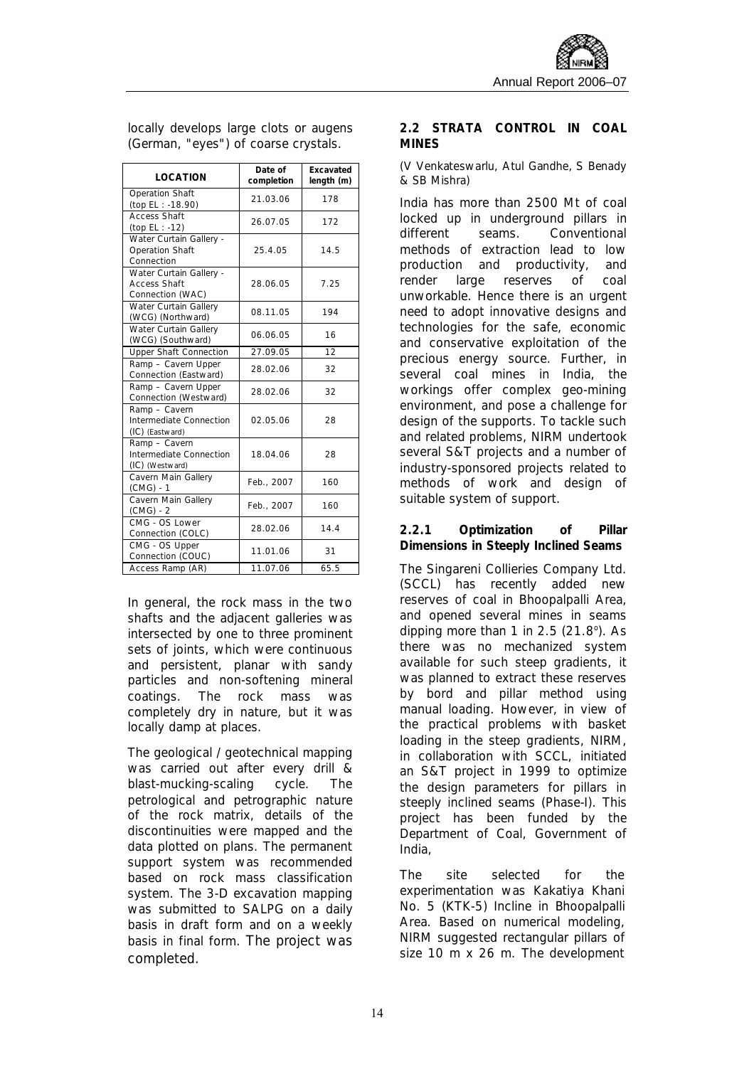| <b>LOCATION</b>                                                    | Date of<br>completion | Excavated<br>length (m) |
|--------------------------------------------------------------------|-----------------------|-------------------------|
| <b>Operation Shaft</b><br>(top EL: -18.90)                         | 21.03.06              | 178                     |
| <b>Access Shaft</b><br>(top EL : -12)                              | 26.07.05              | 172                     |
| Water Curtain Gallery -<br><b>Operation Shaft</b><br>Connection    | 25.4.05               | 14.5                    |
| Water Curtain Gallery -<br><b>Access Shaft</b><br>Connection (WAC) | 28.06.05              | 7.25                    |
| <b>Water Curtain Gallery</b><br>(WCG) (Northward)                  | 08.11.05              | 194                     |
| <b>Water Curtain Gallery</b><br>(WCG) (Southward)                  | 06.06.05              | 16                      |
| <b>Upper Shaft Connection</b>                                      | 27.09.05              | 12                      |
| Ramp - Cavern Upper<br>Connection (Eastward)                       | 28.02.06              | 32                      |
| Ramp - Cavern Upper<br>Connection (Westward)                       | 28.02.06              | 32                      |
| Ramp - Cavern<br>Intermediate Connection<br>(IC) (Eastward)        | 02.05.06              | 28                      |
| Ramp - Cavern<br>Intermediate Connection<br>(IC) (Westward)        | 18.04.06              | 28                      |
| Cavern Main Gallery<br>(CMG) - 1                                   | Feb., 2007            | 160                     |
| Cavern Main Gallery<br>(CMG) - 2                                   | Feb., 2007            | 160                     |
| CMG - OS Lower<br>Connection (COLC)                                | 28.02.06              | 14.4                    |
| CMG - OS Upper<br>Connection (COUC)                                | 11.01.06              | 31                      |
| Access Ramp (AR)                                                   | 11.07.06              | 65.5                    |

locally develops large clots or augens (German, "eyes") of coarse crystals.

In general, the rock mass in the two shafts and the adiacent galleries was intersected by one to three prominent sets of joints, which were continuous and persistent, planar with sandy particles and non-softening mineral coatings. The rock mass was completely dry in nature, but it was locally damp at places.

The geological / geotechnical mapping was carried out after every drill & blast-mucking-scaling cycle. The petrological and petrographic nature of the rock matrix, details of the discontinuities were mapped and the data plotted on plans. The permanent support system was recommended based on rock mass classification system. The 3-D excavation mapping was submitted to SALPG on a daily basis in draft form and on a weekly basis in final form. The project was completed.

#### **2.2 STRATA CONTROL IN COAL MINES**

#### *(V Venkateswarlu, Atul Gandhe, S Benady & SB Mishra)*

India has more than 2500 Mt of coal locked up in underground pillars in different seams. Conventional methods of extraction lead to low production and productivity, and render large reserves of coal unworkable. Hence there is an urgent need to adopt innovative designs and technologies for the safe, economic and conservative exploitation of the precious energy source. Further, in several coal mines in India, the workings offer complex geo-mining environment, and pose a challenge for design of the supports. To tackle such and related problems, NIRM undertook several S&T projects and a number of industry-sponsored projects related to methods of work and design of suitable system of support.

#### **2.2.1 Optimization of Pillar Dimensions in Steeply Inclined Seams**

The Singareni Collieries Company Ltd. (SCCL) has recently added new reserves of coal in Bhoopalpalli Area, and opened several mines in seams dipping more than 1 in  $2.5$  ( $21.8^\circ$ ). As there was no mechanized system available for such steep gradients, it was planned to extract these reserves by bord and pillar method using manual loading. However, in view of the practical problems with basket loading in the steep gradients, NIRM, in collaboration with SCCL, initiated an S&T project in 1999 to optimize the design parameters for pillars in steeply inclined seams (Phase-I). This project has been funded by the Department of Coal, Government of India,

The site selected for the experimentation was Kakatiya Khani No. 5 (KTK-5) Incline in Bhoopalpalli Area. Based on numerical modeling, NIRM suggested rectangular pillars of size 10 m x 26 m. The development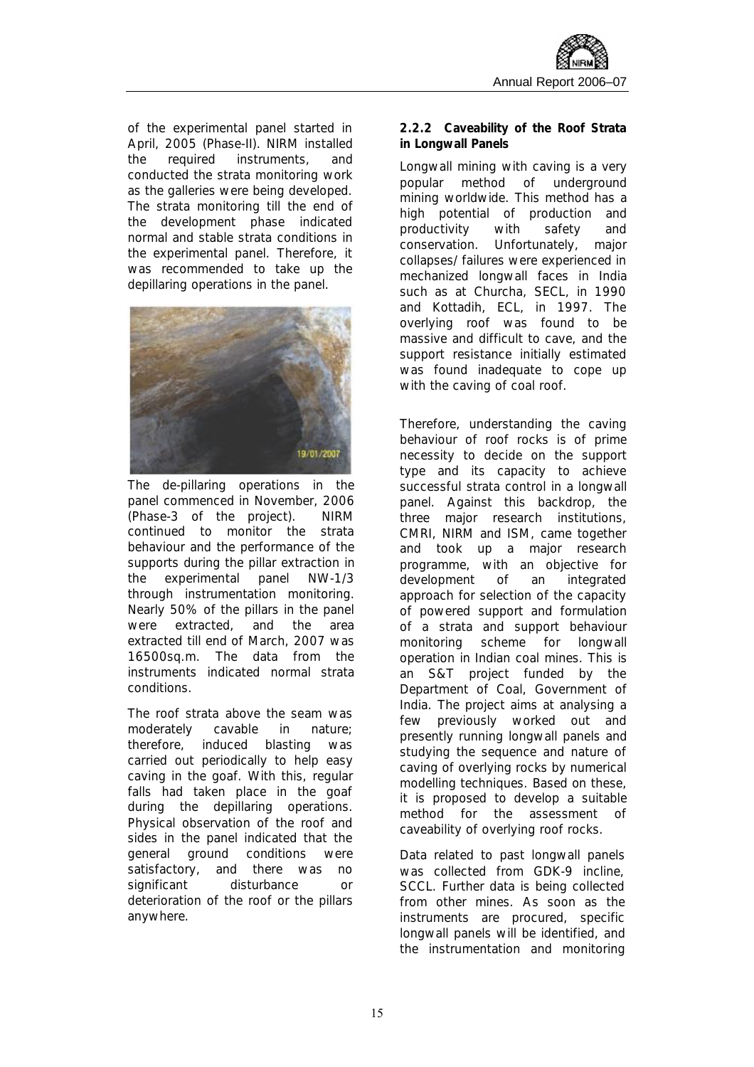of the experimental panel started in April, 2005 (Phase-II). NIRM installed the required instruments, and conducted the strata monitoring work as the galleries were being developed. The strata monitoring till the end of the development phase indicated normal and stable strata conditions in the experimental panel. Therefore, it was recommended to take up the depillaring operations in the panel.



The de-pillaring operations in the panel commenced in November, 2006 (Phase-3 of the project). NIRM continued to monitor the strata behaviour and the performance of the supports during the pillar extraction in the experimental panel NW-1/3 through instrumentation monitoring. Nearly 50% of the pillars in the panel were extracted, and the area extracted till end of March, 2007 was 16500sq.m. The data from the instruments indicated normal strata conditions.

The roof strata above the seam was moderately cavable in nature; therefore, induced blasting was carried out periodically to help easy caving in the goaf. With this, regular falls had taken place in the goaf during the depillaring operations. Physical observation of the roof and sides in the panel indicated that the general ground conditions were satisfactory, and there was no significant disturbance or deterioration of the roof or the pillars anywhere.

**2.2.2 Caveability of the Roof Strata in Longwall Panels** 

Longwall mining with caving is a very popular method of underground mining worldwide. This method has a high potential of production and productivity with safety and conservation. Unfortunately, major collapses/ failures were experienced in mechanized longwall faces in India such as at Churcha, SECL, in 1990 and Kottadih, ECL, in 1997. The overlying roof was found to be massive and difficult to cave, and the support resistance initially estimated was found inadequate to cope up with the caving of coal roof.

Therefore, understanding the caving behaviour of roof rocks is of prime necessity to decide on the support type and its capacity to achieve successful strata control in a longwall panel. Against this backdrop, the three major research institutions, CMRI, NIRM and ISM, came together and took up a major research programme, with an objective for development of an integrated approach for selection of the capacity of powered support and formulation of a strata and support behaviour monitoring scheme for longwall operation in Indian coal mines. This is an S&T project funded by the Department of Coal, Government of India. The project aims at analysing a few previously worked out and presently running longwall panels and studying the sequence and nature of caving of overlying rocks by numerical modelling techniques. Based on these, it is proposed to develop a suitable method for the assessment of caveability of overlying roof rocks.

Data related to past longwall panels was collected from GDK-9 incline, SCCL. Further data is being collected from other mines. As soon as the instruments are procured, specific longwall panels will be identified, and the instrumentation and monitoring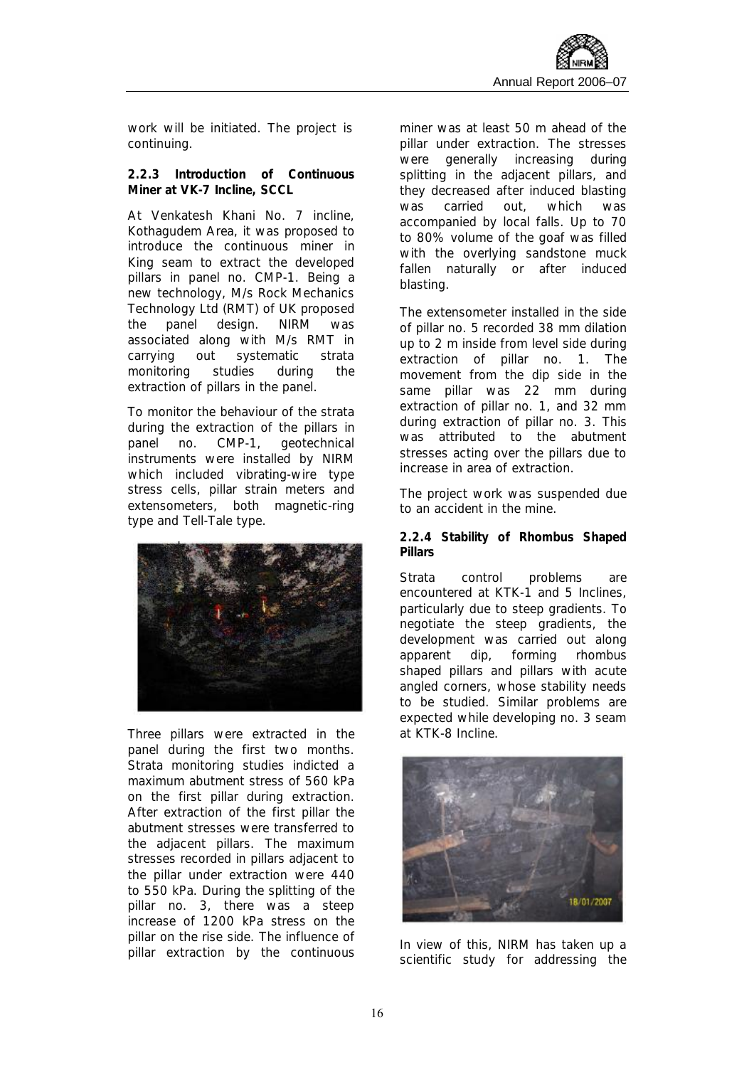work will be initiated. The project is continuing.

**2.2.3 Introduction of Continuous Miner at VK-7 Incline, SCCL**

At Venkatesh Khani No. 7 incline, Kothagudem Area, it was proposed to introduce the continuous miner in King seam to extract the developed pillars in panel no. CMP-1. Being a new technology, M/s Rock Mechanics Technology Ltd (RMT) of UK proposed the panel design. NIRM was associated along with M/s RMT in carrying out systematic strata monitoring studies during the extraction of pillars in the panel.

To monitor the behaviour of the strata during the extraction of the pillars in panel no. CMP-1, geotechnical instruments were installed by NIRM which included vibrating-wire type stress cells, pillar strain meters and extensometers, both magnetic-ring type and Tell-Tale type.



Three pillars were extracted in the panel during the first two months. Strata monitoring studies indicted a maximum abutment stress of 560 kPa on the first pillar during extraction. After extraction of the first pillar the abutment stresses were transferred to the adjacent pillars. The maximum stresses recorded in pillars adjacent to the pillar under extraction were 440 to 550 kPa. During the splitting of the pillar no. 3, there was a steep increase of 1200 kPa stress on the pillar on the rise side. The influence of pillar extraction by the continuous miner was at least 50 m ahead of the pillar under extraction. The stresses were generally increasing during splitting in the adiacent pillars, and they decreased after induced blasting was carried out, which was accompanied by local falls. Up to 70 to 80% volume of the goaf was filled with the overlying sandstone muck fallen naturally or after induced blasting.

The extensometer installed in the side of pillar no. 5 recorded 38 mm dilation up to 2 m inside from level side during extraction of pillar no. 1. The movement from the dip side in the same pillar was 22 mm during extraction of pillar no. 1, and 32 mm during extraction of pillar no. 3. This was attributed to the abutment stresses acting over the pillars due to increase in area of extraction.

The project work was suspended due to an accident in the mine.

**2.2.4 Stability of Rhombus Shaped Pillars** 

Strata control problems are encountered at KTK-1 and 5 Inclines, particularly due to steep gradients. To negotiate the steep gradients, the development was carried out along apparent dip, forming rhombus shaped pillars and pillars with acute angled corners, whose stability needs to be studied. Similar problems are expected while developing no. 3 seam at KTK-8 Incline.



In view of this, NIRM has taken up a scientific study for addressing the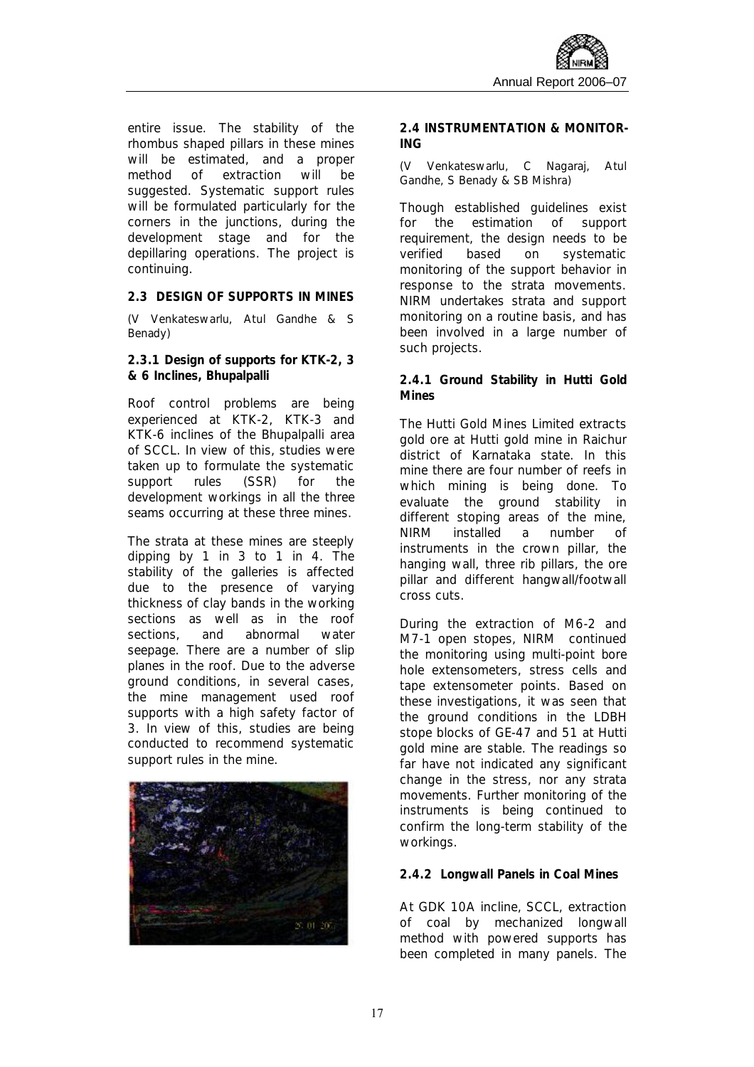entire issue. The stability of the rhombus shaped pillars in these mines will be estimated, and a proper method of extraction will be suggested. Systematic support rules will be formulated particularly for the corners in the junctions, during the development stage and for the depillaring operations. The project is continuing.

**2.3 DESIGN OF SUPPORTS IN MINES** 

*(V Venkateswarlu, Atul Gandhe & S Benady)* 

**2.3.1 Design of supports for KTK-2, 3 & 6 Inclines, Bhupalpalli** 

Roof control problems are being experienced at KTK-2, KTK-3 and KTK-6 inclines of the Bhupalpalli area of SCCL. In view of this, studies were taken up to formulate the systematic support rules (SSR) for the development workings in all the three seams occurring at these three mines.

The strata at these mines are steeply dipping by 1 in 3 to 1 in 4. The stability of the galleries is affected due to the presence of varying thickness of clay bands in the working sections as well as in the roof sections, and abnormal water seepage. There are a number of slip planes in the roof. Due to the adverse ground conditions, in several cases, the mine management used roof supports with a high safety factor of 3. In view of this, studies are being conducted to recommend systematic support rules in the mine.



**2.4 INSTRUMENTATION & MONITOR-ING** 

*(V Venkateswarlu, C Nagaraj, Atul Gandhe, S Benady & SB Mishra)* 

Though established guidelines exist for the estimation of support requirement, the design needs to be verified based on systematic monitoring of the support behavior in response to the strata movements. NIRM undertakes strata and support monitoring on a routine basis, and has been involved in a large number of such projects.

**2.4.1 Ground Stability in Hutti Gold Mines** 

The Hutti Gold Mines Limited extracts gold ore at Hutti gold mine in Raichur district of Karnataka state. In this mine there are four number of reefs in which mining is being done. To evaluate the ground stability in different stoping areas of the mine, NIRM installed a number of instruments in the crown pillar, the hanging wall, three rib pillars, the ore pillar and different hangwall/footwall cross cuts.

During the extraction of M6-2 and M7-1 open stopes, NIRM continued the monitoring using multi-point bore hole extensometers, stress cells and tape extensometer points. Based on these investigations, it was seen that the ground conditions in the LDBH stope blocks of GE-47 and 51 at Hutti gold mine are stable. The readings so far have not indicated any significant change in the stress, nor any strata movements. Further monitoring of the instruments is being continued to confirm the long-term stability of the workings.

#### **2.4.2 Longwall Panels in Coal Mines**

At GDK 10A incline, SCCL, extraction of coal by mechanized longwall method with powered supports has been completed in many panels. The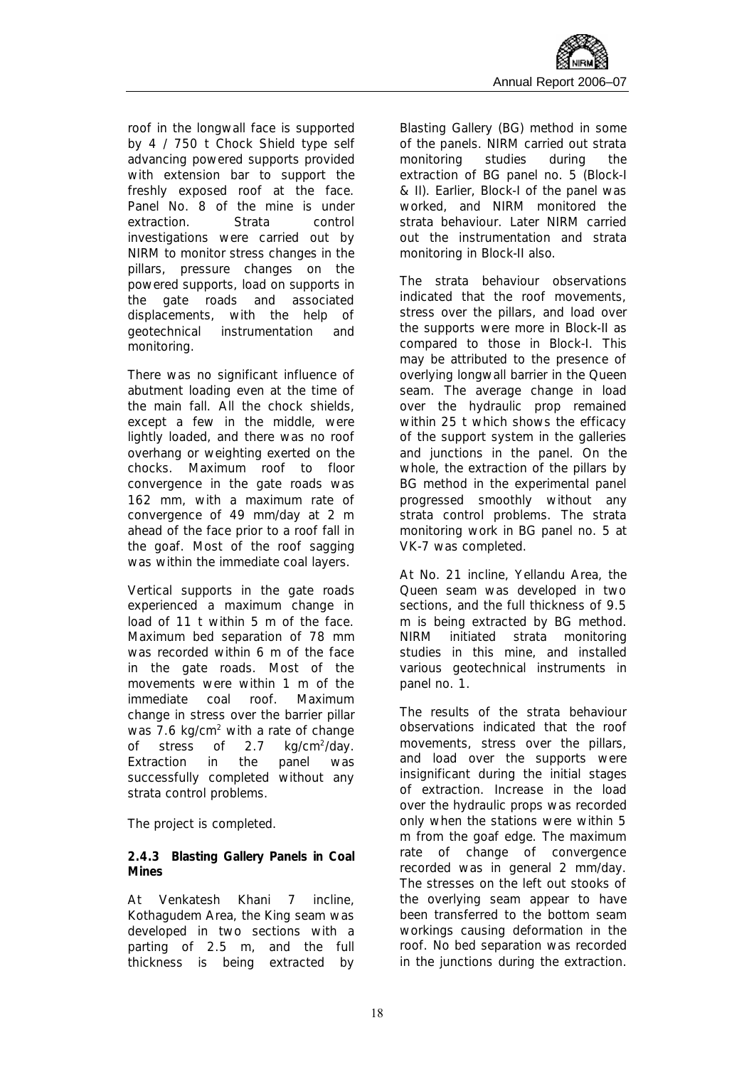roof in the longwall face is supported by 4 / 750 t Chock Shield type self advancing powered supports provided with extension bar to support the freshly exposed roof at the face. Panel No. 8 of the mine is under extraction. Strata control investigations were carried out by NIRM to monitor stress changes in the pillars, pressure changes on the powered supports, load on supports in the gate roads and associated displacements, with the help of geotechnical instrumentation and monitoring.

There was no significant influence of abutment loading even at the time of the main fall. All the chock shields, except a few in the middle, were lightly loaded, and there was no roof overhang or weighting exerted on the chocks. Maximum roof to floor convergence in the gate roads was 162 mm, with a maximum rate of convergence of 49 mm/day at 2 m ahead of the face prior to a roof fall in the goaf. Most of the roof sagging was within the immediate coal layers.

Vertical supports in the gate roads experienced a maximum change in load of 11 t within 5 m of the face. Maximum bed separation of 78 mm was recorded within 6 m of the face in the gate roads. Most of the movements were within 1 m of the immediate coal roof. Maximum change in stress over the barrier pillar was 7.6 kg/cm<sup>2</sup> with a rate of change of stress of  $2.7$  $kq/cm^2$ /dav. Extraction in the panel was successfully completed without any strata control problems.

The project is completed.

**2.4.3 Blasting Gallery Panels in Coal Mines** 

At Venkatesh Khani 7 incline, Kothagudem Area, the King seam was developed in two sections with a parting of 2.5 m, and the full thickness is being extracted by Blasting Gallery (BG) method in some of the panels. NIRM carried out strata monitoring studies during the extraction of BG panel no. 5 (Block-I & II). Earlier, Block-I of the panel was worked, and NIRM monitored the strata behaviour. Later NIRM carried out the instrumentation and strata monitoring in Block-II also.

The strata behaviour observations indicated that the roof movements, stress over the pillars, and load over the supports were more in Block-II as compared to those in Block-I. This may be attributed to the presence of overlying longwall barrier in the Queen seam. The average change in load over the hydraulic prop remained within 25 t which shows the efficacy of the support system in the galleries and junctions in the panel. On the whole, the extraction of the pillars by BG method in the experimental panel progressed smoothly without any strata control problems. The strata monitoring work in BG panel no. 5 at VK-7 was completed.

At No. 21 incline, Yellandu Area, the Queen seam was developed in two sections, and the full thickness of 9.5 m is being extracted by BG method. NIRM initiated strata monitoring studies in this mine, and installed various geotechnical instruments in panel no. 1.

The results of the strata behaviour observations indicated that the roof movements, stress over the pillars, and load over the supports were insignificant during the initial stages of extraction. Increase in the load over the hydraulic props was recorded only when the stations were within 5 m from the goaf edge. The maximum rate of change of convergence recorded was in general 2 mm/day. The stresses on the left out stooks of the overlying seam appear to have been transferred to the bottom seam workings causing deformation in the roof. No bed separation was recorded in the junctions during the extraction.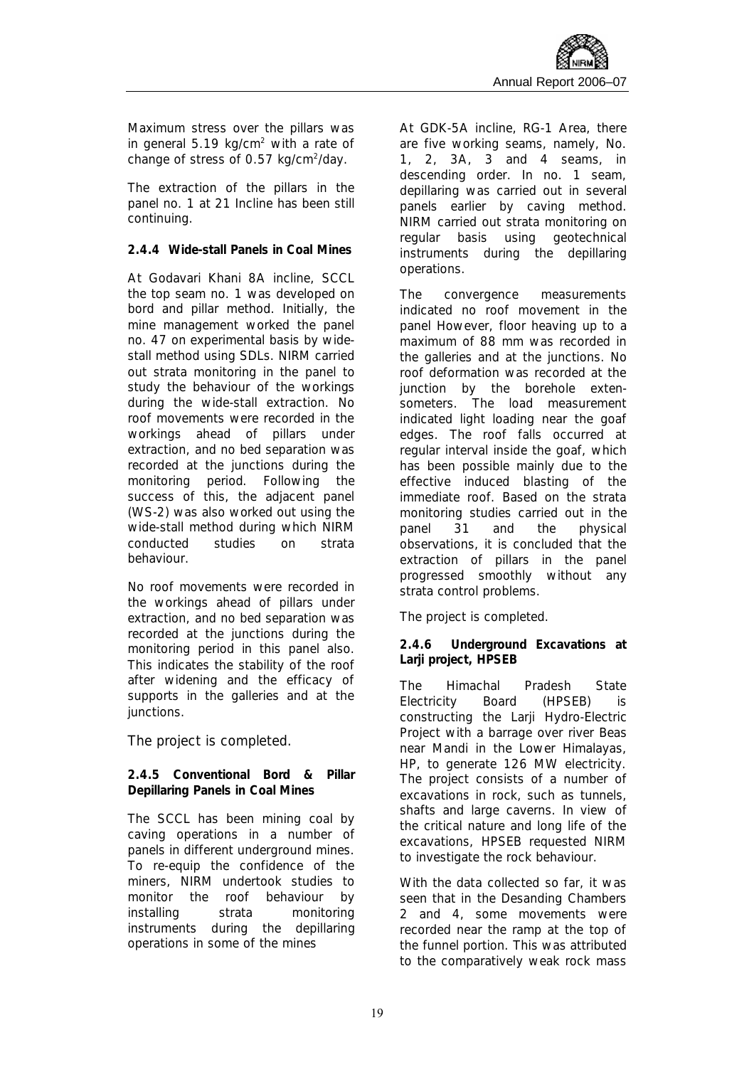Maximum stress over the pillars was in general 5.19 kg/cm<sup>2</sup> with a rate of change of stress of 0.57 kg/cm<sup>2</sup>/day.

The extraction of the pillars in the panel no. 1 at 21 Incline has been still continuing.

#### **2.4.4 Wide-stall Panels in Coal Mines**

At Godavari Khani 8A incline, SCCL the top seam no. 1 was developed on bord and pillar method. Initially, the mine management worked the panel no. 47 on experimental basis by widestall method using SDLs. NIRM carried out strata monitoring in the panel to study the behaviour of the workings during the wide-stall extraction. No roof movements were recorded in the workings ahead of pillars under extraction, and no bed separation was recorded at the junctions during the monitoring period. Following the success of this, the adjacent panel (WS-2) was also worked out using the wide-stall method during which NIRM conducted studies on strata behaviour.

No roof movements were recorded in the workings ahead of pillars under extraction, and no bed separation was recorded at the junctions during the monitoring period in this panel also. This indicates the stability of the roof after widening and the efficacy of supports in the galleries and at the junctions.

The project is completed.

**2.4.5 Conventional Bord & Pillar Depillaring Panels in Coal Mines** 

The SCCL has been mining coal by caving operations in a number of panels in different underground mines. To re-equip the confidence of the miners, NIRM undertook studies to monitor the roof behaviour by installing strata monitoring instruments during the depillaring operations in some of the mines

At GDK-5A incline, RG-1 Area, there are five working seams, namely, No. 1, 2, 3A, 3 and 4 seams, in descending order. In no. 1 seam, depillaring was carried out in several panels earlier by caving method. NIRM carried out strata monitoring on regular basis using geotechnical instruments during the depillaring operations.

The convergence measurements indicated no roof movement in the panel However, floor heaving up to a maximum of 88 mm was recorded in the galleries and at the junctions. No roof deformation was recorded at the junction by the borehole extensometers. The load measurement indicated light loading near the goaf edges. The roof falls occurred at regular interval inside the goaf, which has been possible mainly due to the effective induced blasting of the immediate roof. Based on the strata monitoring studies carried out in the panel 31 and the physical observations, it is concluded that the extraction of pillars in the panel progressed smoothly without any strata control problems.

The project is completed.

**2.4.6 Underground Excavations at Larji project, HPSEB**

The Himachal Pradesh State Electricity Board (HPSEB) is constructing the Larii Hydro-Electric Project with a barrage over river Beas near Mandi in the Lower Himalayas, HP, to generate 126 MW electricity. The project consists of a number of excavations in rock, such as tunnels, shafts and large caverns. In view of the critical nature and long life of the excavations, HPSEB requested NIRM to investigate the rock behaviour.

With the data collected so far, it was seen that in the Desanding Chambers 2 and 4, some movements were recorded near the ramp at the top of the funnel portion. This was attributed to the comparatively weak rock mass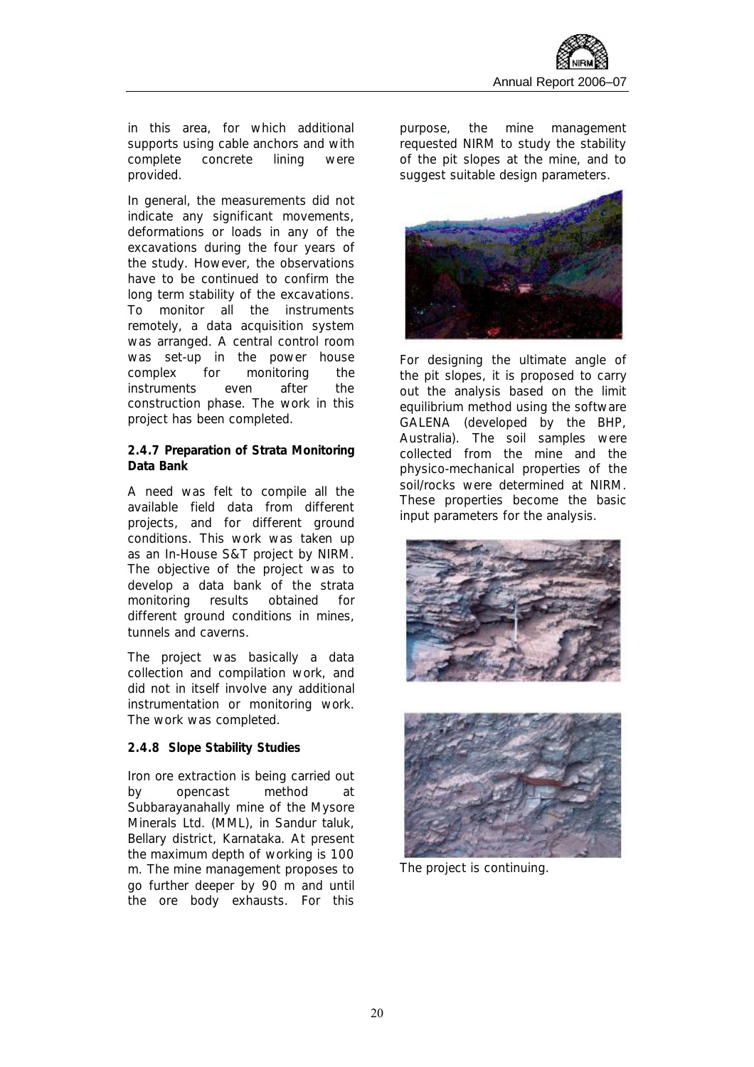

in this area, for which additional supports using cable anchors and with complete concrete lining were provided.

In general, the measurements did not indicate any significant movements. deformations or loads in any of the excavations during the four years of the study. However, the observations have to be continued to confirm the long term stability of the excavations. To monitor all the instruments remotely, a data acquisition system was arranged. A central control room was set-up in the power house complex for monitoring the instruments even after the construction phase. The work in this project has been completed.

**2.4.7 Preparation of Strata Monitoring Data Bank**

A need was felt to compile all the available field data from different projects, and for different ground conditions. This work was taken up as an In-House S&T project by NIRM. The objective of the project was to develop a data bank of the strata monitoring results obtained for different ground conditions in mines, tunnels and caverns.

The project was basically a data collection and compilation work, and did not in itself involve any additional instrumentation or monitoring work. The work was completed.

#### **2.4.8 Slope Stability Studies**

Iron ore extraction is being carried out by opencast method at Subbarayanahally mine of the Mysore Minerals Ltd. (MML), in Sandur taluk, Bellary district, Karnataka. At present the maximum depth of working is 100 m. The mine management proposes to go further deeper by 90 m and until the ore body exhausts. For this

purpose, the mine management requested NIRM to study the stability of the pit slopes at the mine, and to suggest suitable design parameters.



For designing the ultimate angle of the pit slopes, it is proposed to carry out the analysis based on the limit equilibrium method using the software GALENA (developed by the BHP, Australia). The soil samples were collected from the mine and the physico-mechanical properties of the soil/rocks were determined at NIRM. These properties become the basic input parameters for the analysis.





The project is continuing.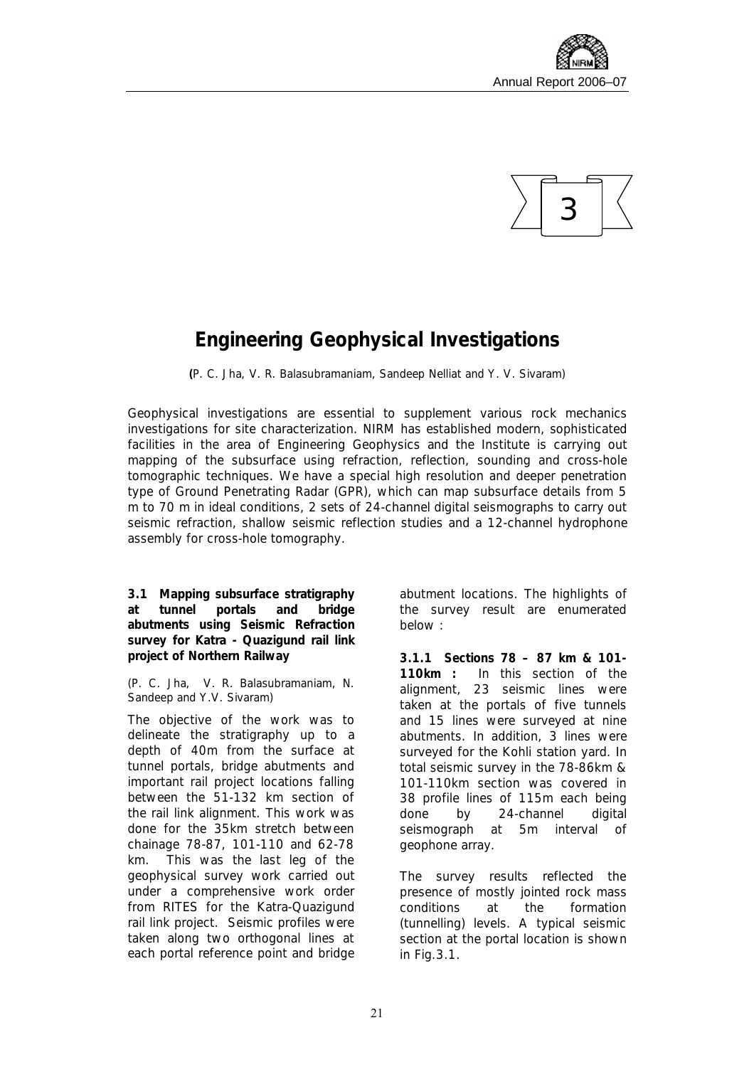



## **Engineering Geophysical Investigations**

*(P. C. Jha, V. R. Balasubramaniam, Sandeep Nelliat and Y. V. Sivaram)* 

Geophysical investigations are essential to supplement various rock mechanics investigations for site characterization. NIRM has established modern, sophisticated facilities in the area of Engineering Geophysics and the Institute is carrying out mapping of the subsurface using refraction, reflection, sounding and cross-hole tomographic techniques. We have a special high resolution and deeper penetration type of Ground Penetrating Radar (GPR), which can map subsurface details from 5 m to 70 m in ideal conditions, 2 sets of 24-channel digital seismographs to carry out seismic refraction, shallow seismic reflection studies and a 12-channel hydrophone assembly for cross-hole tomography.

**3.1 Mapping subsurface stratigraphy at tunnel portals and bridge abutments using Seismic Refraction survey for Katra - Quazigund rail link project of Northern Railway** 

#### *(P. C. Jha, V. R. Balasubramaniam, N. Sandeep and Y.V. Sivaram)*

The objective of the work was to delineate the stratigraphy up to a depth of 40m from the surface at tunnel portals, bridge abutments and important rail project locations falling between the 51-132 km section of the rail link alignment. This work was done for the 35km stretch between chainage 78-87, 101-110 and 62-78 km. This was the last leg of the geophysical survey work carried out under a comprehensive work order from RITES for the Katra-Quazigund rail link project. Seismic profiles were taken along two orthogonal lines at each portal reference point and bridge

abutment locations. The highlights of the survey result are enumerated below :

**3.1.1 Sections 78 – 87 km & 101- 110km :** In this section of the alignment, 23 seismic lines were taken at the portals of five tunnels and 15 lines were surveyed at nine abutments. In addition, 3 lines were surveyed for the Kohli station yard. In total seismic survey in the 78-86km & 101-110km section was covered in 38 profile lines of 115m each being done by 24-channel digital seismograph at 5m interval of geophone array.

The survey results reflected the presence of mostly jointed rock mass conditions at the formation (tunnelling) levels. A typical seismic section at the portal location is shown in Fig.3.1.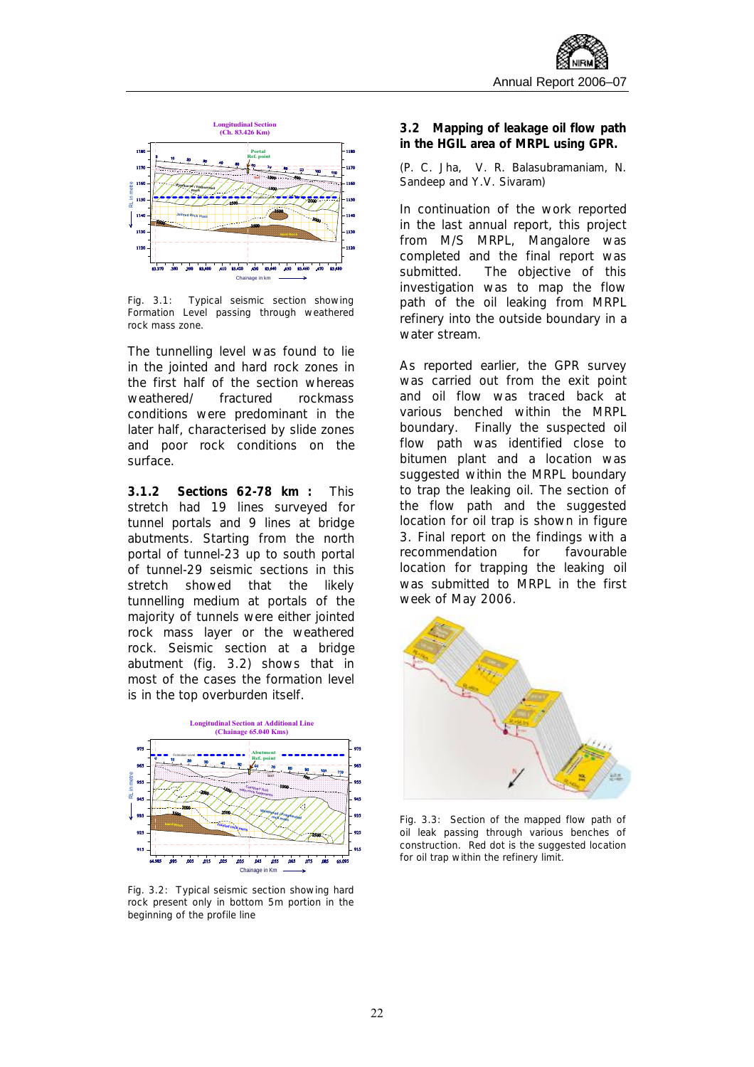

Fig. 3.1: Typical seismic section showing Formation Level passing through weathered rock mass zone.

The tunnelling level was found to lie in the jointed and hard rock zones in the first half of the section whereas weathered/ fractured rockmass conditions were predominant in the later half, characterised by slide zones and poor rock conditions on the surface.

**3.1.2 Sections 62-78 km :** This stretch had 19 lines surveyed for tunnel portals and 9 lines at bridge abutments. Starting from the north portal of tunnel-23 up to south portal of tunnel-29 seismic sections in this stretch showed that the likely tunnelling medium at portals of the majority of tunnels were either jointed rock mass layer or the weathered rock. Seismic section at a bridge abutment (fig. 3.2) shows that in most of the cases the formation level is in the top overburden itself.



Fig. 3.2: Typical seismic section showing hard rock present only in bottom 5m portion in the beginning of the profile line

**3.2 Mapping of leakage oil flow path in the HGIL area of MRPL using GPR.** 

*(P. C. Jha, V. R. Balasubramaniam, N. Sandeep and Y.V. Sivaram)* 

In continuation of the work reported in the last annual report, this project from M/S MRPL, Mangalore was completed and the final report was submitted. The objective of this investigation was to map the flow path of the oil leaking from MRPL refinery into the outside boundary in a water stream.

As reported earlier, the GPR survey was carried out from the exit point and oil flow was traced back at various benched within the MRPL boundary. Finally the suspected oil flow path was identified close to bitumen plant and a location was suggested within the MRPL boundary to trap the leaking oil. The section of the flow path and the suggested location for oil trap is shown in figure 3. Final report on the findings with a recommendation for favourable location for trapping the leaking oil was submitted to MRPL in the first week of May 2006.



Fig. 3.3: Section of the mapped flow path of oil leak passing through various benches of construction. Red dot is the suggested location for oil trap within the refinery limit.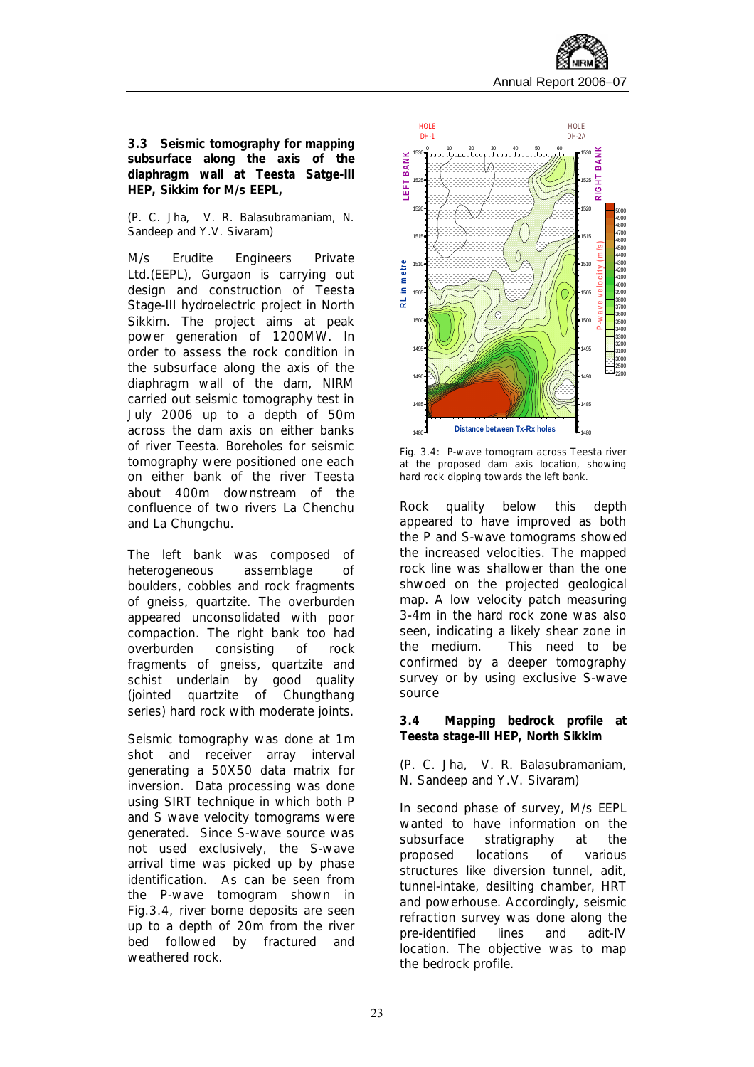

**3.3 Seismic tomography for mapping subsurface along the axis of the diaphragm wall at Teesta Satge-III HEP, Sikkim for M/s EEPL,** 

#### *(P. C. Jha, V. R. Balasubramaniam, N. Sandeep and Y.V. Sivaram)*

M/s Erudite Engineers Private Ltd.(EEPL), Gurgaon is carrying out design and construction of Teesta Stage-III hydroelectric project in North Sikkim. The project aims at peak power generation of 1200MW. In order to assess the rock condition in the subsurface along the axis of the diaphragm wall of the dam, NIRM carried out seismic tomography test in July 2006 up to a depth of 50m across the dam axis on either banks of river Teesta. Boreholes for seismic tomography were positioned one each on either bank of the river Teesta about 400m downstream of the confluence of two rivers La Chenchu and La Chungchu.

The left bank was composed of heterogeneous assemblage of boulders, cobbles and rock fragments of gneiss, quartzite. The overburden appeared unconsolidated with poor compaction. The right bank too had overburden consisting of rock fragments of gneiss, quartzite and schist underlain by good quality (jointed quartzite of Chungthang series) hard rock with moderate joints.

Seismic tomography was done at 1m shot and receiver array interval generating a 50X50 data matrix for inversion. Data processing was done using SIRT technique in which both P and S wave velocity tomograms were generated. Since S-wave source was not used exclusively, the S-wave arrival time was picked up by phase identification. As can be seen from the P-wave tomogram shown in Fig.3.4, river borne deposits are seen up to a depth of 20m from the river bed followed by fractured and weathered rock.



Fig. 3.4: P-wave tomogram across Teesta river at the proposed dam axis location, showing hard rock dipping towards the left bank.

Rock quality below this depth appeared to have improved as both the P and S-wave tomograms showed the increased velocities. The mapped rock line was shallower than the one shwoed on the projected geological map. A low velocity patch measuring 3-4m in the hard rock zone was also seen, indicating a likely shear zone in the medium. This need to be confirmed by a deeper tomography survey or by using exclusive S-wave source

**3.4 Mapping bedrock profile at Teesta stage-III HEP, North Sikkim** 

(P. C. Jha, V. R. Balasubramaniam, N. Sandeep and Y.V. Sivaram)

In second phase of survey, M/s EEPL wanted to have information on the subsurface stratigraphy at the proposed locations of various structures like diversion tunnel, adit, tunnel-intake, desilting chamber, HRT and powerhouse. Accordingly, seismic refraction survey was done along the pre-identified lines and adit-IV location. The objective was to map the bedrock profile.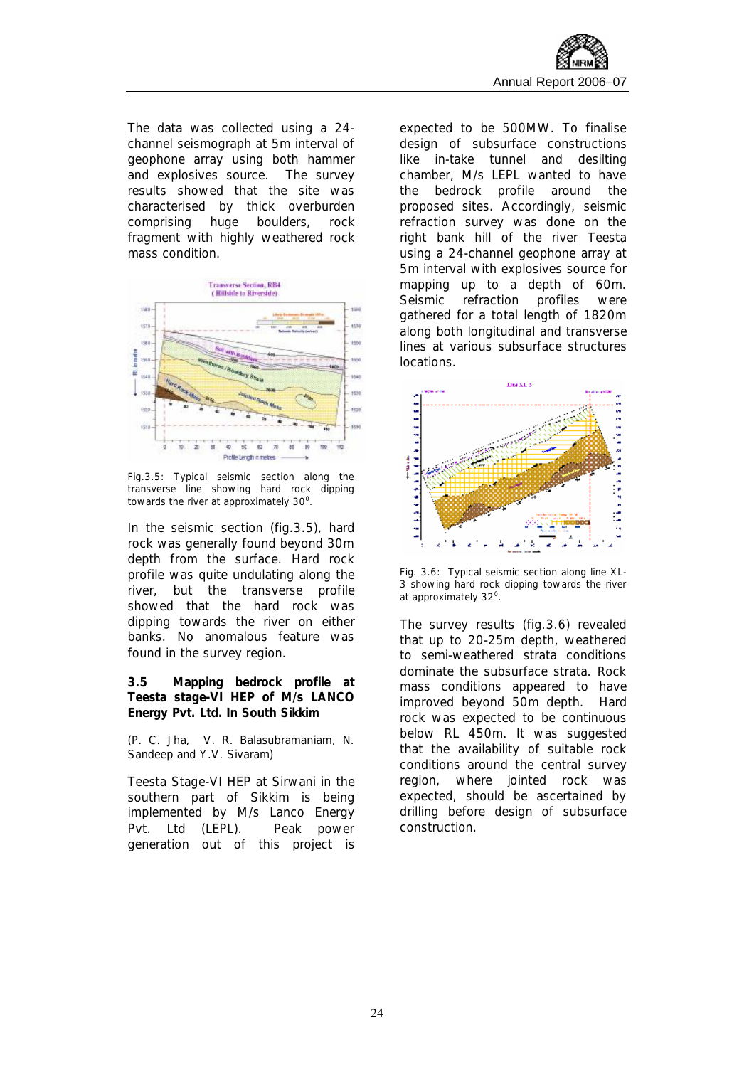The data was collected using a 24 channel seismograph at 5m interval of geophone array using both hammer and explosives source. The survey results showed that the site was characterised by thick overburden comprising huge boulders, rock fragment with highly weathered rock mass condition.



Fig.3.5: Typical seismic section along the transverse line showing hard rock dipping towards the river at approximately  $30^0$ .

In the seismic section (fig.3.5), hard rock was generally found beyond 30m depth from the surface. Hard rock profile was quite undulating along the river, but the transverse profile showed that the hard rock was dipping towards the river on either banks. No anomalous feature was found in the survey region.

**3.5 Mapping bedrock profile at Teesta stage-VI HEP of M/s LANCO Energy Pvt. Ltd. In South Sikkim** 

*(P. C. Jha, V. R. Balasubramaniam, N. Sandeep and Y.V. Sivaram)* 

Teesta Stage-VI HEP at Sirwani in the southern part of Sikkim is being implemented by M/s Lanco Energy Pvt. Ltd (LEPL). Peak power generation out of this project is expected to be 500MW. To finalise design of subsurface constructions like in-take tunnel and desilting chamber, M/s LEPL wanted to have the bedrock profile around the proposed sites. Accordingly, seismic refraction survey was done on the right bank hill of the river Teesta using a 24-channel geophone array at 5m interval with explosives source for mapping up to a depth of 60m. Seismic refraction profiles were gathered for a total length of 1820m along both longitudinal and transverse lines at various subsurface structures locations.



Fig. 3.6: Typical seismic section along line XL-3 showing hard rock dipping towards the river at approximately 32<sup>o</sup>.

The survey results (fig.3.6) revealed that up to 20-25m depth, weathered to semi-weathered strata conditions dominate the subsurface strata. Rock mass conditions appeared to have improved beyond 50m depth. Hard rock was expected to be continuous below RL 450m. It was suggested that the availability of suitable rock conditions around the central survey region, where jointed rock was expected, should be ascertained by drilling before design of subsurface construction.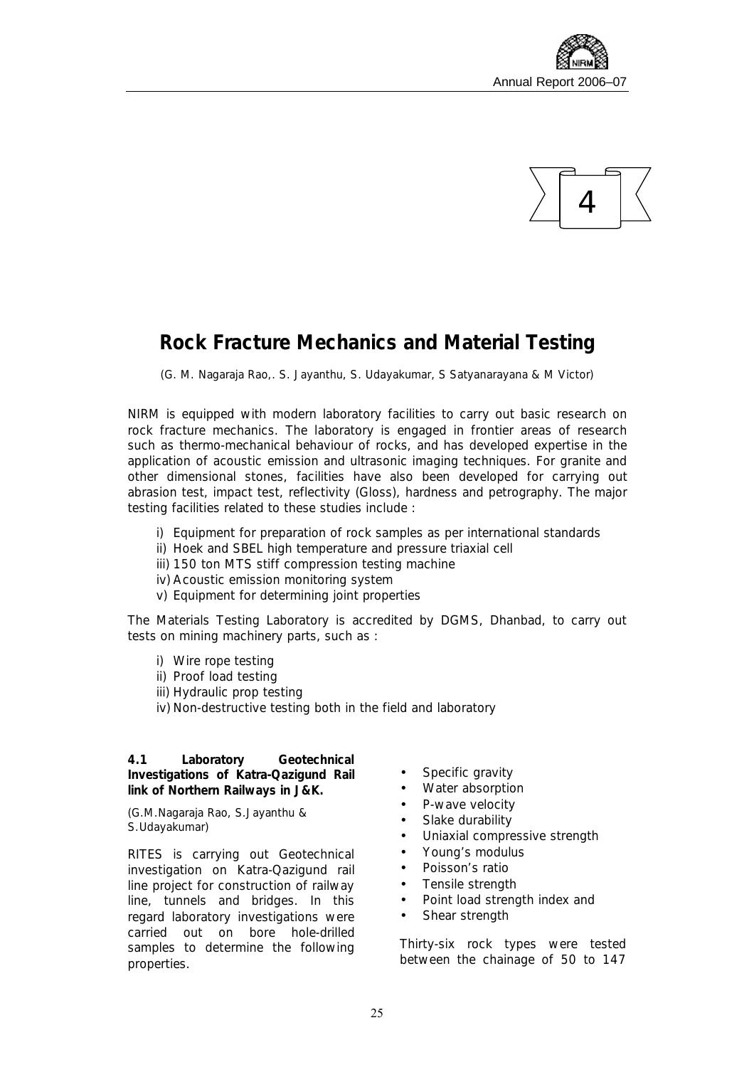



## **Rock Fracture Mechanics and Material Testing**

*(G. M. Nagaraja Rao,. S. Jayanthu, S. Udayakumar, S Satyanarayana & M Victor)* 

NIRM is equipped with modern laboratory facilities to carry out basic research on rock fracture mechanics. The laboratory is engaged in frontier areas of research such as thermo-mechanical behaviour of rocks, and has developed expertise in the application of acoustic emission and ultrasonic imaging techniques. For granite and other dimensional stones, facilities have also been developed for carrying out *abrasion test, impact test, reflectivity (Gloss), hardness and petrography*. The major testing facilities related to these studies include :

- i) Equipment for preparation of rock samples as per international standards
- ii) Hoek and SBEL high temperature and pressure triaxial cell
- iii) 150 ton MTS stiff compression testing machine
- iv) Acoustic emission monitoring system
- v) Equipment for determining joint properties

The Materials Testing Laboratory is accredited by DGMS, Dhanbad, to carry out tests on mining machinery parts, such as :

- i) Wire rope testing
- ii) Proof load testing
- iii) Hydraulic prop testing
- iv) Non-destructive testing both in the field and laboratory

**4.1 Laboratory Geotechnical Investigations of Katra-Qazigund Rail link of Northern Railways in J&K.** 

*(G.M.Nagaraja Rao, S.Jayanthu & S.Udayakumar)* 

RITES is carrying out Geotechnical investigation on Katra-Qazigund rail line project for construction of railway line, tunnels and bridges. In this regard laboratory investigations were carried out on bore hole-drilled samples to determine the following properties.

- Specific gravity
- Water absorption
- P-wave velocity
- Slake durability
- Uniaxial compressive strength
- Young's modulus
- Poisson's ratio
- Tensile strength
- Point load strength index and
- Shear strength

Thirty-six rock types were tested between the chainage of 50 to 147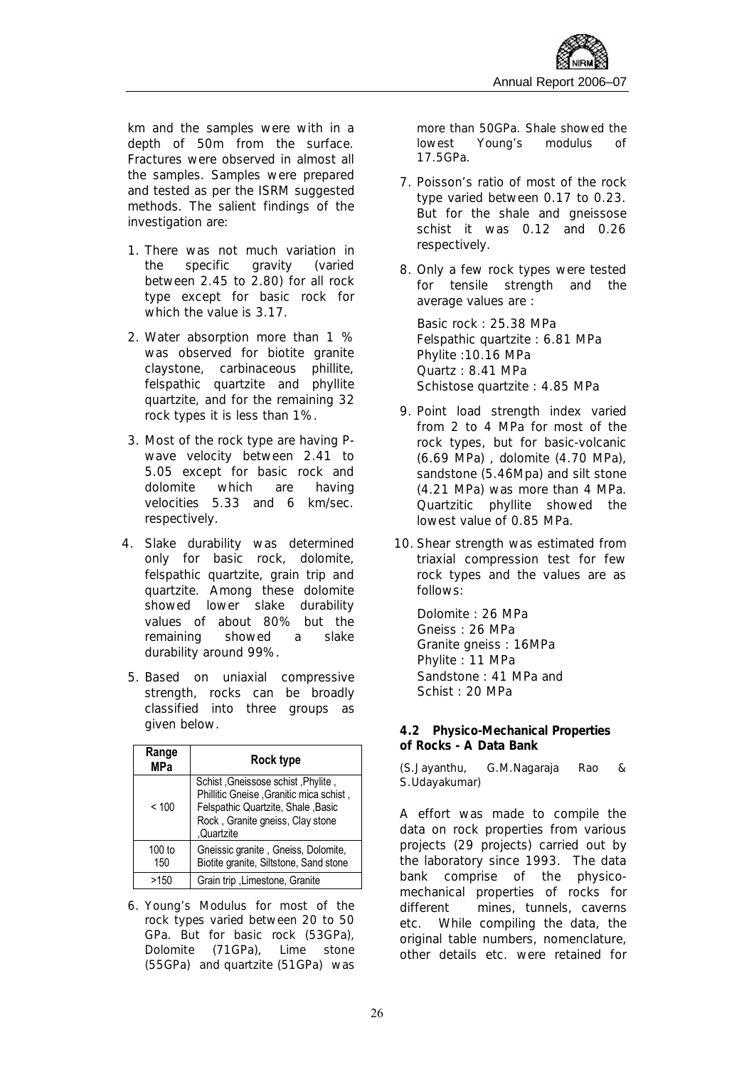km and the samples were with in a depth of 50m from the surface. Fractures were observed in almost all the samples. Samples were prepared and tested as per the ISRM suggested methods. The salient findings of the investigation are:

- 1. There was not much variation in the specific gravity (varied between 2.45 to 2.80) for all rock type except for basic rock for which the value is 3.17.
- 2. Water absorption more than 1 % was observed for biotite granite claystone, carbinaceous phillite, felspathic quartzite and phyllite quartzite, and for the remaining 32 rock types it is less than 1%.
- 3. Most of the rock type are having Pwave velocity between 2.41 to 5.05 except for basic rock and dolomite which are having velocities 5.33 and 6 km/sec. respectively.
- 4. Slake durability was determined only for basic rock, dolomite, felspathic quartzite, grain trip and quartzite. Among these dolomite showed lower slake durability values of about 80% but the remaining showed a slake durability around 99%.
- 5. Based on uniaxial compressive strength, rocks can be broadly classified into three groups as given below.

| Range<br><b>MPa</b> | Rock type                                                                                                                                                             |
|---------------------|-----------------------------------------------------------------------------------------------------------------------------------------------------------------------|
| < 100               | Schist, Gneissose schist, Phylite,<br>Phillitic Gneise, Granitic mica schist,<br>Felspathic Quartzite, Shale, Basic<br>Rock, Granite gneiss, Clay stone<br>,Quartzite |
| $100$ to<br>150     | Gneissic granite, Gneiss, Dolomite,<br>Biotite granite, Siltstone, Sand stone                                                                                         |
| >150                | Grain trip, Limestone, Granite                                                                                                                                        |

6. Young's Modulus for most of the rock types varied between 20 to 50 GPa. But for basic rock (53GPa), Dolomite (71GPa), Lime stone (55GPa) and quartzite (51GPa) was

more than 50GPa. Shale showed the lowest Young's modulus of 17.5GPa.

- 7. Poisson's ratio of most of the rock type varied between 0.17 to 0.23. But for the shale and gneissose schist it was 0.12 and 0.26 respectively.
- 8. Only a few rock types were tested for tensile strength and the average values are :

Basic rock : 25.38 MPa Felspathic quartzite : 6.81 MPa Phylite :10.16 MPa Quartz : 8.41 MPa Schistose quartzite : 4.85 MPa

- 9. Point load strength index varied from 2 to 4 MPa for most of the rock types, but for basic-volcanic (6.69 MPa) , dolomite (4.70 MPa), sandstone (5.46Mpa) and silt stone (4.21 MPa) was more than 4 MPa. Quartzitic phyllite showed the lowest value of 0.85 MPa.
- 10. Shear strength was estimated from triaxial compression test for few rock types and the values are as follows:

Dolomite : 26 MPa Gneiss : 26 MPa Granite gneiss : 16MPa Phylite : 11 MPa Sandstone : 41 MPa and Schist : 20 MPa

**4.2 Physico-Mechanical Properties of Rocks - A Data Bank** 

*(S.Jayanthu, G.M.Nagaraja Rao & S.Udayakumar)* 

A effort was made to compile the data on rock properties from various projects (29 projects) carried out by the laboratory since 1993. The data bank comprise of the physicomechanical properties of rocks for different mines, tunnels, caverns etc. While compiling the data, the original table numbers, nomenclature, other details etc. were retained for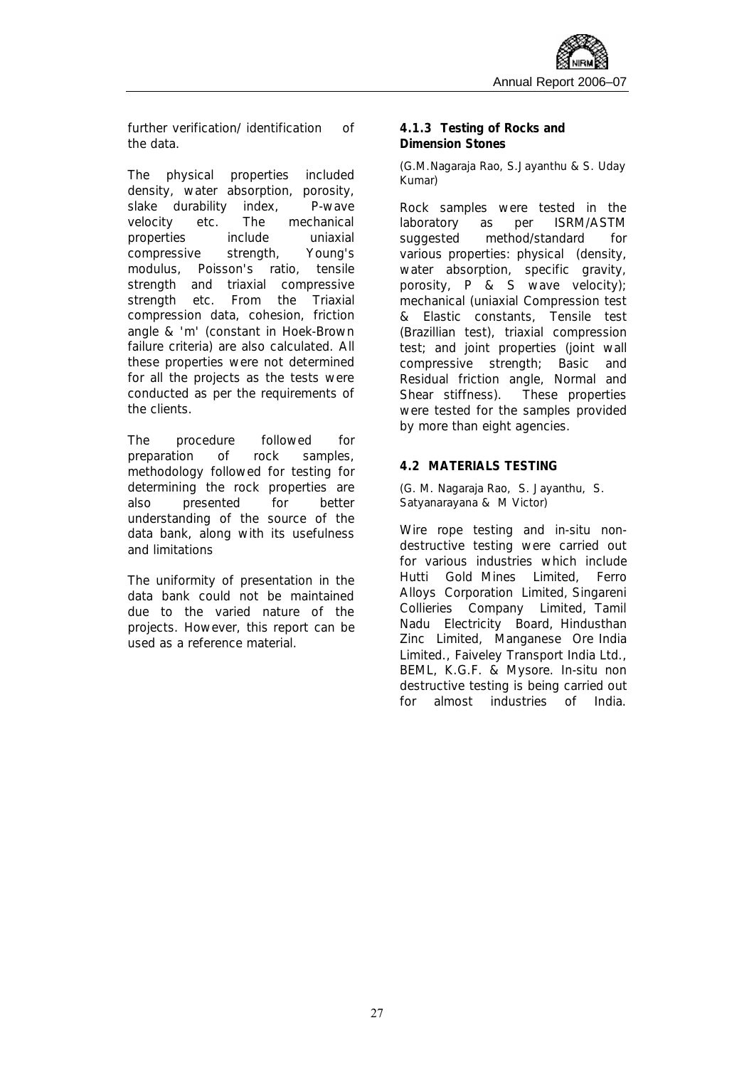further verification/ identification of the data.

The physical properties included density, water absorption, porosity, slake durability index, P-wave velocity etc. The mechanical properties include uniaxial compressive strength, Young's modulus, Poisson's ratio, tensile strength and triaxial compressive strength etc. From the Triaxial compression data, cohesion, friction angle & 'm' (constant in Hoek-Brown failure criteria) are also calculated. All these properties were not determined for all the projects as the tests were conducted as per the requirements of the clients.

The procedure followed for preparation of rock samples, methodology followed for testing for determining the rock properties are also presented for better understanding of the source of the data bank, along with its usefulness and limitations

The uniformity of presentation in the data bank could not be maintained due to the varied nature of the projects. However, this report can be used as a reference material.

#### **4.1.3 Testing of Rocks and Dimension Stones**

#### *(G.M.Nagaraja Rao, S.Jayanthu & S. Uday Kumar)*

Rock samples were tested in the laboratory as per ISRM/ASTM suggested method/standard for various properties: physical (density, water absorption, specific gravity, porosity, P & S wave velocity); mechanical (uniaxial Compression test & Elastic constants, Tensile test (Brazillian test), triaxial compression test; and joint properties (joint wall compressive strength; Basic and Residual friction angle, Normal and Shear stiffness). These properties were tested for the samples provided by more than eight agencies.

#### **4.2 MATERIALS TESTING**

*(G. M. Nagaraja Rao, S. Jayanthu, S. Satyanarayana & M Victor)* 

Wire rope testing and in-situ nondestructive testing were carried out for various industries which include Hutti Gold Mines Limited, Ferro Alloys Corporation Limited, Singareni Collieries Company Limited, Tamil Nadu Electricity Board, Hindusthan Zinc Limited, Manganese Ore India Limited., Faiveley Transport India Ltd., BEML, K.G.F. & Mysore. In-situ non destructive testing is being carried out for almost industries of India.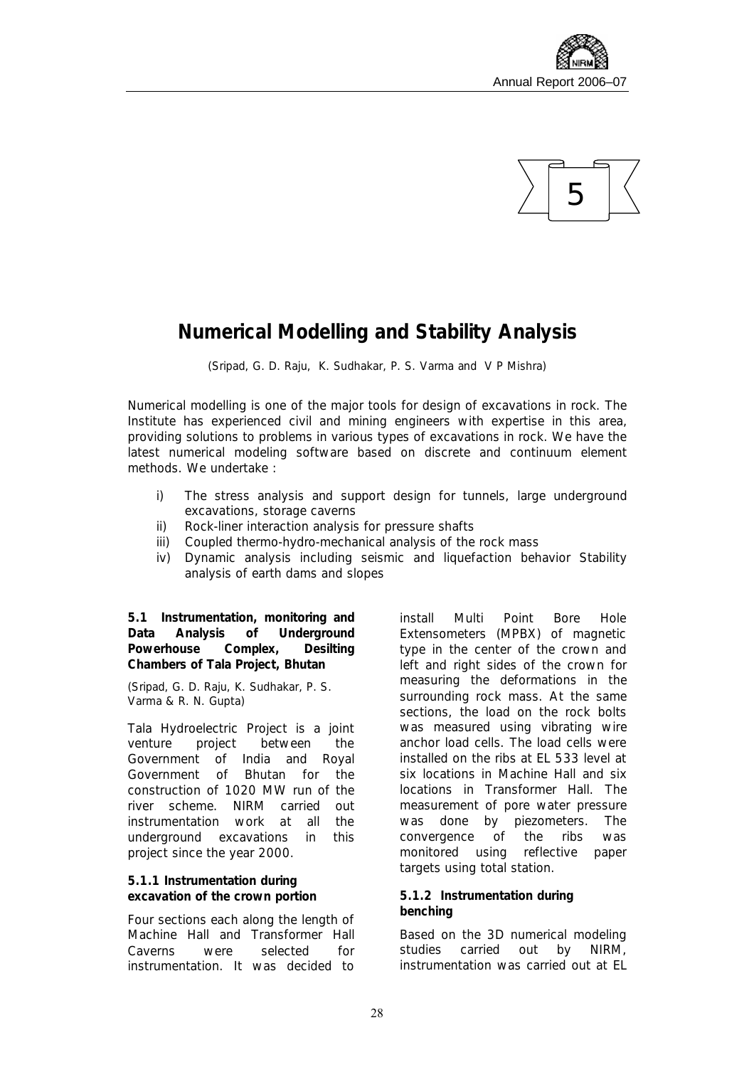



## **Numerical Modelling and Stability Analysis**

*(Sripad, G. D. Raju, K. Sudhakar, P. S. Varma and V P Mishra)*

Numerical modelling is one of the major tools for design of excavations in rock. The Institute has experienced civil and mining engineers with expertise in this area, providing solutions to problems in various types of excavations in rock. We have the latest numerical modeling software based on discrete and continuum element methods. We undertake :

- i) The stress analysis and support design for tunnels, large underground excavations, storage caverns
- ii) Rock-liner interaction analysis for pressure shafts
- iii) Coupled thermo-hydro-mechanical analysis of the rock mass
- iv) Dynamic analysis including seismic and liquefaction behavior Stability analysis of earth dams and slopes

**5.1 Instrumentation, monitoring and Data Analysis of Underground Powerhouse Complex, Desilting Chambers of Tala Project, Bhutan** 

*(Sripad, G. D. Raju, K. Sudhakar, P. S. Varma & R. N. Gupta)* 

Tala Hydroelectric Project is a joint venture project between the Government of India and Royal Government of Bhutan for the construction of 1020 MW run of the river scheme. NIRM carried out instrumentation work at all the underground excavations in this project since the year 2000.

**5.1.1 Instrumentation during excavation of the crown portion** 

Four sections each along the length of Machine Hall and Transformer Hall Caverns were selected for instrumentation. It was decided to install Multi Point Bore Hole Extensometers (MPBX) of magnetic type in the center of the crown and left and right sides of the crown for measuring the deformations in the surrounding rock mass. At the same sections, the load on the rock bolts was measured using vibrating wire anchor load cells. The load cells were installed on the ribs at EL 533 level at six locations in Machine Hall and six locations in Transformer Hall. The measurement of pore water pressure was done by piezometers. The convergence of the ribs was monitored using reflective paper targets using total station.

#### **5.1.2 Instrumentation during benching**

Based on the 3D numerical modeling studies carried out by NIRM, instrumentation was carried out at EL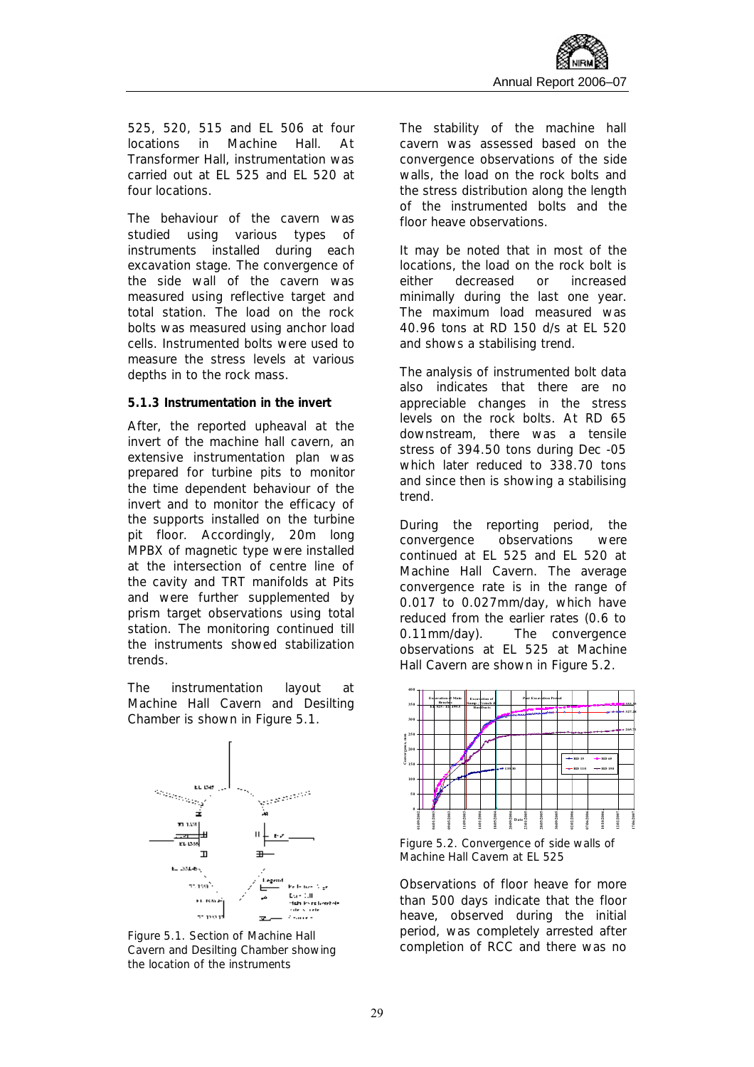525, 520, 515 and EL 506 at four locations in Machine Hall. At Transformer Hall, instrumentation was carried out at EL 525 and EL 520 at four locations.

The behaviour of the cavern was studied using various types of instruments installed during each excavation stage. The convergence of the side wall of the cavern was measured using reflective target and total station. The load on the rock bolts was measured using anchor load cells. Instrumented bolts were used to measure the stress levels at various depths in to the rock mass.

#### **5.1.3 Instrumentation in the invert**

After, the reported upheaval at the invert of the machine hall cavern, an extensive instrumentation plan was prepared for turbine pits to monitor the time dependent behaviour of the invert and to monitor the efficacy of the supports installed on the turbine pit floor. Accordingly, 20m long MPBX of magnetic type were installed at the intersection of centre line of the cavity and TRT manifolds at Pits and were further supplemented by prism target observations using total station. The monitoring continued till the instruments showed stabilization trends.

The instrumentation layout at Machine Hall Cavern and Desilting Chamber is shown in Figure 5.1.



*Figure 5.1. Section of Machine Hall Cavern and Desilting Chamber showing the location of the instruments*

The stability of the machine hall cavern was assessed based on the convergence observations of the side walls, the load on the rock bolts and the stress distribution along the length of the instrumented bolts and the floor heave observations.

It may be noted that in most of the locations, the load on the rock bolt is either decreased or increased minimally during the last one year. The maximum load measured was 40.96 tons at RD 150 d/s at EL 520 and shows a stabilising trend.

The analysis of instrumented bolt data also indicates that there are no appreciable changes in the stress levels on the rock bolts. At RD 65 downstream, there was a tensile stress of 394.50 tons during Dec -05 which later reduced to 338.70 tons and since then is showing a stabilising trend.

During the reporting period, the convergence observations were continued at EL 525 and EL 520 at Machine Hall Cavern. The average convergence rate is in the range of 0.017 to 0.027mm/day, which have reduced from the earlier rates (0.6 to 0.11mm/day). The convergence observations at EL 525 at Machine Hall Cavern are shown in Figure 5.2.



*Figure 5.2. Convergence of side walls of Machine Hall Cavern at EL 525* 

Observations of floor heave for more than 500 days indicate that the floor heave, observed during the initial period, was completely arrested after completion of RCC and there was no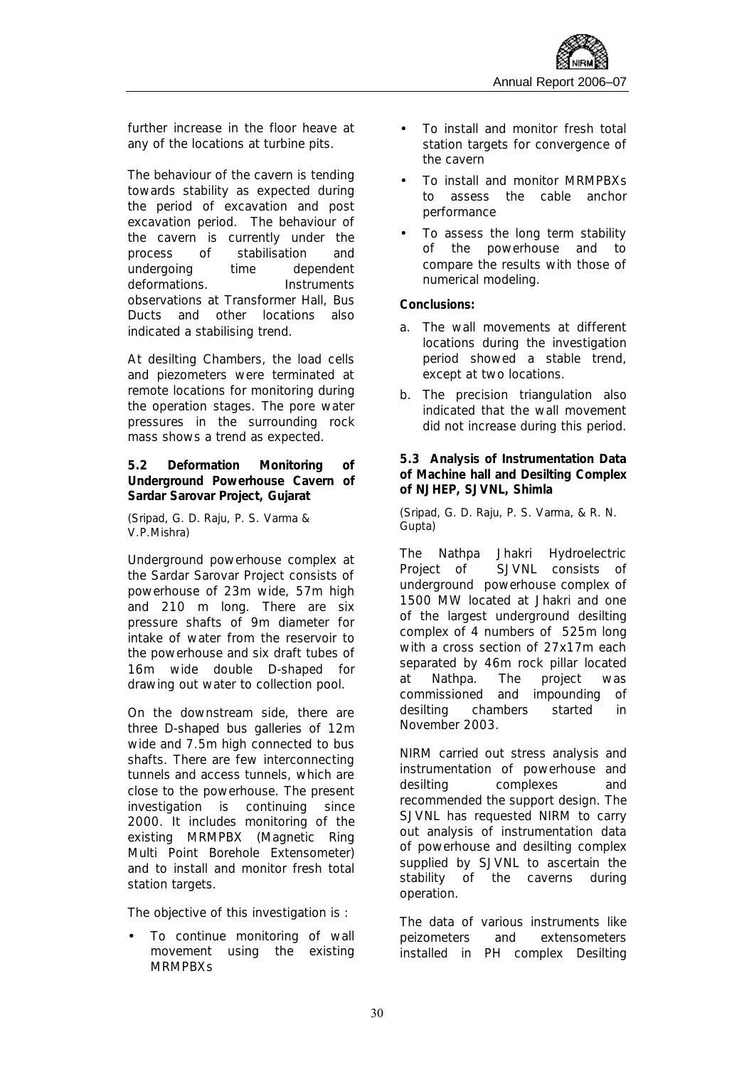

further increase in the floor heave at any of the locations at turbine pits.

The behaviour of the cavern is tending towards stability as expected during the period of excavation and post excavation period. The behaviour of the cavern is currently under the process of stabilisation and undergoing time dependent deformations. Instruments observations at Transformer Hall, Bus Ducts and other locations also indicated a stabilising trend.

At desilting Chambers, the load cells and piezometers were terminated at remote locations for monitoring during the operation stages. The pore water pressures in the surrounding rock mass shows a trend as expected.

**5.2 Deformation Monitoring of Underground Powerhouse Cavern of Sardar Sarovar Project, Gujarat** 

*(Sripad, G. D. Raju, P. S. Varma & V.P.Mishra)* 

Underground powerhouse complex at the Sardar Sarovar Project consists of powerhouse of 23m wide, 57m high and 210 m long. There are six pressure shafts of 9m diameter for intake of water from the reservoir to the powerhouse and six draft tubes of 16m wide double D-shaped for drawing out water to collection pool.

On the downstream side, there are three D-shaped bus galleries of 12m wide and 7.5m high connected to bus shafts. There are few interconnecting tunnels and access tunnels, which are close to the powerhouse. The present investigation is continuing since 2000. It includes monitoring of the existing MRMPBX (Magnetic Ring Multi Point Borehole Extensometer) and to install and monitor fresh total station targets.

The objective of this investigation is :

To continue monitoring of wall movement using the existing MRMPBXs

- To install and monitor fresh total station targets for convergence of the cavern
- To install and monitor MRMPBXs to assess the cable anchor performance
- To assess the long term stability of the powerhouse and to compare the results with those of numerical modeling.

**Conclusions:** 

- a. The wall movements at different locations during the investigation period showed a stable trend, except at two locations.
- b. The precision triangulation also indicated that the wall movement did not increase during this period.

**5.3 Analysis of Instrumentation Data of Machine hall and Desilting Complex of NJHEP, SJVNL, Shimla** 

*(Sripad, G. D. Raju, P. S. Varma, & R. N. Gupta)* 

The Nathpa Jhakri Hydroelectric Project of SJVNL consists of underground powerhouse complex of 1500 MW located at Jhakri and one of the largest underground desilting complex of 4 numbers of 525m long with a cross section of 27x17m each separated by 46m rock pillar located at Nathpa. The project was commissioned and impounding of desilting chambers started in November 2003.

NIRM carried out stress analysis and instrumentation of powerhouse and desilting complexes and recommended the support design. The SJVNL has requested NIRM to carry out analysis of instrumentation data of powerhouse and desilting complex supplied by SJVNL to ascertain the stability of the caverns during operation.

The data of various instruments like peizometers and extensometers installed in PH complex Desilting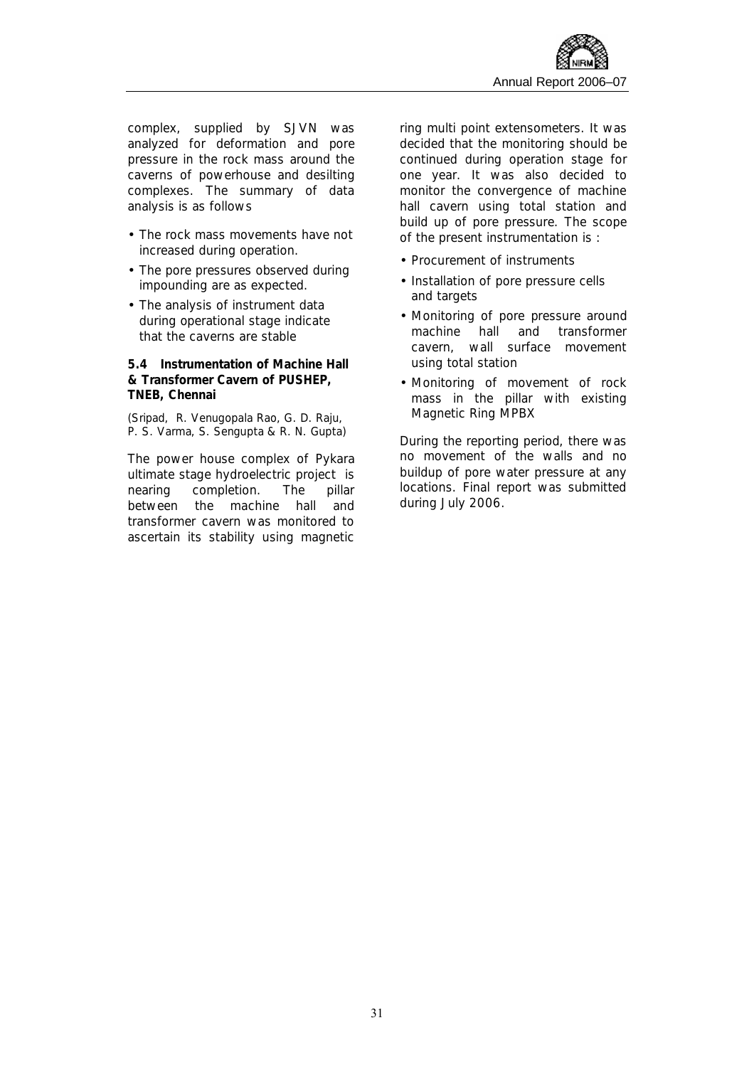complex, supplied by SJVN was analyzed for deformation and pore pressure in the rock mass around the caverns of powerhouse and desilting complexes. The summary of data analysis is as follows

- The rock mass movements have not increased during operation.
- The pore pressures observed during impounding are as expected.
- The analysis of instrument data during operational stage indicate that the caverns are stable

**5.4 Instrumentation of Machine Hall & Transformer Cavern of PUSHEP, TNEB, Chennai** 

*(Sripad, R. Venugopala Rao, G. D. Raju, P. S. Varma, S. Sengupta & R. N. Gupta)* 

The power house complex of Pykara ultimate stage hydroelectric project is nearing completion. The pillar between the machine hall and transformer cavern was monitored to ascertain its stability using magnetic

ring multi point extensometers. It was decided that the monitoring should be continued during operation stage for one year. It was also decided to monitor the convergence of machine hall cavern using total station and build up of pore pressure. The scope of the present instrumentation is :

- Procurement of instruments
- Installation of pore pressure cells and targets
- Monitoring of pore pressure around machine hall and transformer cavern, wall surface movement using total station
- Monitoring of movement of rock mass in the pillar with existing Magnetic Ring MPBX

During the reporting period, there was no movement of the walls and no buildup of pore water pressure at any locations. Final report was submitted during July 2006.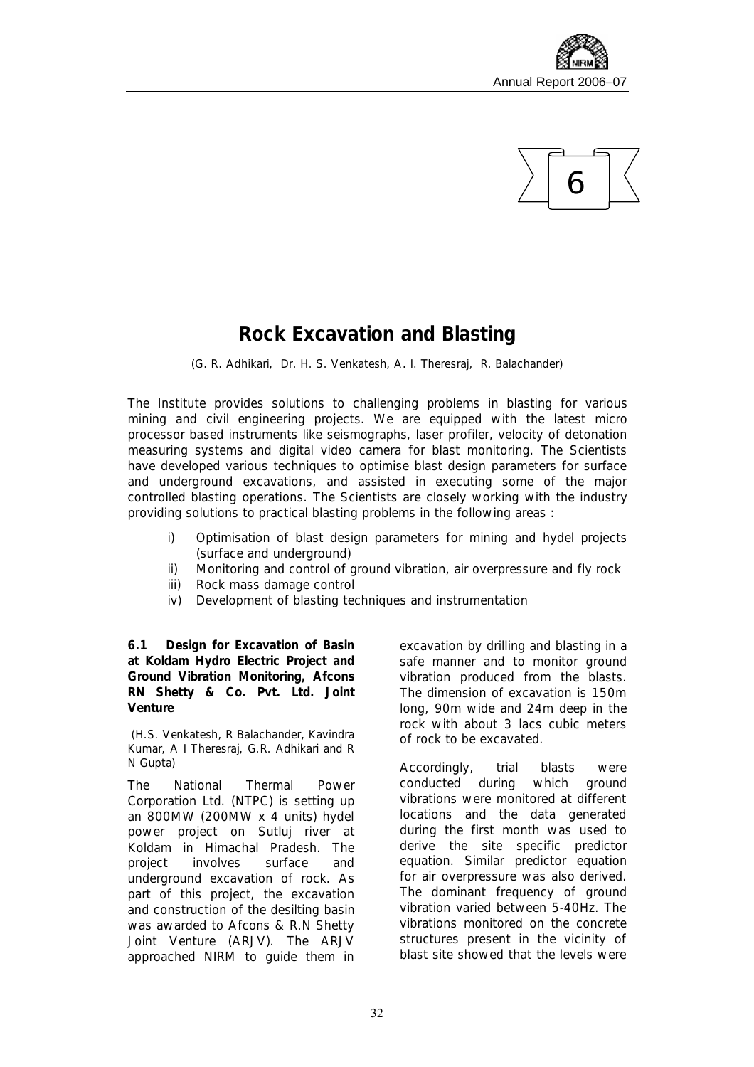



## **Rock Excavation and Blasting**

*(G. R. Adhikari, Dr. H. S. Venkatesh, A. I. Theresraj, R. Balachander)*

The Institute provides solutions to challenging problems in blasting for various mining and civil engineering projects. We are equipped with the latest micro processor based instruments like seismographs, laser profiler, velocity of detonation measuring systems and digital video camera for blast monitoring. The Scientists have developed various techniques to optimise blast design parameters for surface and underground excavations, and assisted in executing some of the major controlled blasting operations. The Scientists are closely working with the industry providing solutions to practical blasting problems in the following areas :

- i) Optimisation of blast design parameters for mining and hydel projects (surface and underground)
- ii) Monitoring and control of ground vibration, air overpressure and fly rock
- iii) Rock mass damage control
- iv) Development of blasting techniques and instrumentation

**6.1 Design for Excavation of Basin at Koldam Hydro Electric Project and Ground Vibration Monitoring, Afcons RN Shetty & Co. Pvt. Ltd. Joint Venture** 

*(H.S. Venkatesh, R Balachander, Kavindra Kumar, A I Theresraj, G.R. Adhikari and R N Gupta)* 

The National Thermal Power Corporation Ltd. (NTPC) is setting up an 800MW (200MW x 4 units) hydel power project on Sutluj river at Koldam in Himachal Pradesh. The project involves surface and underground excavation of rock. As part of this project, the excavation and construction of the desilting basin was awarded to Afcons & R.N Shetty Joint Venture (ARJV). The ARJV approached NIRM to guide them in

excavation by drilling and blasting in a safe manner and to monitor ground vibration produced from the blasts. The dimension of excavation is 150m long, 90m wide and 24m deep in the rock with about 3 lacs cubic meters of rock to be excavated.

Accordingly, trial blasts were conducted during which ground vibrations were monitored at different locations and the data generated during the first month was used to derive the site specific predictor equation. Similar predictor equation for air overpressure was also derived. The dominant frequency of ground vibration varied between 5-40Hz. The vibrations monitored on the concrete structures present in the vicinity of blast site showed that the levels were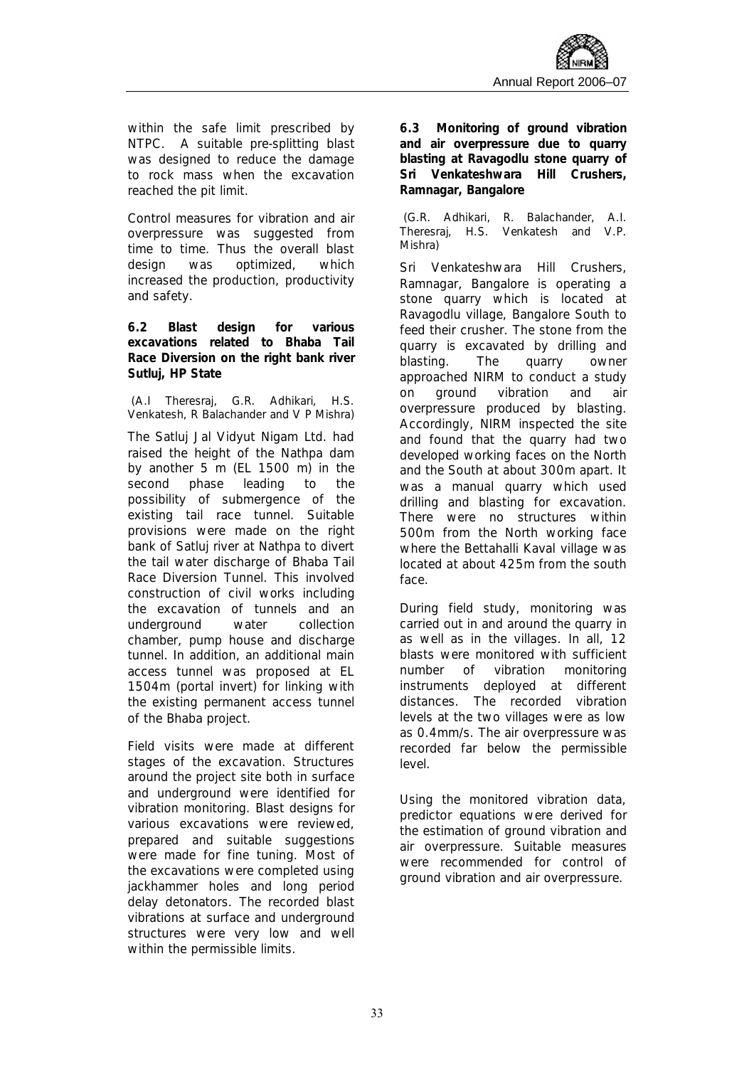within the safe limit prescribed by NTPC. A suitable pre-splitting blast was designed to reduce the damage to rock mass when the excavation reached the pit limit.

Control measures for vibration and air overpressure was suggested from time to time. Thus the overall blast design was optimized, which increased the production, productivity and safety.

**6.2 Blast design for various excavations related to Bhaba Tail Race Diversion on the right bank river Sutluj, HP State** 

*(A.I Theresraj, G.R. Adhikari, H.S. Venkatesh, R Balachander and V P Mishra)* 

The Satluj Jal Vidyut Nigam Ltd. had raised the height of the Nathpa dam by another 5 m (EL 1500 m) in the second phase leading to the possibility of submergence of the existing tail race tunnel. Suitable provisions were made on the right bank of Satluj river at Nathpa to divert the tail water discharge of Bhaba Tail Race Diversion Tunnel. This involved construction of civil works including the excavation of tunnels and an underground water collection chamber, pump house and discharge tunnel. In addition, an additional main access tunnel was proposed at EL 1504m (portal invert) for linking with the existing permanent access tunnel of the Bhaba project.

Field visits were made at different stages of the excavation. Structures around the project site both in surface and underground were identified for vibration monitoring. Blast designs for various excavations were reviewed, prepared and suitable suggestions were made for fine tuning. Most of the excavations were completed using jackhammer holes and long period delay detonators. The recorded blast vibrations at surface and underground structures were very low and well within the permissible limits.

**6.3 Monitoring of ground vibration and air overpressure due to quarry blasting at Ravagodlu stone quarry of Sri Venkateshwara Hill Crushers, Ramnagar, Bangalore** 

*(G.R. Adhikari, R. Balachander, A.I. Theresraj, H.S. Venkatesh and V.P. Mishra)* 

Sri Venkateshwara Hill Crushers, Ramnagar, Bangalore is operating a stone quarry which is located at Ravagodlu village, Bangalore South to feed their crusher. The stone from the quarry is excavated by drilling and blasting. The quarry owner approached NIRM to conduct a study on ground vibration and air overpressure produced by blasting. Accordingly, NIRM inspected the site and found that the quarry had two developed working faces on the North and the South at about 300m apart. It was a manual quarry which used drilling and blasting for excavation. There were no structures within 500m from the North working face where the Bettahalli Kaval village was located at about 425m from the south face.

During field study, monitoring was carried out in and around the quarry in as well as in the villages. In all, 12 blasts were monitored with sufficient number of vibration monitoring instruments deployed at different distances. The recorded vibration levels at the two villages were as low as 0.4mm/s. The air overpressure was recorded far below the permissible level.

Using the monitored vibration data, predictor equations were derived for the estimation of ground vibration and air overpressure. Suitable measures were recommended for control of ground vibration and air overpressure.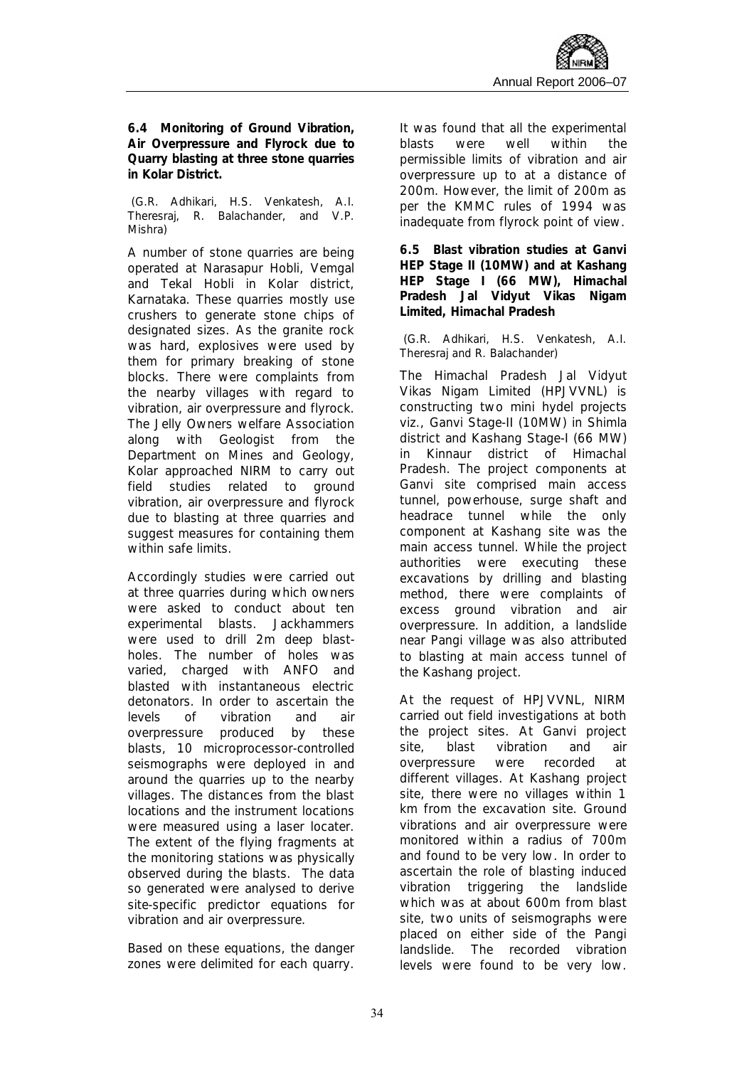**6.4 Monitoring of Ground Vibration, Air Overpressure and Flyrock due to Quarry blasting at three stone quarries in Kolar District.** 

*(G.R. Adhikari, H.S. Venkatesh, A.I. Theresraj, R. Balachander, and V.P. Mishra)* 

A number of stone quarries are being operated at Narasapur Hobli, Vemgal and Tekal Hobli in Kolar district, Karnataka. These quarries mostly use crushers to generate stone chips of designated sizes. As the granite rock was hard, explosives were used by them for primary breaking of stone blocks. There were complaints from the nearby villages with regard to vibration, air overpressure and flyrock. The Jelly Owners welfare Association along with Geologist from the Department on Mines and Geology, Kolar approached NIRM to carry out field studies related to ground vibration, air overpressure and flyrock due to blasting at three quarries and suggest measures for containing them within safe limits.

Accordingly studies were carried out at three quarries during which owners were asked to conduct about ten experimental blasts. Jackhammers were used to drill 2m deep blastholes. The number of holes was varied, charged with ANFO and blasted with instantaneous electric detonators. In order to ascertain the levels of vibration and air overpressure produced by these blasts, 10 microprocessor-controlled seismographs were deployed in and around the quarries up to the nearby villages. The distances from the blast locations and the instrument locations were measured using a laser locater. The extent of the flying fragments at the monitoring stations was physically observed during the blasts. The data so generated were analysed to derive site-specific predictor equations for vibration and air overpressure.

Based on these equations, the danger zones were delimited for each quarry. It was found that all the experimental blasts were well within the permissible limits of vibration and air overpressure up to at a distance of 200m. However, the limit of 200m as per the KMMC rules of 1994 was inadequate from flyrock point of view.

**6.5 Blast vibration studies at Ganvi HEP Stage II (10MW) and at Kashang HEP Stage I (66 MW), Himachal Pradesh Jal Vidyut Vikas Nigam Limited, Himachal Pradesh** 

#### *(G.R. Adhikari, H.S. Venkatesh, A.I. Theresraj and R. Balachander)*

The Himachal Pradesh Jal Vidyut Vikas Nigam Limited (HPJVVNL) is constructing two mini hydel projects viz., Ganvi Stage-II (10MW) in Shimla district and Kashang Stage-I (66 MW) in Kinnaur district of Himachal Pradesh. The project components at Ganvi site comprised main access tunnel, powerhouse, surge shaft and headrace tunnel while the only component at Kashang site was the main access tunnel. While the project authorities were executing these excavations by drilling and blasting method, there were complaints of excess ground vibration and air overpressure. In addition, a landslide near Pangi village was also attributed to blasting at main access tunnel of the Kashang project.

At the request of HPJVVNL, NIRM carried out field investigations at both the project sites. At Ganvi project site, blast vibration and air overpressure were recorded at different villages. At Kashang project site, there were no villages within 1 km from the excavation site. Ground vibrations and air overpressure were monitored within a radius of 700m and found to be very low. In order to ascertain the role of blasting induced vibration triggering the landslide which was at about 600m from blast site, two units of seismographs were placed on either side of the Pangi landslide. The recorded vibration levels were found to be very low.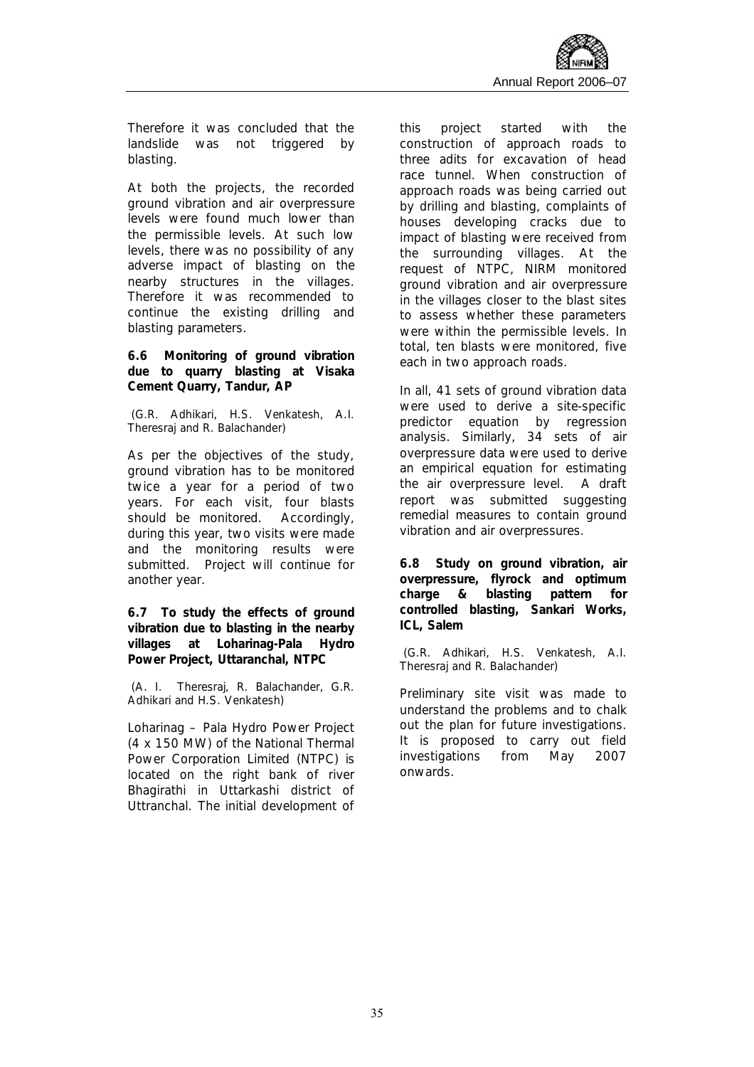Therefore it was concluded that the landslide was not triggered by blasting.

At both the projects, the recorded ground vibration and air overpressure levels were found much lower than the permissible levels. At such low levels, there was no possibility of any adverse impact of blasting on the nearby structures in the villages. Therefore it was recommended to continue the existing drilling and blasting parameters.

**6.6 Monitoring of ground vibration due to quarry blasting at Visaka Cement Quarry, Tandur, AP**

*(G.R. Adhikari, H.S. Venkatesh, A.I. Theresraj and R. Balachander)* 

As per the objectives of the study, ground vibration has to be monitored twice a year for a period of two years. For each visit, four blasts should be monitored. Accordingly, during this year, two visits were made and the monitoring results were submitted. Project will continue for another year.

**6.7 To study the effects of ground vibration due to blasting in the nearby villages at Loharinag-Pala Hydro Power Project, Uttaranchal, NTPC** 

*(A. I. Theresraj, R. Balachander, G.R. Adhikari and H.S. Venkatesh)* 

Loharinag – Pala Hydro Power Project (4 x 150 MW) of the National Thermal Power Corporation Limited (NTPC) is located on the right bank of river Bhagirathi in Uttarkashi district of Uttranchal. The initial development of this project started with the construction of approach roads to three adits for excavation of head race tunnel. When construction of approach roads was being carried out by drilling and blasting, complaints of houses developing cracks due to impact of blasting were received from the surrounding villages. At the request of NTPC, NIRM monitored ground vibration and air overpressure in the villages closer to the blast sites to assess whether these parameters were within the permissible levels. In total, ten blasts were monitored, five each in two approach roads.

In all, 41 sets of ground vibration data were used to derive a site-specific predictor equation by regression analysis. Similarly, 34 sets of air overpressure data were used to derive an empirical equation for estimating the air overpressure level. A draft report was submitted suggesting remedial measures to contain ground vibration and air overpressures.

**6.8 Study on ground vibration, air overpressure, flyrock and optimum charge & blasting pattern for controlled blasting, Sankari Works, ICL, Salem** 

*(G.R. Adhikari, H.S. Venkatesh, A.I. Theresraj and R. Balachander)* 

Preliminary site visit was made to understand the problems and to chalk out the plan for future investigations. It is proposed to carry out field investigations from May 2007 onwards.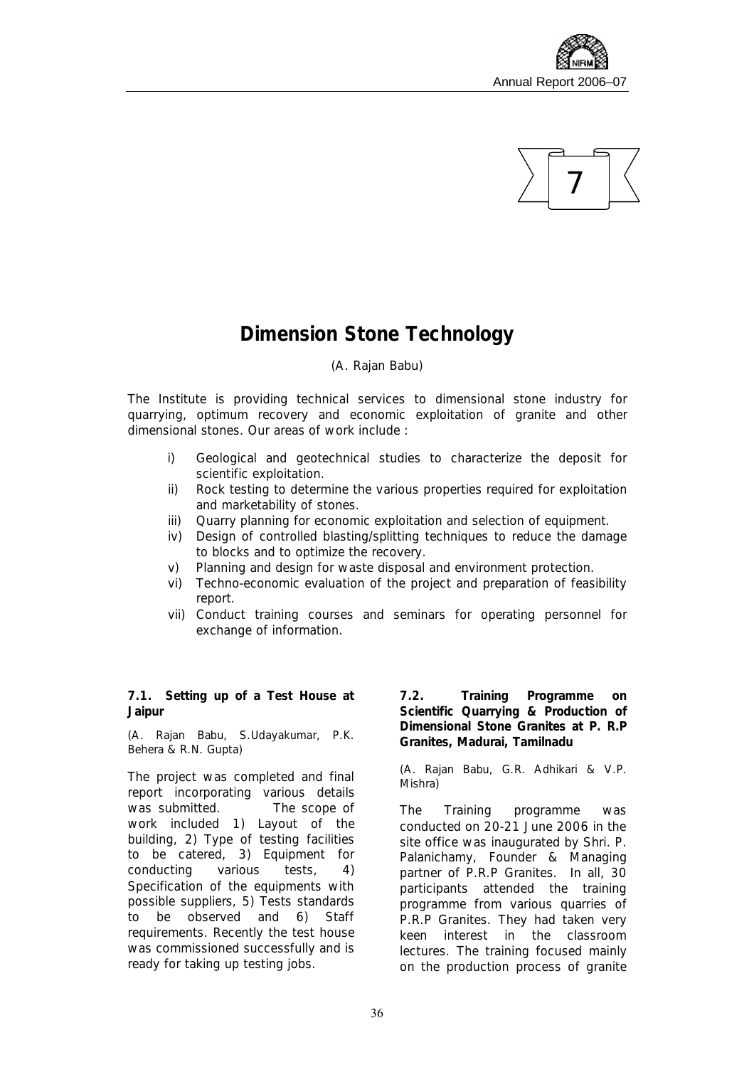



### **Dimension Stone Technology**

#### *(A. Rajan Babu)*

The Institute is providing technical services to dimensional stone industry for quarrying, optimum recovery and economic exploitation of granite and other dimensional stones. Our areas of work include :

- i) Geological and geotechnical studies to characterize the deposit for scientific exploitation.
- ii) Rock testing to determine the various properties required for exploitation and marketability of stones.
- iii) Quarry planning for economic exploitation and selection of equipment.
- iv) Design of controlled blasting/splitting techniques to reduce the damage to blocks and to optimize the recovery.
- v) Planning and design for waste disposal and environment protection.
- vi) Techno-economic evaluation of the project and preparation of feasibility report.
- vii) Conduct training courses and seminars for operating personnel for exchange of information.

**7.1. Setting up of a Test House at Jaipur** 

*(A. Rajan Babu, S.Udayakumar, P.K. Behera & R.N. Gupta)* 

The project was completed and final report incorporating various details was submitted. The scope of work included 1) Layout of the building, 2) Type of testing facilities to be catered, 3) Equipment for conducting various tests, 4) Specification of the equipments with possible suppliers, 5) Tests standards to be observed and 6) Staff requirements. Recently the test house was commissioned successfully and is ready for taking up testing jobs.

**7.2. Training Programme on Scientific Quarrying & Production of Dimensional Stone Granites at P. R.P Granites, Madurai, Tamilnadu** 

*(A. Rajan Babu, G.R. Adhikari & V.P. Mishra)* 

The Training programme was conducted on 20-21 June 2006 in the site office was inaugurated by Shri. P. Palanichamy, Founder & Managing partner of P.R.P Granites. In all, 30 participants attended the training programme from various quarries of P.R.P Granites. They had taken very keen interest in the classroom lectures. The training focused mainly on the production process of granite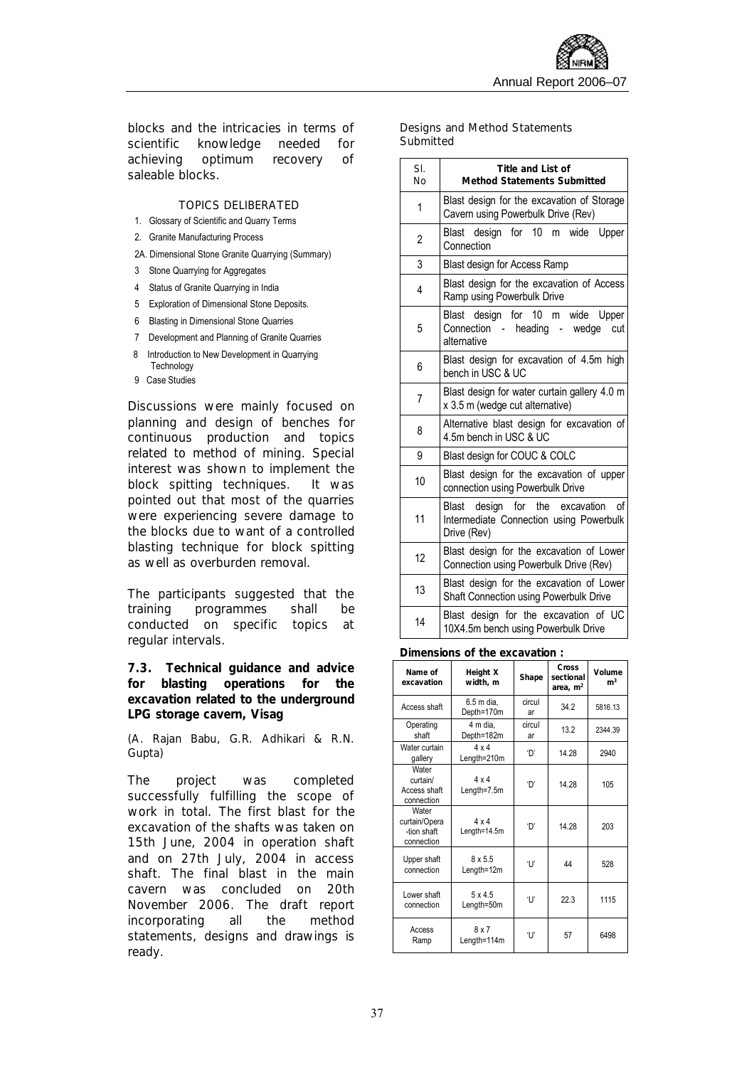blocks and the intricacies in terms of scientific knowledge needed for achieving optimum recovery of saleable blocks.

#### TOPICS DELIBERATED

- 1. Glossary of Scientific and Quarry Terms
- 2. Granite Manufacturing Process
- 2A. Dimensional Stone Granite Quarrying (Summary)
- 3 Stone Quarrying for Aggregates
- 4 Status of Granite Quarrying in India
- 5 Exploration of Dimensional Stone Deposits.
- 6 Blasting in Dimensional Stone Quarries
- 7 Development and Planning of Granite Quarries
- 8 Introduction to New Development in Quarrying **Technology**
- 9 Case Studies

Discussions were mainly focused on planning and design of benches for continuous production and topics related to method of mining. Special interest was shown to implement the block spitting techniques. It was pointed out that most of the quarries were experiencing severe damage to the blocks due to want of a controlled blasting technique for block spitting as well as overburden removal.

The participants suggested that the training programmes shall be conducted on specific topics at regular intervals.

**7.3. Technical guidance and advice for blasting operations for the excavation related to the underground LPG storage cavern, Visag** 

*(A. Rajan Babu, G.R. Adhikari & R.N. Gupta)* 

The project was completed successfully fulfilling the scope of work in total. The first blast for the excavation of the shafts was taken on 15th June, 2004 in operation shaft and on 27th July, 2004 in access shaft. The final blast in the main cavern was concluded on 20th November 2006. The draft report incorporating all the method statements, designs and drawings is ready.

#### Designs and Method Statements **Submitted**

| SI.<br>No      | Title and List of<br><b>Method Statements Submitted</b>                                                            |
|----------------|--------------------------------------------------------------------------------------------------------------------|
| 1              | Blast design for the excavation of Storage<br>Cavern using Powerbulk Drive (Rev)                                   |
| $\overline{c}$ | Blast design for 10 m<br>wide<br>Upper<br>Connection                                                               |
| 3              | Blast design for Access Ramp                                                                                       |
| 4              | Blast design for the excavation of Access<br>Ramp using Powerbulk Drive                                            |
| 5              | Blast design for 10 m wide Upper<br>Connection<br>- heading<br>- wedge<br>cut<br>alternative                       |
| 6              | Blast design for excavation of 4.5m high<br>bench in USC & UC                                                      |
| $\overline{7}$ | Blast design for water curtain gallery 4.0 m<br>x 3.5 m (wedge cut alternative)                                    |
| 8              | Alternative blast design for excavation of<br>4.5m bench in USC & UC                                               |
| 9              | Blast design for COUC & COLC                                                                                       |
| 10             | Blast design for the excavation of upper<br>connection using Powerbulk Drive                                       |
| 11             | of<br>for<br>the<br>excavation<br><b>Blast</b><br>design<br>Intermediate Connection using Powerbulk<br>Drive (Rev) |
| 12             | Blast design for the excavation of Lower<br>Connection using Powerbulk Drive (Rev)                                 |
| 13             | Blast design for the excavation of Lower<br>Shaft Connection using Powerbulk Drive                                 |
| 14             | Blast design for the excavation of UC<br>10X4.5m bench using Powerbulk Drive                                       |

#### **Dimensions of the excavation :**

| Name of<br>excavation                               | Height X<br>width, m         | Shape        | Cross<br>sectional<br>area, $m2$ | Volume<br>m <sup>3</sup> |
|-----------------------------------------------------|------------------------------|--------------|----------------------------------|--------------------------|
| Access shaft                                        | 6.5 m dia.<br>Depth=170m     | circul<br>ar | 34.2                             | 5816.13                  |
| Operating<br>shaft                                  | 4 m dia,<br>Depth=182m       | circul<br>ar | 13.2                             | 2344.39                  |
| Water curtain<br>gallery                            | $4 \times 4$<br>Length=210m  | 'D'          | 14.28                            | 2940                     |
| Water<br>curtain/<br>Access shaft<br>connection     | $4 \times 4$<br>Length=7.5m  | 'D'          | 14.28                            | 105                      |
| Water<br>curtain/Opera<br>-tion shaft<br>connection | $4 \times 4$<br>Length=14.5m | 'n'          | 14 28                            | 203                      |
| Upper shaft<br>connection                           | $8 \times 5.5$<br>Length=12m | T            | 44                               | 528                      |
| Lower shaft<br>connection                           | $5 \times 4.5$<br>Length=50m | T            | 22.3                             | 1115                     |
| Access<br>Ramp                                      | 8x7<br>Length=114m           | 'U'          | 57                               | 6498                     |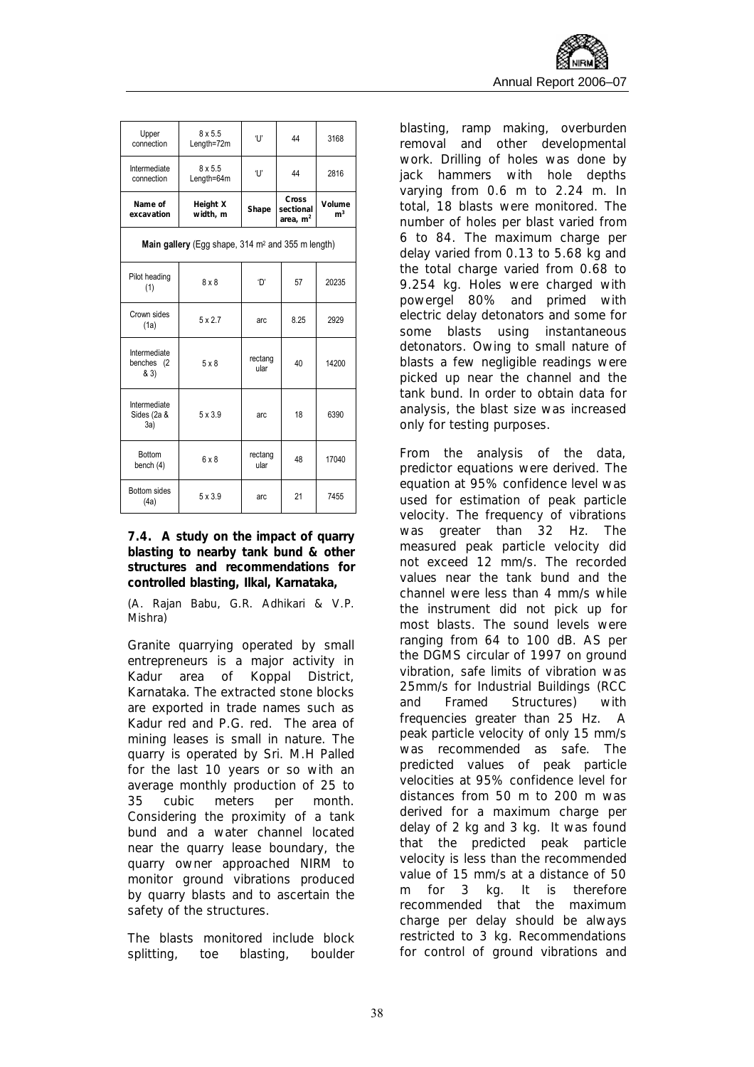| Upper<br>connection                                           | $8 \times 5.5$<br>Length=72m | 'U'             | 44                               | 3168                     |  |  |  |  |  |
|---------------------------------------------------------------|------------------------------|-----------------|----------------------------------|--------------------------|--|--|--|--|--|
| Intermediate<br>connection                                    | $8 \times 5.5$<br>Length=64m | 'U'             | 44                               | 2816                     |  |  |  |  |  |
| Name of<br>excavation                                         | Height X<br>width, m         | Shape           | Cross<br>sectional<br>area, $m2$ | Volume<br>$\mathsf{m}^3$ |  |  |  |  |  |
| Main gallery (Egg shape, 314 m <sup>2</sup> and 355 m length) |                              |                 |                                  |                          |  |  |  |  |  |
| Pilot heading<br>(1)                                          | $8 \times 8$                 | 'D'             | 57                               |                          |  |  |  |  |  |
| Crown sides<br>(1a)                                           | $5 \times 2.7$               | arc             | 8.25                             | 2929                     |  |  |  |  |  |
| Intermediate<br>benches (2<br>& 3)                            | $5 \times 8$                 | rectang<br>ular | 40                               | 14200                    |  |  |  |  |  |
| Intermediate<br>Sides (2a &<br>3a)                            | $5 \times 3.9$               | arc             | 18                               | 6390                     |  |  |  |  |  |
| <b>Bottom</b><br>bench (4)                                    | $6 \times 8$                 | rectang<br>ular | 48                               | 17040                    |  |  |  |  |  |
| Bottom sides<br>(4a)                                          | $5 \times 3.9$               | arc             | 21                               | 7455                     |  |  |  |  |  |

**7.4. A study on the impact of quarry blasting to nearby tank bund & other structures and recommendations for controlled blasting, Ilkal, Karnataka,** 

*(A. Rajan Babu, G.R. Adhikari & V.P. Mishra)* 

Granite quarrying operated by small entrepreneurs is a major activity in Kadur area of Koppal District, Karnataka. The extracted stone blocks are exported in trade names such as Kadur red and P.G. red. The area of mining leases is small in nature. The quarry is operated by Sri. M.H Palled for the last 10 years or so with an average monthly production of 25 to 35 cubic meters per month. Considering the proximity of a tank bund and a water channel located near the quarry lease boundary, the quarry owner approached NIRM to monitor ground vibrations produced by quarry blasts and to ascertain the safety of the structures.

The blasts monitored include block splitting, toe blasting, boulder

blasting, ramp making, overburden removal and other developmental work. Drilling of holes was done by jack hammers with hole depths varying from 0.6 m to 2.24 m. In total, 18 blasts were monitored. The number of holes per blast varied from 6 to 84. The maximum charge per delay varied from 0.13 to 5.68 kg and the total charge varied from 0.68 to 9.254 kg. Holes were charged with powergel 80% and primed with electric delay detonators and some for some blasts using instantaneous detonators. Owing to small nature of blasts a few negligible readings were picked up near the channel and the tank bund. In order to obtain data for analysis, the blast size was increased only for testing purposes.

From the analysis of the data, predictor equations were derived. The equation at 95% confidence level was used for estimation of peak particle velocity. The frequency of vibrations was greater than 32 Hz. The measured peak particle velocity did not exceed 12 mm/s. The recorded values near the tank bund and the channel were less than 4 mm/s while the instrument did not pick up for most blasts. The sound levels were ranging from 64 to 100 dB. AS per the DGMS circular of 1997 on ground vibration, safe limits of vibration was 25mm/s for Industrial Buildings (RCC and Framed Structures) with frequencies greater than 25 Hz. A peak particle velocity of only 15 mm/s was recommended as safe. The predicted values of peak particle velocities at 95% confidence level for distances from 50 m to 200 m was derived for a maximum charge per delay of 2 kg and 3 kg. It was found that the predicted peak particle velocity is less than the recommended value of 15 mm/s at a distance of 50 m for 3 kg. It is therefore recommended that the maximum charge per delay should be always restricted to 3 kg. Recommendations for control of ground vibrations and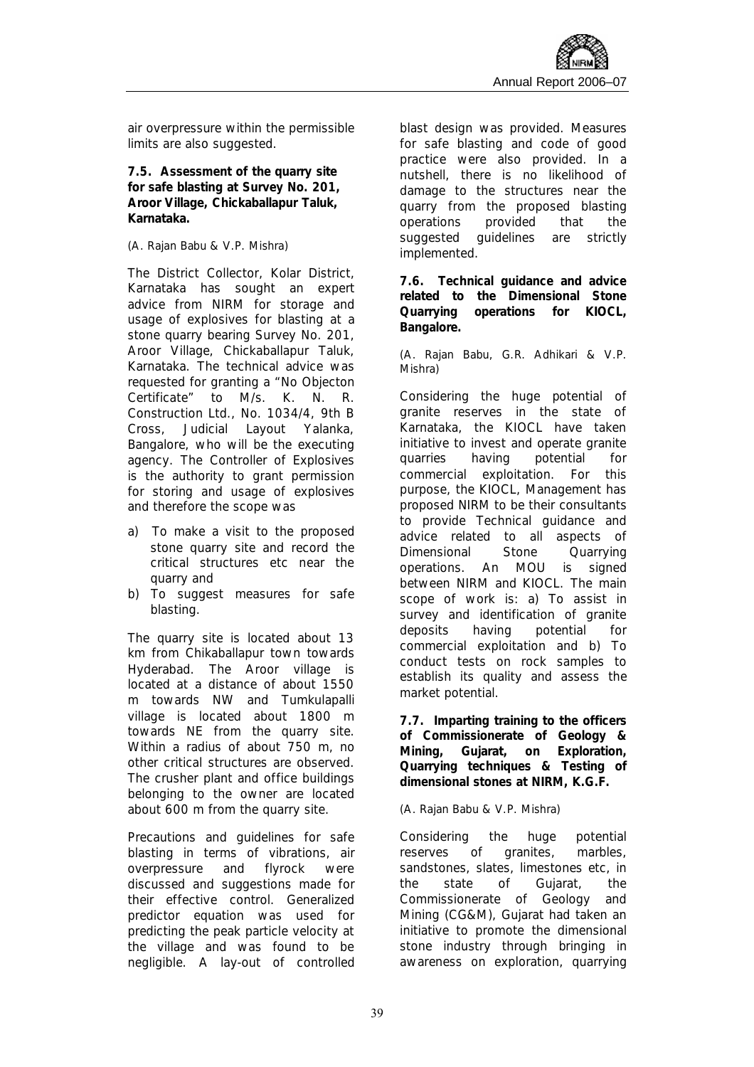air overpressure within the permissible limits are also suggested.

**7.5. Assessment of the quarry site for safe blasting at Survey No. 201, Aroor Village, Chickaballapur Taluk, Karnataka.** 

#### *(A. Rajan Babu & V.P. Mishra)*

The District Collector, Kolar District, Karnataka has sought an expert advice from NIRM for storage and usage of explosives for blasting at a stone quarry bearing Survey No. 201, Aroor Village, Chickaballapur Taluk, Karnataka. The technical advice was requested for granting a "No Objecton Certificate" to M/s. K. N. R. Construction Ltd., No. 1034/4, 9th B Cross, Judicial Layout Yalanka, Bangalore, who will be the executing agency. The Controller of Explosives is the authority to grant permission for storing and usage of explosives and therefore the scope was

- a) To make a visit to the proposed stone quarry site and record the critical structures etc near the quarry and
- b) To suggest measures for safe blasting.

The quarry site is located about 13 km from Chikaballapur town towards Hyderabad. The Aroor village is located at a distance of about 1550 m towards NW and Tumkulapalli village is located about 1800 m towards NE from the quarry site. Within a radius of about 750 m, no other critical structures are observed. The crusher plant and office buildings belonging to the owner are located about 600 m from the quarry site.

Precautions and guidelines for safe blasting in terms of vibrations, air overpressure and flyrock were discussed and suggestions made for their effective control. Generalized predictor equation was used for predicting the peak particle velocity at the village and was found to be negligible. A lay-out of controlled blast design was provided. Measures for safe blasting and code of good practice were also provided. In a nutshell, there is no likelihood of damage to the structures near the quarry from the proposed blasting operations provided that the suggested guidelines are strictly implemented.

**7.6. Technical guidance and advice related to the Dimensional Stone Quarrying operations for KIOCL, Bangalore.** 

*(A. Rajan Babu, G.R. Adhikari & V.P. Mishra)* 

Considering the huge potential of granite reserves in the state of Karnataka, the KIOCL have taken initiative to invest and operate granite quarries having potential for commercial exploitation. For this purpose, the KIOCL, Management has proposed NIRM to be their consultants to provide Technical guidance and advice related to all aspects of Dimensional Stone Quarrying operations. An MOU is signed between NIRM and KIOCL. The main scope of work is: a) To assist in survey and identification of granite deposits having potential for commercial exploitation and b) To conduct tests on rock samples to establish its quality and assess the market potential.

**7.7. Imparting training to the officers of Commissionerate of Geology & Mining, Gujarat, on Exploration, Quarrying techniques & Testing of dimensional stones at NIRM, K.G.F.** 

#### *(A. Rajan Babu & V.P. Mishra)*

Considering the huge potential reserves of granites, marbles, sandstones, slates, limestones etc, in the state of Gujarat, the Commissionerate of Geology and Mining (CG&M), Gujarat had taken an initiative to promote the dimensional stone industry through bringing in awareness on exploration, quarrying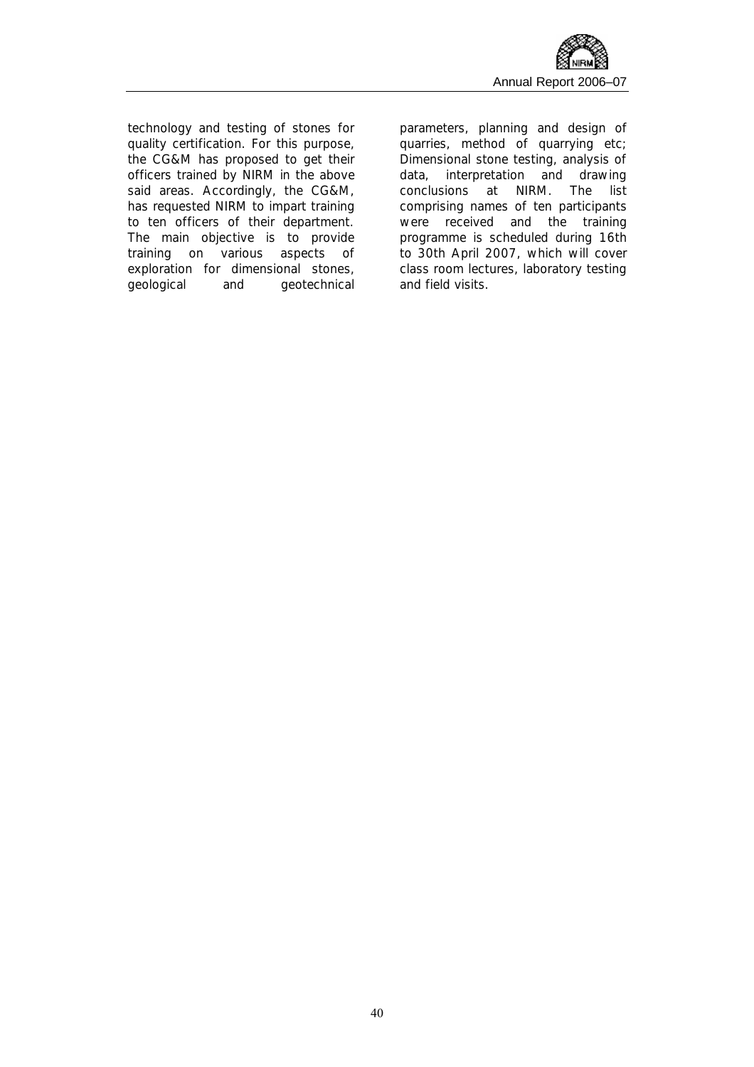

technology and testing of stones for quality certification. For this purpose, the CG&M has proposed to get their officers trained by NIRM in the above said areas. Accordingly, the CG&M, has requested NIRM to impart training to ten officers of their department. The main objective is to provide training on various aspects of exploration for dimensional stones, geological and geotechnical

parameters, planning and design of quarries, method of quarrying etc; Dimensional stone testing, analysis of data, interpretation and drawing conclusions at NIRM. The list comprising names of ten participants were received and the training programme is scheduled during 16th to 30th April 2007, which will cover class room lectures, laboratory testing and field visits.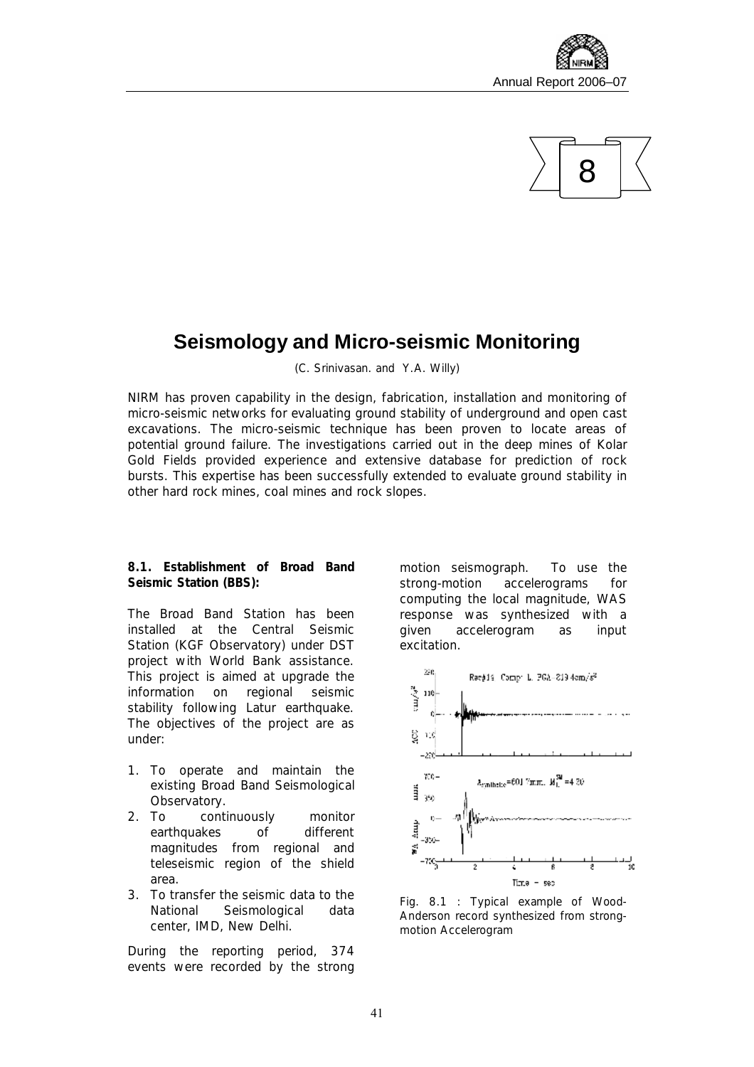



### **Seismology and Micro-seismic Monitoring**

*(C. Srinivasan. and Y.A. Willy)* 

NIRM has proven capability in the design, fabrication, installation and monitoring of micro-seismic networks for evaluating ground stability of underground and open cast excavations. The micro-seismic technique has been proven to locate areas of potential ground failure. The investigations carried out in the deep mines of Kolar Gold Fields provided experience and extensive database for prediction of rock bursts. This expertise has been successfully extended to evaluate ground stability in other hard rock mines, coal mines and rock slopes.

**8.1. Establishment of Broad Band Seismic Station (BBS):** 

The Broad Band Station has been installed at the Central Seismic Station (KGF Observatory) under DST project with World Bank assistance. This project is aimed at upgrade the information on regional seismic stability following Latur earthquake. The objectives of the project are as under:

- 1. To operate and maintain the existing Broad Band Seismological Observatory.
- 2. To continuously monitor earthquakes of different magnitudes from regional and teleseismic region of the shield area.
- 3. To transfer the seismic data to the National Seismological data center, IMD, New Delhi.

During the reporting period, 374 events were recorded by the strong motion seismograph. To use the strong-motion accelerograms for computing the local magnitude, WAS response was synthesized with a given accelerogram as input excitation.



*Fig. 8.1 : Typical example of Wood-Anderson record synthesized from strongmotion Accelerogram*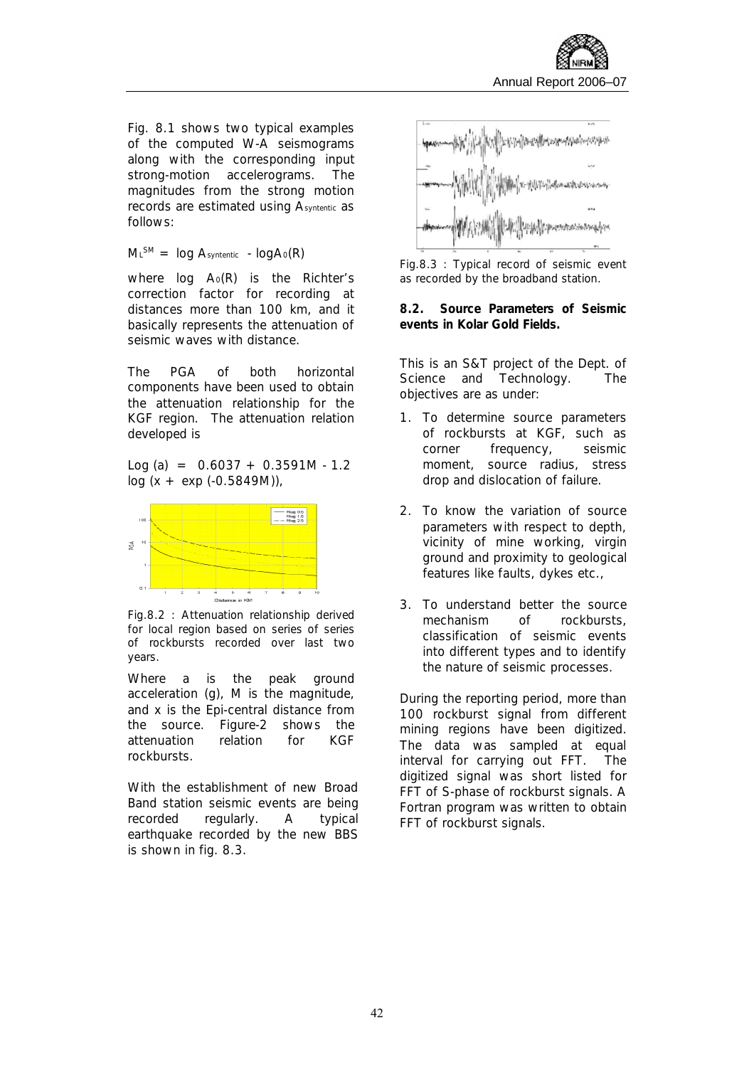Fig. 8.1 shows two typical examples of the computed W-A seismograms along with the corresponding input strong-motion accelerograms. The magnitudes from the strong motion records are estimated using *Asyntentic* as follows:

*M<sup>L</sup> SM = log Asyntentic - logA0(R)*

where *log A0(R)* is the Richter's correction factor for recording at distances more than 100 km, and it basically represents the attenuation of seismic waves with distance.

The PGA of both horizontal components have been used to obtain the attenuation relationship for the KGF region. The attenuation relation developed is

Log (a) =  $0.6037 + 0.3591M - 1.2$  $log (x + exp (-0.5849M))$ 



*Fig.8.2 : Attenuation relationship derived for local region based on series of series of rockbursts recorded over last two years.* 

Where a is the peak ground acceleration (g), M is the magnitude, and x is the Epi-central distance from the source. Figure-2 shows the attenuation relation for KGF rockbursts.

With the establishment of new Broad Band station seismic events are being recorded regularly. A typical earthquake recorded by the new BBS is shown in fig. 8.3.



*Fig.8.3 : Typical record of seismic event as recorded by the broadband station.* 

**8.2. Source Parameters of Seismic events in Kolar Gold Fields.** 

This is an S&T project of the Dept. of Science and Technology. The objectives are as under:

- 1. To determine source parameters of rockbursts at KGF, such as corner frequency, seismic moment, source radius, stress drop and dislocation of failure.
- 2. To know the variation of source parameters with respect to depth, vicinity of mine working, virgin ground and proximity to geological features like faults, dykes etc.,
- 3. To understand better the source mechanism of rockbursts, classification of seismic events into different types and to identify the nature of seismic processes.

During the reporting period, more than 100 rockburst signal from different mining regions have been digitized. The data was sampled at equal interval for carrying out FFT. The digitized signal was short listed for FFT of S-phase of rockburst signals. A Fortran program was written to obtain FFT of rockburst signals.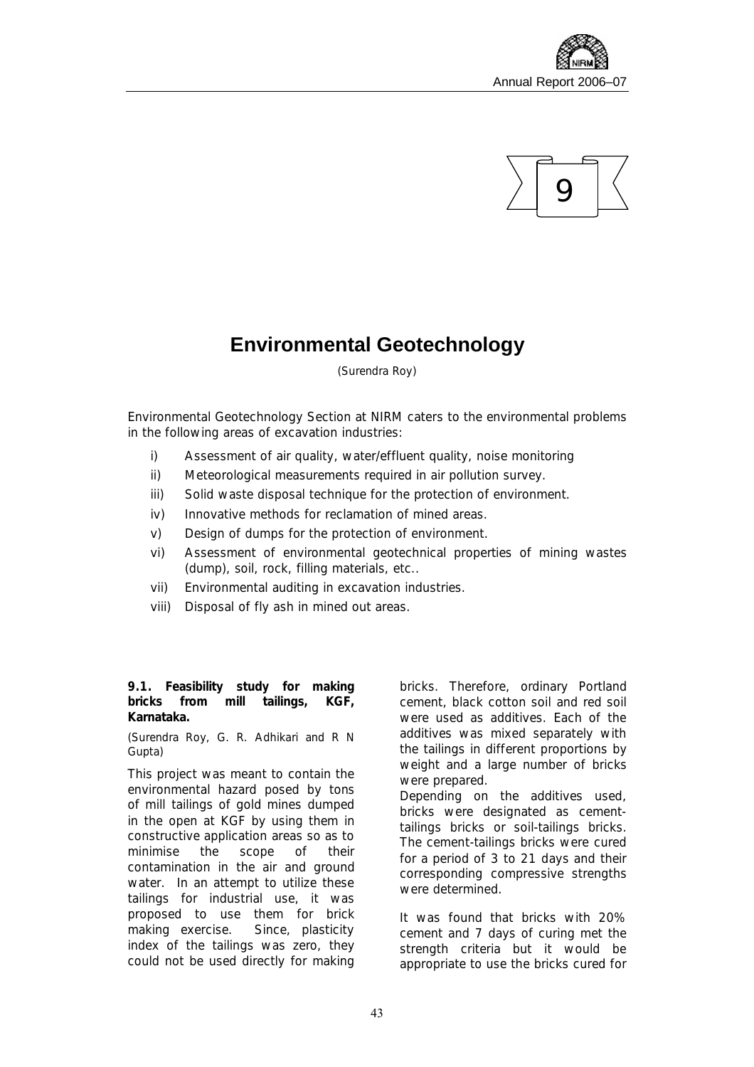



### **Environmental Geotechnology**

*(Surendra Roy)*

Environmental Geotechnology Section at NIRM caters to the environmental problems in the following areas of excavation industries:

- i) Assessment of air quality, water/effluent quality, noise monitoring
- ii) Meteorological measurements required in air pollution survey.
- iii) Solid waste disposal technique for the protection of environment.
- iv) Innovative methods for reclamation of mined areas.
- v) Design of dumps for the protection of environment.
- vi) Assessment of environmental geotechnical properties of mining wastes (dump), soil, rock, filling materials, etc..
- vii) Environmental auditing in excavation industries.
- viii) Disposal of fly ash in mined out areas.

**9.1. Feasibility study for making bricks from mill tailings, KGF, Karnataka.** 

*(Surendra Roy, G. R. Adhikari and R N Gupta)* 

This project was meant to contain the environmental hazard posed by tons of mill tailings of gold mines dumped in the open at KGF by using them in constructive application areas so as to minimise the scope of their contamination in the air and ground water. In an attempt to utilize these tailings for industrial use, it was proposed to use them for brick making exercise. Since, plasticity index of the tailings was zero, they could not be used directly for making

bricks. Therefore, ordinary Portland cement, black cotton soil and red soil were used as additives. Each of the additives was mixed separately with the tailings in different proportions by weight and a large number of bricks were prepared.

Depending on the additives used, bricks were designated as cementtailings bricks or soil-tailings bricks. The cement-tailings bricks were cured for a period of 3 to 21 days and their corresponding compressive strengths were determined.

It was found that bricks with 20% cement and 7 days of curing met the strength criteria but it would be appropriate to use the bricks cured for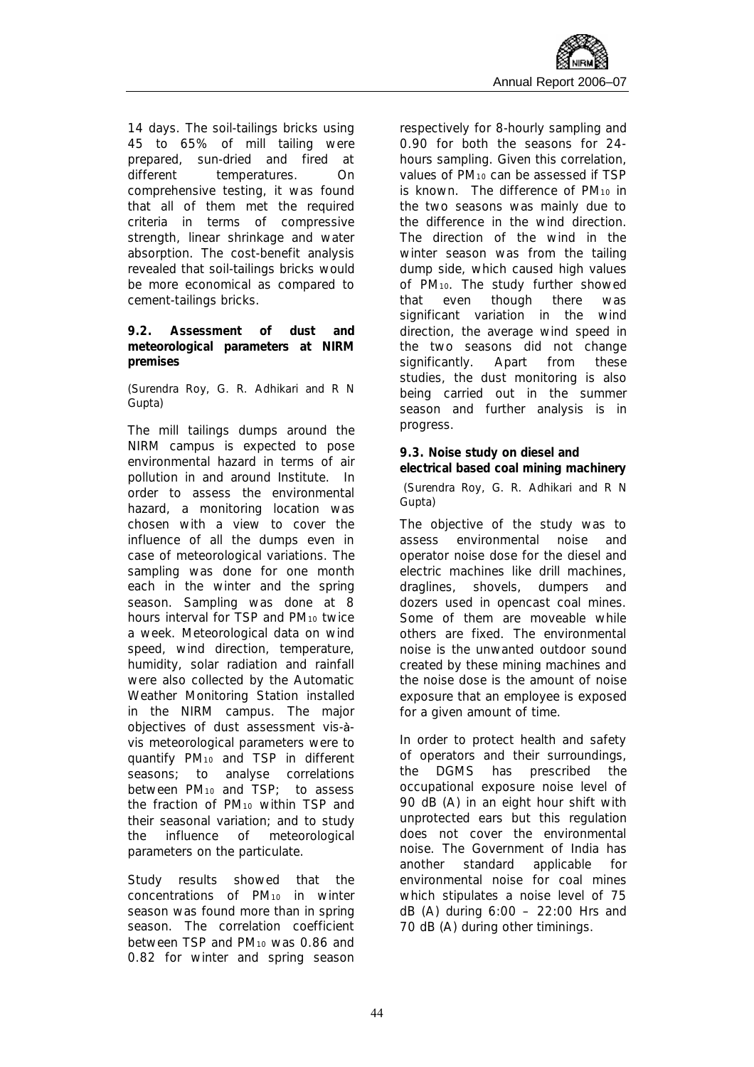14 days. The soil-tailings bricks using 45 to 65% of mill tailing were prepared, sun-dried and fired at different temperatures. On comprehensive testing, it was found that all of them met the required criteria in terms of compressive strength, linear shrinkage and water absorption. The cost-benefit analysis revealed that soil-tailings bricks would be more economical as compared to cement-tailings bricks.

**9.2. Assessment of dust and meteorological parameters at NIRM premises** 

#### *(Surendra Roy, G. R. Adhikari and R N Gupta)*

The mill tailings dumps around the NIRM campus is expected to pose environmental hazard in terms of air pollution in and around Institute. In order to assess the environmental hazard, a monitoring location was chosen with a view to cover the influence of all the dumps even in case of meteorological variations. The sampling was done for one month each in the winter and the spring season. Sampling was done at 8 hours interval for TSP and PM<sub>10</sub> twice a week. Meteorological data on wind speed, wind direction, temperature, humidity, solar radiation and rainfall were also collected by the Automatic Weather Monitoring Station installed in the NIRM campus. The major objectives of dust assessment vis-àvis meteorological parameters were to quantify PM<sup>10</sup> and TSP in different seasons; to analyse correlations between PM<sup>10</sup> and TSP; to assess the fraction of PM<sup>10</sup> within TSP and their seasonal variation; and to study the influence of meteorological parameters on the particulate.

Study results showed that the concentrations of PM<sup>10</sup> in winter season was found more than in spring season. The correlation coefficient between TSP and PM<sup>10</sup> was 0.86 and 0.82 for winter and spring season respectively for 8-hourly sampling and 0.90 for both the seasons for 24 hours sampling. Given this correlation, values of PM<sup>10</sup> can be assessed if TSP is known. The difference of  $PM_{10}$  in the two seasons was mainly due to the difference in the wind direction. The direction of the wind in the winter season was from the tailing dump side, which caused high values of PM10. The study further showed that even though there was significant variation in the wind direction, the average wind speed in the two seasons did not change significantly. Apart from these studies, the dust monitoring is also being carried out in the summer season and further analysis is in progress.

**9.3. Noise study on diesel and electrical based coal mining machinery**  *(Surendra Roy, G. R. Adhikari and R N Gupta)* 

The objective of the study was to assess environmental noise and operator noise dose for the diesel and electric machines like drill machines, draglines, shovels, dumpers and dozers used in opencast coal mines. Some of them are moveable while others are fixed. The environmental noise is the unwanted outdoor sound created by these mining machines and the noise dose is the amount of noise exposure that an employee is exposed for a given amount of time.

In order to protect health and safety of operators and their surroundings, the DGMS has prescribed the occupational exposure noise level of 90 dB (A) in an eight hour shift with unprotected ears but this regulation does not cover the environmental noise. The Government of India has another standard applicable for environmental noise for coal mines which stipulates a noise level of 75 dB (A) during 6:00 – 22:00 Hrs and 70 dB (A) during other timinings.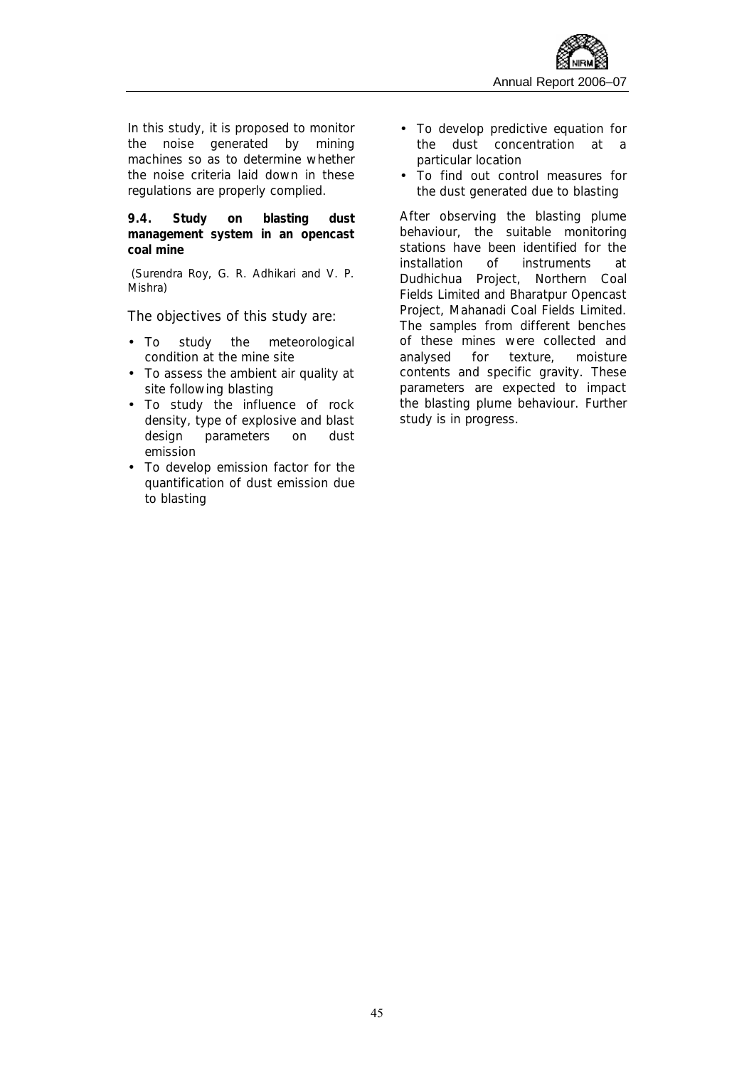

In this study, it is proposed to monitor the noise generated by mining machines so as to determine whether the noise criteria laid down in these regulations are properly complied.

**9.4. Study on blasting dust management system in an opencast coal mine** 

*(Surendra Roy, G. R. Adhikari and V. P. Mishra)* 

The objectives of this study are:

- To study the meteorological condition at the mine site
- To assess the ambient air quality at site following blasting
- To study the influence of rock density, type of explosive and blast design parameters on dust emission
- To develop emission factor for the quantification of dust emission due to blasting
- To develop predictive equation for the dust concentration at a particular location
- To find out control measures for the dust generated due to blasting

After observing the blasting plume behaviour, the suitable monitoring stations have been identified for the installation of instruments at Dudhichua Project, Northern Coal Fields Limited and Bharatpur Opencast Project, Mahanadi Coal Fields Limited. The samples from different benches of these mines were collected and analysed for texture, moisture contents and specific gravity. These parameters are expected to impact the blasting plume behaviour. Further study is in progress.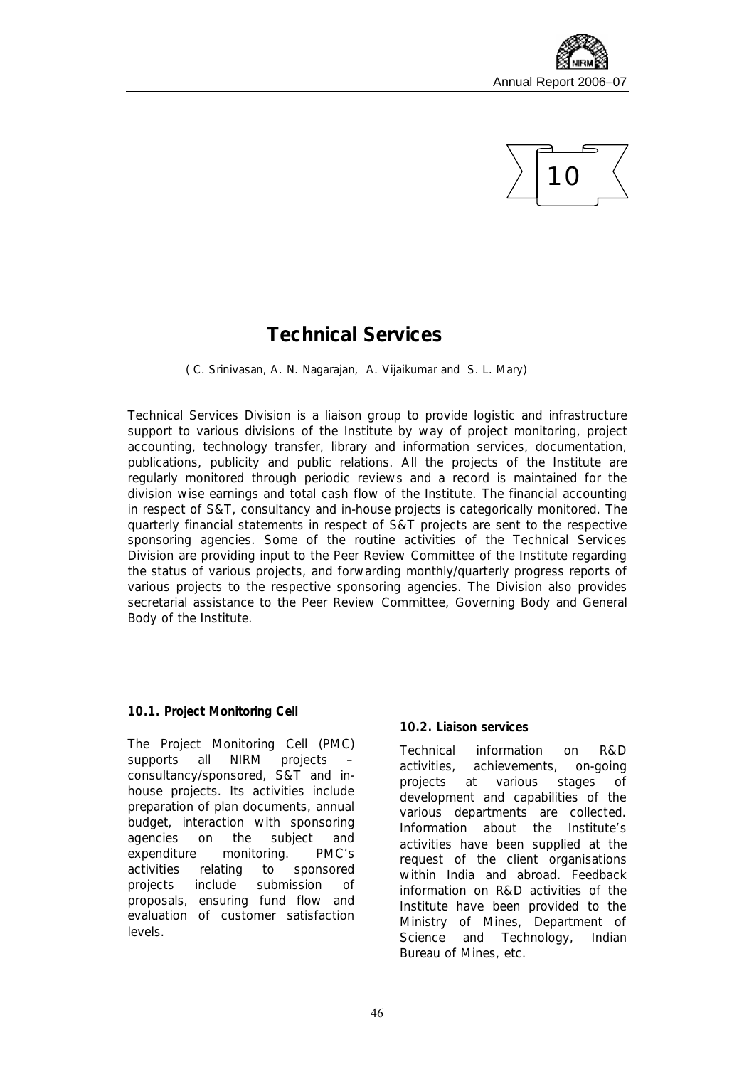



### **Technical Services**

*( C. Srinivasan, A. N. Nagarajan, A. Vijaikumar and S. L. Mary)* 

Technical Services Division is a liaison group to provide logistic and infrastructure support to various divisions of the Institute by way of project monitoring, project accounting, technology transfer, library and information services, documentation, publications, publicity and public relations. All the projects of the Institute are regularly monitored through periodic reviews and a record is maintained for the division wise earnings and total cash flow of the Institute. The financial accounting in respect of S&T, consultancy and in-house projects is categorically monitored. The quarterly financial statements in respect of S&T projects are sent to the respective sponsoring agencies. Some of the routine activities of the Technical Services Division are providing input to the Peer Review Committee of the Institute regarding the status of various projects, and forwarding monthly/quarterly progress reports of various projects to the respective sponsoring agencies. The Division also provides secretarial assistance to the Peer Review Committee, Governing Body and General Body of the Institute.

#### **10.1. Project Monitoring Cell**

The Project Monitoring Cell (PMC) supports all NIRM projects – consultancy/sponsored, S&T and inhouse projects. Its activities include preparation of plan documents, annual budget, interaction with sponsoring agencies on the subject and expenditure monitoring. PMC's activities relating to sponsored projects include submission of proposals, ensuring fund flow and evaluation of customer satisfaction levels.

#### **10.2. Liaison services**

Technical information on R&D activities, achievements, on-going projects at various stages of development and capabilities of the various departments are collected. Information about the Institute's activities have been supplied at the request of the client organisations within India and abroad. Feedback information on R&D activities of the Institute have been provided to the Ministry of Mines, Department of Science and Technology, Indian Bureau of Mines, etc.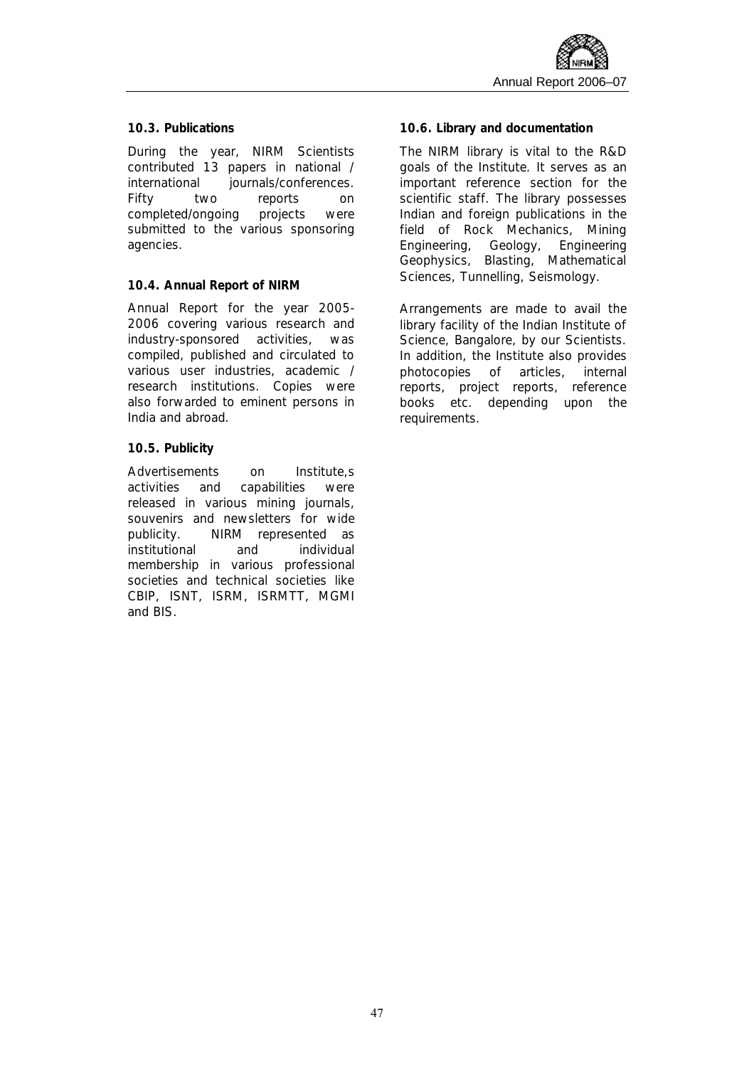#### **10.3. Publications**

During the year, NIRM Scientists contributed 13 papers in national / international journals/conferences. Fifty two reports on completed/ongoing projects were submitted to the various sponsoring agencies.

#### **10.4. Annual Report of NIRM**

Annual Report for the year 2005- 2006 covering various research and industry-sponsored activities, was compiled, published and circulated to various user industries, academic / research institutions. Copies were also forwarded to eminent persons in India and abroad.

#### **10.5. Publicity**

Advertisements on Institute,s activities and capabilities were released in various mining journals, souvenirs and newsletters for wide publicity. NIRM represented as institutional and individual membership in various professional societies and technical societies like CBIP, ISNT, ISRM, ISRMTT, MGMI and BIS.

#### **10.6. Library and documentation**

The NIRM library is vital to the R&D goals of the Institute. It serves as an important reference section for the scientific staff. The library possesses Indian and foreign publications in the field of Rock Mechanics, Mining Engineering, Geology, Engineering Geophysics, Blasting, Mathematical Sciences, Tunnelling, Seismology.

Arrangements are made to avail the library facility of the Indian Institute of Science, Bangalore, by our Scientists. In addition, the Institute also provides photocopies of articles, internal reports, project reports, reference books etc. depending upon the requirements.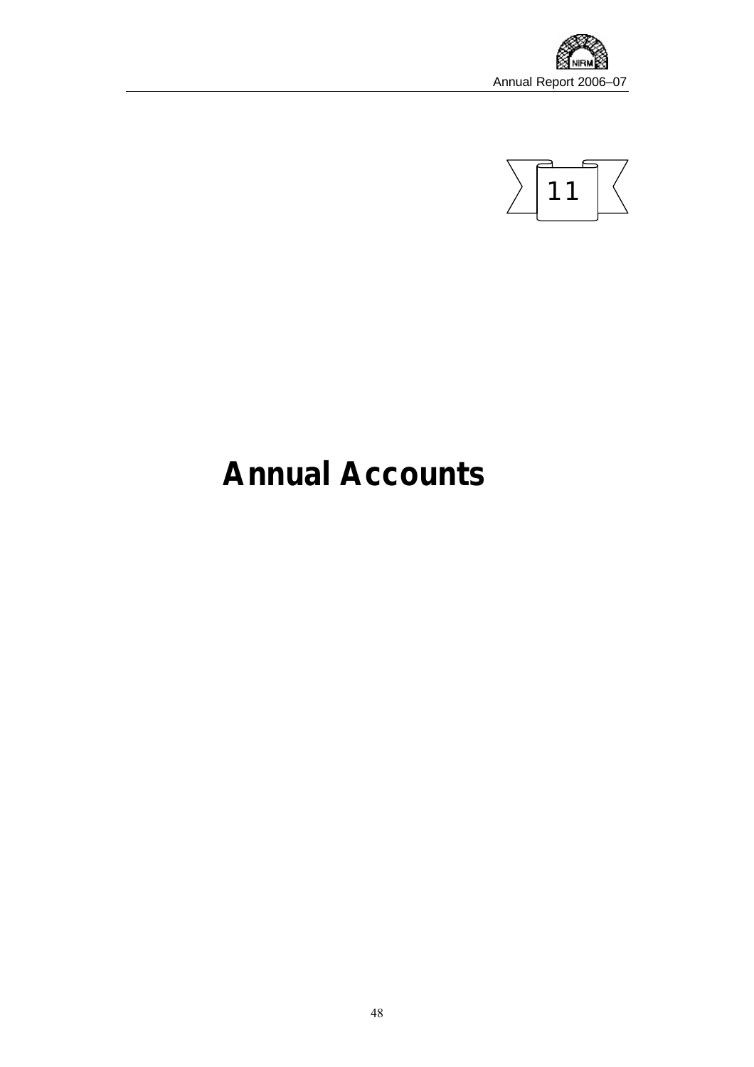



# **Annual Accounts**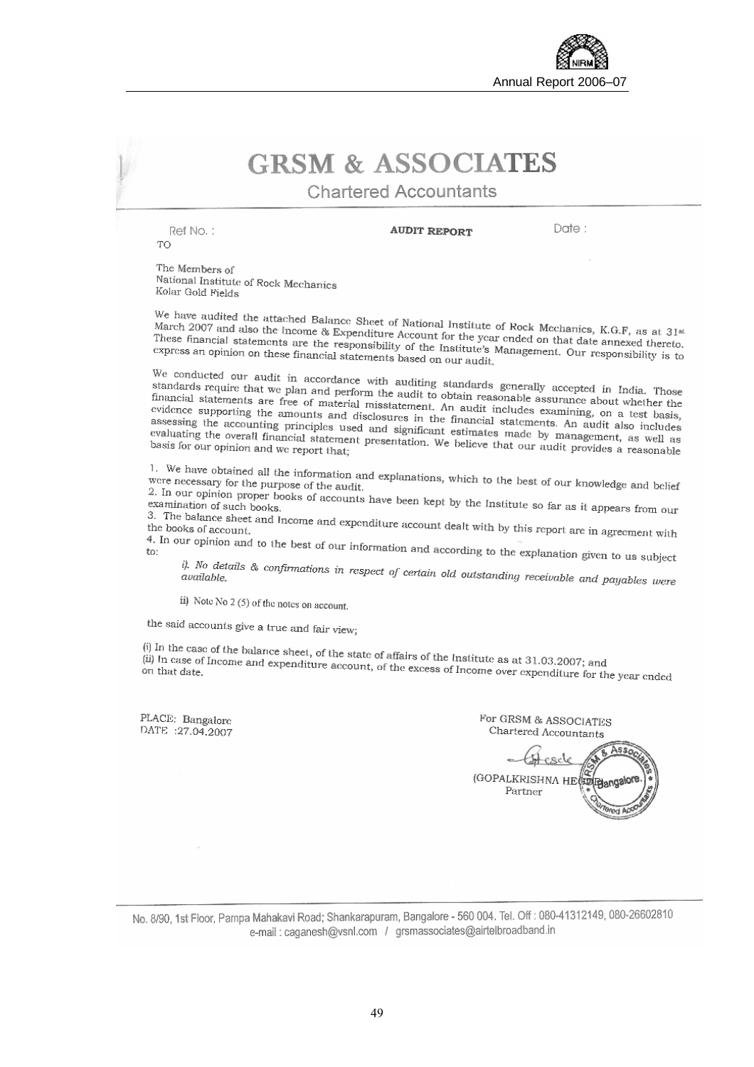

# **GRSM & ASSOCIATES**

**Chartered Accountants** 

Ref No.: TO

**AUDIT REPORT** 

Date:

The Members of National Institute of Rock Mechanics Kolar Gold Fields

We have audited the attached Balance Sheet of National Institute of Rock Mechanics, K.G.F, as at 31<sup>st</sup> March 2007 and also the Income & Expenditure Account for the year ended on that details. K.G.F, as at 31<sup>st</sup> March 2007 and also the Income & Expenditure Account for the year ended on that date annexed thereto.<br>These financial statements are the responsibility of the Institute's Management. Our maximum of CXNESS and annexed there match 2007 and also the Income & Expenditure Account for the year ended on that date annexed thereto.<br>These financial statements are the responsibility of the Institute's Management. Our responsibility is to<br>express an opi express an opinion on these financial statements based on our audit.

We conducted our audit in accordance with auditing standards generally accepted in India. Those<br>standards require that we plan and perform the audit to obtain reasonable applying a latter financial statement. standards require that we plan and perform the auditing standards generally accepted in India. Those<br>standards require that we plan and perform the audit to obtain reasonable assurance about whether the<br>financial statement stationary accepted in India. Those<br>financial statements are free of material misstatement. An audit include essurance about whether the<br>financial statements are free of material misstatement. An audit includes examining, evidence statements are free of material misstatement. An audit include assurance about whether the evidence supporting the amounts and disclosures in the financial statements. An audit shows assessing the accounting princ assessing the accounting principles used and significant estimates chaining, on a test basis, assessing the accounting principles used and significant estimates made to and it also includes evaluating the overall financial accounting the accounting principles used and significant estimates made by management, as well as evaluating the overall financial statement presentation. We believe that our audit provides a reasonable basis for our opin

1. We have obtained all the information and explanations, which to the best of our knowledge and belief were necessary for the purpose of the audit. were necessary for the purpose of the audit.<br>Were necessary for the purpose of the audit.

2. In our opinion proper books of accounts have been kept by the Institute so far as it appears from our examination of such books.<br>2. In our opinion proper books of accounts have been kept by the Institute so far as it ap

3. The balance sheet and Income and expenditure account dealt with by this report are in agreement with<br>the books of account...<br>4. In our opinion and the dealt of the state of the state of the books of account.

4. In our opinion and to the best of our information and according to the explanation given to us subject<br>to:

i). No details & confirmations in respect of certain old outstanding receivable and payables were<br>available.

ii) Note No 2 (5) of the notes on account.

the said accounts give a true and fair view;

(i) In the case of the balance sheet, of the state of affairs of the Institute as at 31.03.2007; and  $\overline{\mu}$  In case of Income and expenditure account, of the excess of Income at 31.03.2007; and (ii) In case of the balance sheet, of the state of affairs of the Institute as at 31.03.2007; and<br>(ii) In case of Income and expenditure account, of the excess of Income over expenditure for the year ended<br>on that date.

PLACE: Bangalore DATE :27.04.2007

For GRSM & ASSOCIATES Chartered Accountants Ass. (GOPALKRISHNA HE BD Pangalo Partner

No. 8/90, 1st Floor, Pampa Mahakavi Road; Shankarapuram, Bangalore - 560 004. Tel. Off : 080-41312149, 080-26602810 e-mail: caganesh@ysnl.com / grsmassociates@airtelbroadband.in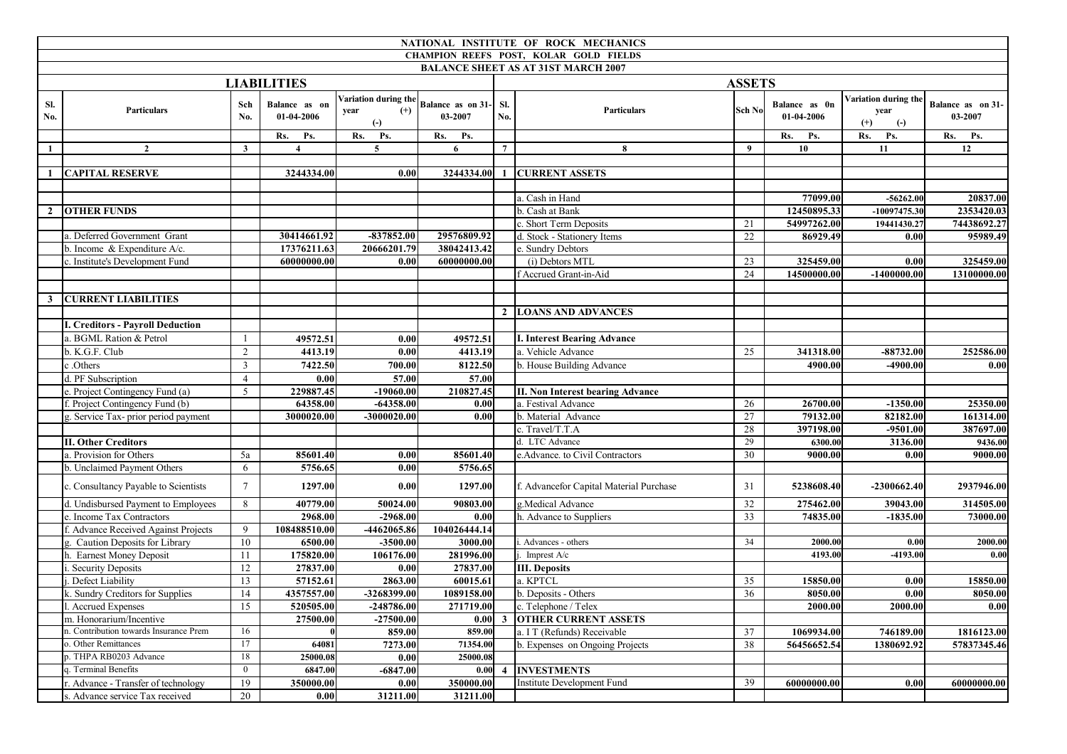|            |                                         |                 |                             |                                                            |                              |                                                      | NATIONAL INSTITUTE OF ROCK MECHANICS       |                 |                             |                                                   |                              |
|------------|-----------------------------------------|-----------------|-----------------------------|------------------------------------------------------------|------------------------------|------------------------------------------------------|--------------------------------------------|-----------------|-----------------------------|---------------------------------------------------|------------------------------|
|            |                                         |                 |                             |                                                            |                              |                                                      | CHAMPION REEFS POST, KOLAR GOLD FIELDS     |                 |                             |                                                   |                              |
|            |                                         |                 |                             |                                                            |                              |                                                      | <b>BALANCE SHEET AS AT 31ST MARCH 2007</b> |                 |                             |                                                   |                              |
|            |                                         |                 | <b>LIABILITIES</b>          |                                                            |                              |                                                      |                                            | <b>ASSETS</b>   |                             |                                                   |                              |
| Sl.<br>No. | <b>Particulars</b>                      | Sch<br>No.      | Balance as on<br>01-04-2006 | Variation during the<br>$(+)$<br>year<br>$\left( -\right)$ | Balance as on 31-<br>03-2007 | Sl.<br>No.                                           | <b>Particulars</b>                         | Sch No          | Balance as 0n<br>01-04-2006 | Variation during the<br>year<br>$^{(+)}$<br>$(-)$ | Balance as on 31-<br>03-2007 |
|            |                                         |                 | Rs.<br>Ps.                  | Rs.<br>Ps.                                                 | Rs.<br>Ps.                   |                                                      |                                            |                 | Rs.<br>Ps.                  | Rs.<br>Ps.                                        | Rs. Ps.                      |
| -1         | $\overline{2}$                          | $\mathbf{3}$    | $\overline{4}$              | $\overline{5}$                                             | 6                            | $\overline{7}$                                       | 8                                          | 9               | 10                          | 11                                                | 12                           |
|            |                                         |                 |                             |                                                            |                              |                                                      |                                            |                 |                             |                                                   |                              |
|            | <b>CAPITAL RESERVE</b>                  |                 | 3244334.00                  | 0.00                                                       | 3244334.00                   | $\mathbf{1}$                                         | <b>CURRENT ASSETS</b>                      |                 |                             |                                                   |                              |
|            |                                         |                 |                             |                                                            |                              |                                                      |                                            |                 |                             |                                                   |                              |
|            |                                         |                 |                             |                                                            |                              |                                                      | a. Cash in Hand                            |                 | 77099.00                    | $-56262.00$                                       | 20837.00                     |
|            | 2 OTHER FUNDS                           |                 |                             |                                                            |                              |                                                      | b. Cash at Bank                            |                 | 12450895.33                 | -10097475.30                                      | 2353420.03                   |
|            |                                         |                 |                             |                                                            |                              |                                                      | c. Short Term Deposits                     | 21              | 54997262.00                 | 19441430.27                                       | 74438692.27                  |
|            | a. Deferred Government Grant            |                 | 30414661.92                 | $-837852.00$                                               | 29576809.92                  |                                                      | d. Stock - Stationery Items                | 22              | 86929.49                    | 0.00                                              | 95989.49                     |
|            | b. Income & Expenditure A/c.            |                 | 17376211.63                 | 20666201.79                                                | 38042413.42                  |                                                      | e. Sundry Debtors                          |                 |                             |                                                   |                              |
|            | c. Institute's Development Fund         |                 | 60000000.00                 | 0.00                                                       | 60000000.00                  |                                                      | (i) Debtors MTL                            | 23              | 325459.00                   | 0.00                                              | 325459.00                    |
|            |                                         |                 |                             |                                                            |                              |                                                      | f Accrued Grant-in-Aid                     | 24              | 14500000.00                 | $-1400000.00$                                     | 13100000.00                  |
|            |                                         |                 |                             |                                                            |                              |                                                      |                                            |                 |                             |                                                   |                              |
|            | <b>3 CURRENT LIABILITIES</b>            |                 |                             |                                                            |                              |                                                      |                                            |                 |                             |                                                   |                              |
|            |                                         |                 |                             |                                                            |                              |                                                      | 2 LOANS AND ADVANCES                       |                 |                             |                                                   |                              |
|            | <b>I. Creditors - Payroll Deduction</b> |                 |                             |                                                            |                              |                                                      |                                            |                 |                             |                                                   |                              |
|            | a. BGML Ration & Petrol                 | $\mathbf{1}$    | 49572.51                    | 0.00                                                       | 49572.51                     |                                                      | <b>I. Interest Bearing Advance</b>         |                 |                             |                                                   |                              |
|            | b. K.G.F. Club                          | $\overline{2}$  | 4413.19                     | 0.00                                                       | 4413.19                      |                                                      | a. Vehicle Advance                         | 25              | 341318.00                   | $-88732.00$                                       | 252586.00                    |
|            | c.Others                                | $\mathfrak{Z}$  | 7422.50                     | 700.00                                                     | 8122.50                      |                                                      | b. House Building Advance                  |                 | 4900.00                     | $-4900.00$                                        | 0.00                         |
|            | d. PF Subscription                      | $\overline{4}$  | 0.00                        | 57.00                                                      | 57.00                        |                                                      |                                            |                 |                             |                                                   |                              |
|            | e. Project Contingency Fund (a)         | 5               | 229887.45                   | $-19060.00$                                                | 210827.45                    |                                                      | <b>II. Non Interest bearing Advance</b>    |                 |                             |                                                   |                              |
|            | f. Project Contingency Fund (b)         |                 | 64358.00                    | $-64358.00$                                                | 0.00                         |                                                      | a. Festival Advance                        | 26              | 26700.00                    | $-1350.00$                                        | 25350.00                     |
|            | g. Service Tax- prior period payment    |                 | 3000020.00                  | -3000020.00                                                | 0.00                         |                                                      | b. Material Advance                        | 27              | 79132.00                    | 82182.00                                          | 161314.00                    |
|            |                                         |                 |                             |                                                            |                              |                                                      | c. Travel/T.T.A                            | 28              | 397198.00                   | $-9501.00$                                        | 387697.00                    |
|            | <b>II. Other Creditors</b>              |                 |                             |                                                            |                              |                                                      | d. LTC Advance                             | 29              | 6300.00                     | 3136.00                                           | 9436.00                      |
|            | a. Provision for Others                 | 5a              | 85601.40                    | 0.00                                                       | 85601.40                     |                                                      | e.Advance. to Civil Contractors            | 30              | 9000.00                     | 0.00                                              | 9000.00                      |
|            | b. Unclaimed Payment Others             | 6               | 5756.65                     | 0.00                                                       | 5756.65                      |                                                      |                                            |                 |                             |                                                   |                              |
|            | c. Consultancy Payable to Scientists    | $7\overline{ }$ | 1297.00                     | 0.00                                                       | 1297.00                      |                                                      | f. Advancefor Capital Material Purchase    | 31              | 5238608.40                  | -2300662.40                                       | 2937946.00                   |
|            | d. Undisbursed Payment to Employees     | 8               | 40779.00                    | 50024.00                                                   | 90803.00                     |                                                      | g.Medical Advance                          | $\overline{32}$ | 275462.00                   | 39043.00                                          | 314505.00                    |
|            | e. Income Tax Contractors               |                 | 2968.00                     | $-2968.00$                                                 | 0.00                         |                                                      | h. Advance to Suppliers                    | 33              | 74835.00                    | $-1835.00$                                        | 73000.00                     |
|            | f. Advance Received Against Projects    | 9               | 108488510.00                | -4462065.86                                                | 104026444.14                 |                                                      |                                            |                 |                             |                                                   |                              |
|            | g. Caution Deposits for Library         | 10              | 6500.00                     | $-3500.00$                                                 | 3000.00                      |                                                      | Advances - others                          | 34              | 2000.00                     | 0.00                                              | 2000.00                      |
|            | h. Earnest Money Deposit                | 11              | 175820.00                   | 106176.00                                                  | 281996.00                    |                                                      | Imprest A/c                                |                 | 4193.00                     | -4193.00                                          | 0.00                         |
|            | . Security Deposits                     | 12              | 27837.00                    | 0.00                                                       | 27837.00                     |                                                      | <b>III.</b> Deposits                       |                 |                             |                                                   |                              |
|            | Defect Liability                        | 13              | 57152.61                    | 2863.00                                                    | 60015.61                     |                                                      | a. KPTCL                                   | 35              | 15850.00                    | 0.00                                              | 15850.00                     |
|            | k. Sundry Creditors for Supplies        | 14              | 4357557.00                  | -3268399.00                                                | 1089158.00                   |                                                      | b. Deposits - Others                       | 36              | 8050.00                     | 0.00                                              | 8050.00                      |
|            | I. Accrued Expenses                     | $\overline{15}$ | 520505.00                   | $-248786.00$                                               | 271719.00                    |                                                      | c. Telephone / Telex                       |                 | 2000.00                     | 2000.00                                           | 0.00                         |
|            | m. Honorarium/Incentive                 |                 | 27500.00                    | $-27500.00$                                                | 0.00                         | $\mathbf{3}$                                         | <b>OTHER CURRENT ASSETS</b>                |                 |                             |                                                   |                              |
|            | n. Contribution towards Insurance Prem  | 16              |                             | 859.00                                                     | 859.00                       |                                                      | a. I T (Refunds) Receivable                | 37              | 1069934.00                  | 746189.00                                         | 1816123.00                   |
|            | o. Other Remittances                    | 17              | 64081                       | 7273.00                                                    | 71354.00                     | 38<br>56456652.54<br>b. Expenses on Ongoing Projects |                                            | 1380692.92      | 57837345.46                 |                                                   |                              |
|            | p. THPA RB0203 Advance                  | 18              | 25000.08                    | 0.00                                                       | 25000.08                     |                                                      |                                            |                 |                             |                                                   |                              |
|            | q. Terminal Benefits                    | $\mathbf{0}$    | 6847.00                     | $-6847.00$                                                 | 0.00                         |                                                      | 4 INVESTMENTS                              |                 |                             |                                                   |                              |
|            | r. Advance - Transfer of technology     | 19              | 350000.00                   | 0.00                                                       | 350000.00                    |                                                      | Institute Development Fund                 | 39              | 60000000.00                 | 0.00                                              | 60000000.00                  |
|            | s. Advance service Tax received         | $20\,$          | 0.00                        | 31211.00                                                   | 31211.00                     |                                                      |                                            |                 |                             |                                                   |                              |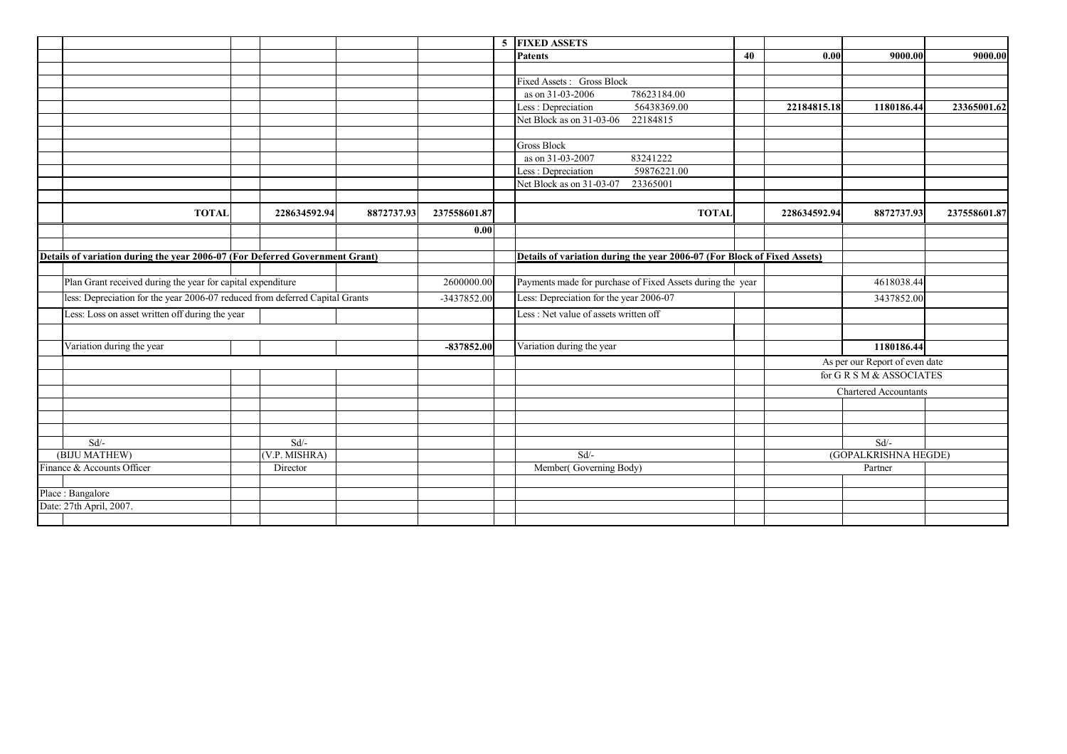|                                                                              |               |            |              | 5 FIXED ASSETS                                                           |    |              |                                |              |
|------------------------------------------------------------------------------|---------------|------------|--------------|--------------------------------------------------------------------------|----|--------------|--------------------------------|--------------|
|                                                                              |               |            |              | <b>Patents</b>                                                           | 40 | 0.00         | 9000.00                        | 9000.00      |
|                                                                              |               |            |              |                                                                          |    |              |                                |              |
|                                                                              |               |            |              | Fixed Assets: Gross Block                                                |    |              |                                |              |
|                                                                              |               |            |              | 78623184.00<br>as on 31-03-2006                                          |    |              |                                |              |
|                                                                              |               |            |              | 56438369.00<br>Less: Depreciation                                        |    | 22184815.18  | 1180186.44                     | 23365001.62  |
|                                                                              |               |            |              | Net Block as on 31-03-06<br>22184815                                     |    |              |                                |              |
|                                                                              |               |            |              |                                                                          |    |              |                                |              |
|                                                                              |               |            |              | <b>Gross Block</b>                                                       |    |              |                                |              |
|                                                                              |               |            |              | 83241222<br>as on 31-03-2007                                             |    |              |                                |              |
|                                                                              |               |            |              | 59876221.00<br>Less: Depreciation                                        |    |              |                                |              |
|                                                                              |               |            |              | Net Block as on 31-03-07<br>23365001                                     |    |              |                                |              |
| <b>TOTAL</b>                                                                 | 228634592.94  | 8872737.93 | 237558601.87 | <b>TOTAL</b>                                                             |    | 228634592.94 | 8872737.93                     | 237558601.87 |
|                                                                              |               |            |              |                                                                          |    |              |                                |              |
|                                                                              |               |            | 0.00         |                                                                          |    |              |                                |              |
|                                                                              |               |            |              |                                                                          |    |              |                                |              |
| Details of variation during the year 2006-07 (For Deferred Government Grant) |               |            |              | Details of variation during the year 2006-07 (For Block of Fixed Assets) |    |              |                                |              |
| Plan Grant received during the year for capital expenditure                  |               |            | 2600000.00   | Payments made for purchase of Fixed Assets during the year               |    |              | 4618038.44                     |              |
|                                                                              |               |            |              |                                                                          |    |              |                                |              |
| less: Depreciation for the year 2006-07 reduced from deferred Capital Grants |               |            | -3437852.00  | Less: Depreciation for the year 2006-07                                  |    |              | 3437852.00                     |              |
| Less: Loss on asset written off during the year                              |               |            |              | Less: Net value of assets written off                                    |    |              |                                |              |
|                                                                              |               |            |              |                                                                          |    |              |                                |              |
| Variation during the year                                                    |               |            | -837852.00   | Variation during the year                                                |    |              | 1180186.44                     |              |
|                                                                              |               |            |              |                                                                          |    |              | As per our Report of even date |              |
|                                                                              |               |            |              |                                                                          |    |              | for GRSM & ASSOCIATES          |              |
|                                                                              |               |            |              |                                                                          |    |              | <b>Chartered Accountants</b>   |              |
|                                                                              |               |            |              |                                                                          |    |              |                                |              |
|                                                                              |               |            |              |                                                                          |    |              |                                |              |
|                                                                              |               |            |              |                                                                          |    |              |                                |              |
| Sd                                                                           | $Sd$ .        |            |              |                                                                          |    |              | Sd                             |              |
| (BIJU MATHEW)                                                                | (V.P. MISHRA) |            |              | Sd                                                                       |    |              | (GOPALKRISHNA HEGDE)           |              |
| Finance & Accounts Officer                                                   | Director      |            |              | Member(Governing Body)                                                   |    | Partner      |                                |              |
|                                                                              |               |            |              |                                                                          |    |              |                                |              |
| Place: Bangalore                                                             |               |            |              |                                                                          |    |              |                                |              |
| Date: 27th April, 2007.                                                      |               |            |              |                                                                          |    |              |                                |              |
|                                                                              |               |            |              |                                                                          |    |              |                                |              |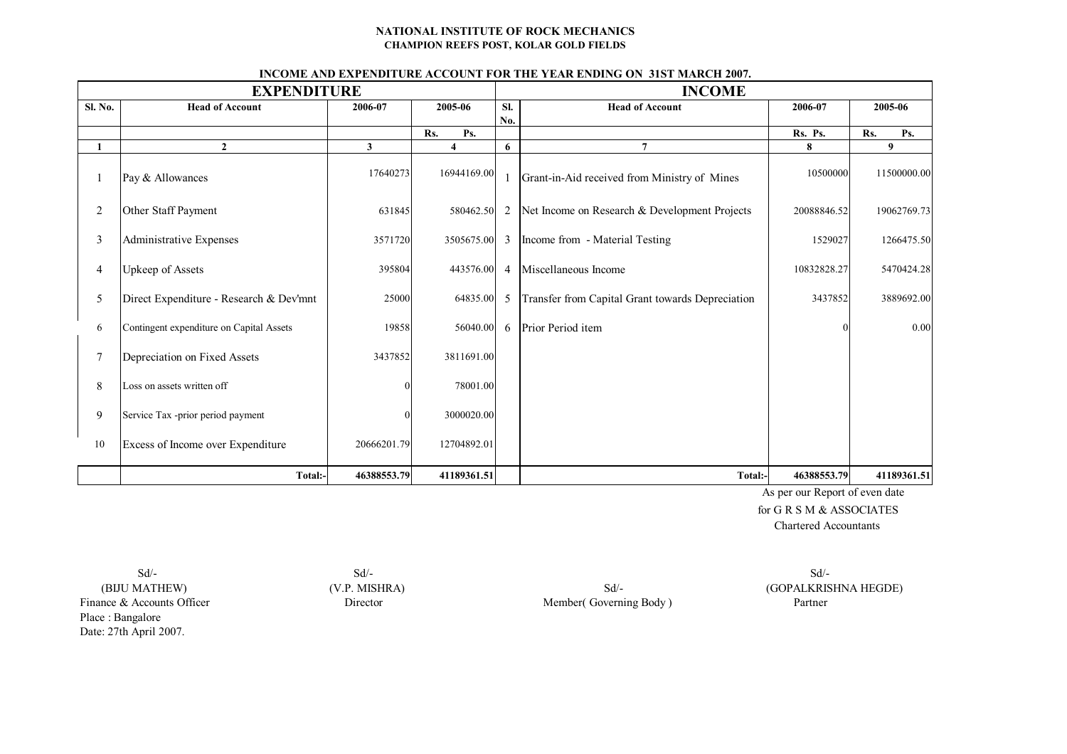#### **NATIONAL INSTITUTE OF ROCK MECHANICS CHAMPION REEFS POST, KOLAR GOLD FIELDS**

#### **INCOME AND EXPENDITURE ACCOUNT FOR THE YEAR ENDING ON 31ST MARCH 2007.**

|                | <b>EXPENDITURE</b>                       |              |                         | <b>INCOME</b>  |                                                  |                           |             |  |
|----------------|------------------------------------------|--------------|-------------------------|----------------|--------------------------------------------------|---------------------------|-------------|--|
| Sl. No.        | <b>Head of Account</b>                   | 2006-07      | 2005-06                 | Sl.            | <b>Head of Account</b>                           | 2006-07                   | 2005-06     |  |
|                |                                          |              | Rs.<br>Ps.              | No.            |                                                  | Rs. Ps.                   | Rs.<br>Ps.  |  |
| 1              | $\overline{2}$                           | $\mathbf{3}$ | $\overline{\mathbf{4}}$ | 6              | $\overline{7}$                                   | 8                         | 9           |  |
|                | Pay & Allowances                         | 17640273     | 16944169.00             |                | Grant-in-Aid received from Ministry of Mines     | 10500000                  | 11500000.00 |  |
| $\overline{c}$ | Other Staff Payment                      | 631845       | 580462.50               | 2              | Net Income on Research & Development Projects    | 20088846.52               | 19062769.73 |  |
| 3              | Administrative Expenses                  | 3571720      | 3505675.00              | 3              | Income from - Material Testing                   | 1529027                   | 1266475.50  |  |
| 4              | <b>Upkeep of Assets</b>                  | 395804       | 443576.00               | $\overline{4}$ | Miscellaneous Income                             | 10832828.27<br>5470424.28 |             |  |
| 5              | Direct Expenditure - Research & Dev'mnt  | 25000        | 64835.00                | 5              | Transfer from Capital Grant towards Depreciation | 3437852                   | 3889692.00  |  |
| 6              | Contingent expenditure on Capital Assets | 19858        | 56040.00                | 6              | Prior Period item                                |                           | 0.00        |  |
| $\tau$         | Depreciation on Fixed Assets             | 3437852      | 3811691.00              |                |                                                  |                           |             |  |
| 8              | Loss on assets written off               |              | 78001.00                |                |                                                  |                           |             |  |
| 9              | Service Tax -prior period payment        |              | 3000020.00              |                |                                                  |                           |             |  |
| 10             | Excess of Income over Expenditure        | 20666201.79  | 12704892.01             |                |                                                  |                           |             |  |
|                | Total:-                                  | 46388553.79  | 41189361.51             |                | Total:-                                          | 46388553.79               | 41189361.51 |  |

 As per our Report of even date for G R S M & ASSOCIATES Chartered Accountants

 $Sd$   $\sim$   $Sd$   $\sim$ Finance & Accounts Officer Director Director Member( Governing Body ) Partner Place : Bangalore Date: 27th April 2007.

(BIJU MATHEW) (V.P. MISHRA) Sd<sup>/</sup>- Sd<sup>/</sup>- (GOPALKRISHNA HEGDE)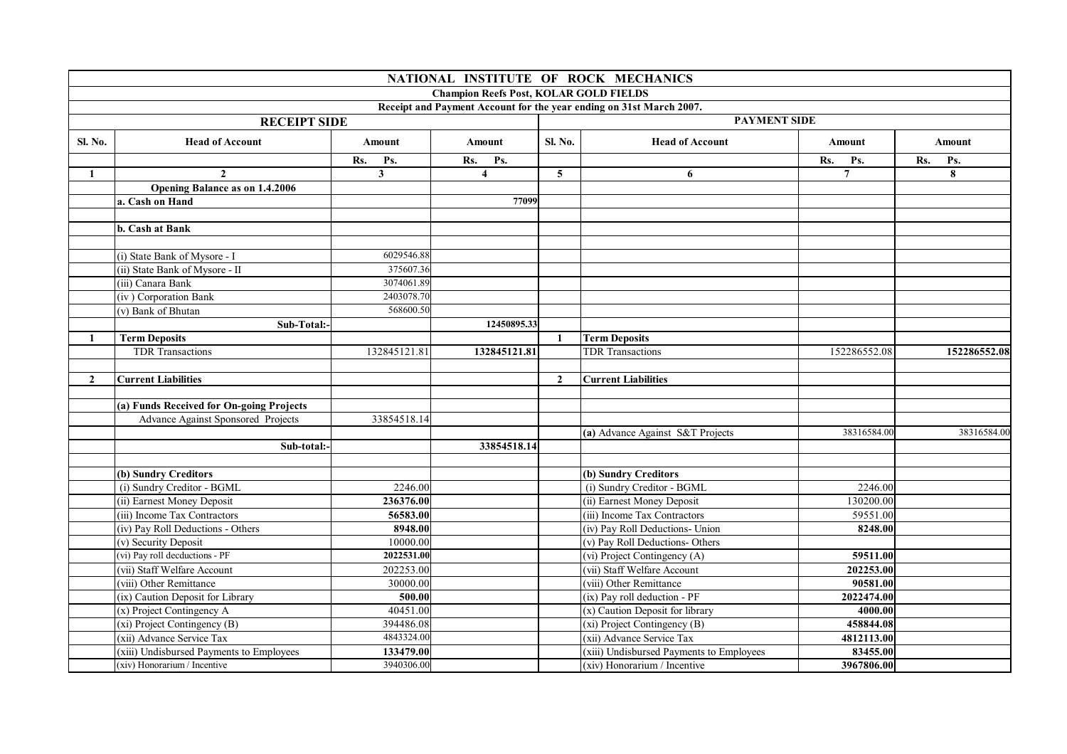|              |                                          |                         |                                               |                     | NATIONAL INSTITUTE OF ROCK MECHANICS                                |                |               |  |
|--------------|------------------------------------------|-------------------------|-----------------------------------------------|---------------------|---------------------------------------------------------------------|----------------|---------------|--|
|              |                                          |                         | <b>Champion Reefs Post, KOLAR GOLD FIELDS</b> |                     |                                                                     |                |               |  |
|              |                                          |                         |                                               |                     | Receipt and Payment Account for the year ending on 31st March 2007. |                |               |  |
|              | <b>RECEIPT SIDE</b>                      |                         |                                               | <b>PAYMENT SIDE</b> |                                                                     |                |               |  |
| Sl. No.      | <b>Head of Account</b>                   | <b>Amount</b>           | <b>Amount</b>                                 | Sl. No.             | <b>Head of Account</b>                                              | <b>Amount</b>  | <b>Amount</b> |  |
|              |                                          | Rs.<br>Ps.              | Rs.<br>Ps.                                    |                     |                                                                     | Rs.<br>Ps.     | Rs.<br>Ps.    |  |
| 1            | $\mathbf{2}$                             | $\mathbf{3}$            | $\overline{\mathbf{4}}$                       | $\overline{5}$      | 6                                                                   | $\overline{7}$ | 8             |  |
|              | <b>Opening Balance as on 1.4.2006</b>    |                         |                                               |                     |                                                                     |                |               |  |
|              | a. Cash on Hand                          |                         | 77099                                         |                     |                                                                     |                |               |  |
|              |                                          |                         |                                               |                     |                                                                     |                |               |  |
|              | b. Cash at Bank                          |                         |                                               |                     |                                                                     |                |               |  |
|              |                                          |                         |                                               |                     |                                                                     |                |               |  |
|              | (i) State Bank of Mysore - I             | 6029546.88              |                                               |                     |                                                                     |                |               |  |
|              | (ii) State Bank of Mysore - II           | 375607.36               |                                               |                     |                                                                     |                |               |  |
|              | (iii) Canara Bank                        | 3074061.89              |                                               |                     |                                                                     |                |               |  |
|              | (iv) Corporation Bank                    | 2403078.70              |                                               |                     |                                                                     |                |               |  |
|              | (v) Bank of Bhutan                       | 568600.50               |                                               |                     |                                                                     |                |               |  |
|              | Sub-Total:-                              |                         | 12450895.33                                   |                     |                                                                     |                |               |  |
| 1            | <b>Term Deposits</b>                     |                         |                                               | $\mathbf{1}$        | <b>Term Deposits</b>                                                |                |               |  |
|              | <b>TDR</b> Transactions                  | 132845121.81            | 132845121.81                                  |                     | <b>TDR</b> Transactions                                             | 152286552.08   | 152286552.08  |  |
|              |                                          |                         |                                               |                     |                                                                     |                |               |  |
| $\mathbf{2}$ | <b>Current Liabilities</b>               |                         |                                               | $\overline{2}$      | <b>Current Liabilities</b>                                          |                |               |  |
|              |                                          |                         |                                               |                     |                                                                     |                |               |  |
|              | (a) Funds Received for On-going Projects |                         |                                               |                     |                                                                     |                |               |  |
|              | Advance Against Sponsored Projects       | 33854518.14             |                                               |                     |                                                                     |                |               |  |
|              |                                          |                         |                                               |                     | (a) Advance Against S&T Projects                                    | 38316584.00    | 38316584.00   |  |
|              | Sub-total:-                              |                         | 33854518.14                                   |                     |                                                                     |                |               |  |
|              |                                          |                         |                                               |                     |                                                                     |                |               |  |
|              | (b) Sundry Creditors                     |                         |                                               |                     | (b) Sundry Creditors                                                |                |               |  |
|              | (i) Sundry Creditor - BGML               | 2246.00                 |                                               |                     | (i) Sundry Creditor - BGML                                          | 2246.00        |               |  |
|              | (ii) Earnest Money Deposit               | 236376.00               |                                               |                     | (ii) Earnest Money Deposit                                          | 130200.00      |               |  |
|              | (iii) Income Tax Contractors             | 56583.00                |                                               |                     | (iii) Income Tax Contractors                                        | 59551.00       |               |  |
|              | (iv) Pay Roll Deductions - Others        | 8948.00                 |                                               |                     | (iv) Pay Roll Deductions- Union                                     | 8248.00        |               |  |
|              | (v) Security Deposit                     | 10000.00                |                                               |                     | (v) Pay Roll Deductions- Others                                     |                |               |  |
|              | (vi) Pay roll decductions - PF           | 2022531.00              |                                               |                     | (vi) Project Contingency (A)                                        | 59511.00       |               |  |
|              | (vii) Staff Welfare Account              | 202253.00               |                                               |                     | (vii) Staff Welfare Account                                         | 202253.00      |               |  |
|              | (viii) Other Remittance                  | 30000.00                |                                               |                     | (viii) Other Remittance                                             | 90581.00       |               |  |
|              | (ix) Caution Deposit for Library         | 500.00                  |                                               |                     | (ix) Pay roll deduction - PF                                        | 2022474.00     |               |  |
|              | (x) Project Contingency A                | 40451.00                |                                               |                     | (x) Caution Deposit for library                                     | 4000.00        |               |  |
|              | (xi) Project Contingency (B)             | 394486.08<br>4843324.00 |                                               |                     | (xi) Project Contingency (B)                                        | 458844.08      |               |  |
|              | (xii) Advance Service Tax                |                         |                                               |                     | (xii) Advance Service Tax                                           | 4812113.00     |               |  |
|              | (xiii) Undisbursed Payments to Employees | 133479.00               |                                               |                     | (xiii) Undisbursed Payments to Employees                            | 83455.00       |               |  |
|              | (xiv) Honorarium / Incentive             | 3940306.00              |                                               |                     | (xiv) Honorarium / Incentive                                        | 3967806.00     |               |  |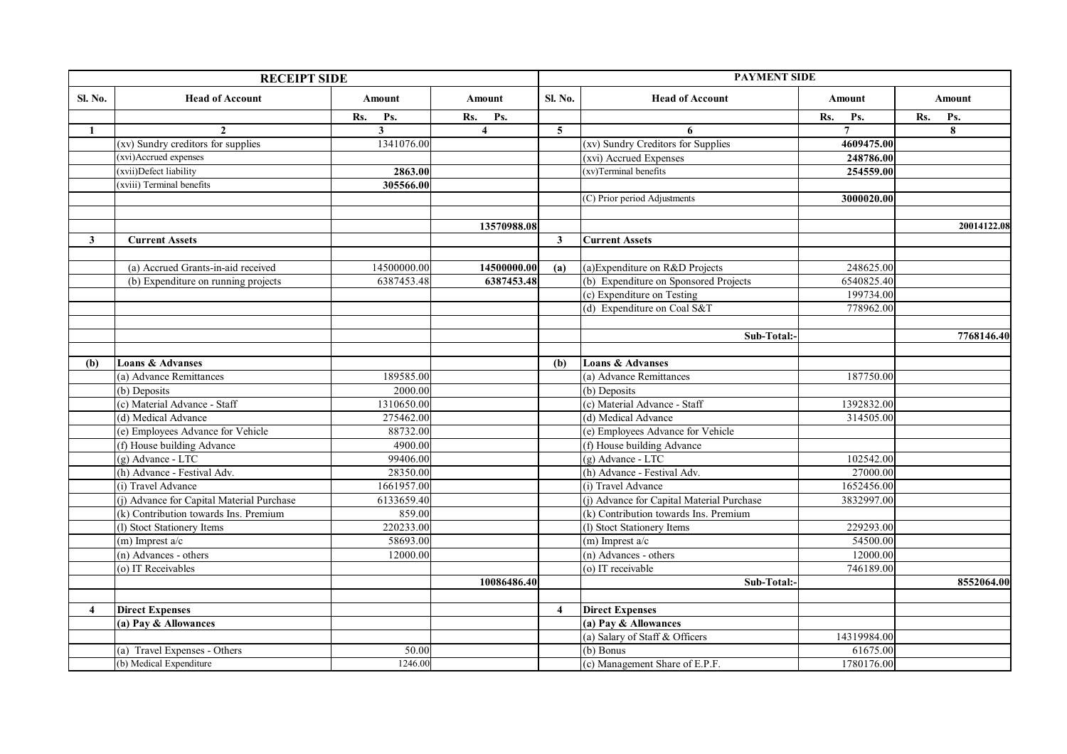| <b>RECEIPT SIDE</b> |                                           |              |                         |                | <b>PAYMENT SIDE</b>                       |     |                |     |             |  |
|---------------------|-------------------------------------------|--------------|-------------------------|----------------|-------------------------------------------|-----|----------------|-----|-------------|--|
| Sl. No.             | <b>Head of Account</b>                    | Amount       | Amount                  | Sl. No.        | <b>Head of Account</b>                    |     | Amount         |     | Amount      |  |
|                     |                                           | Rs.<br>Ps.   | Rs.<br>Ps.              |                |                                           | Rs. | Ps.            | Rs. | Ps.         |  |
| 1                   | $\mathbf{2}$                              | $\mathbf{3}$ | $\overline{\mathbf{4}}$ | $\overline{5}$ | 6                                         |     | $\overline{7}$ |     | 8           |  |
|                     | (xv) Sundry creditors for supplies        | 1341076.00   |                         |                | (xv) Sundry Creditors for Supplies        |     | 4609475.00     |     |             |  |
|                     | (xvi)Accrued expenses                     |              |                         |                | (xvi) Accrued Expenses                    |     | 248786.00      |     |             |  |
|                     | (xvii)Defect liability                    | 2863.00      |                         |                | (xv)Terminal benefits                     |     | 254559.00      |     |             |  |
|                     | (xviii) Terminal benefits                 | 305566.00    |                         |                |                                           |     |                |     |             |  |
|                     |                                           |              |                         |                | (C) Prior period Adjustments              |     | 3000020.00     |     |             |  |
|                     |                                           |              |                         |                |                                           |     |                |     |             |  |
|                     |                                           |              | 13570988.08             |                |                                           |     |                |     | 20014122.08 |  |
| 3                   | <b>Current Assets</b>                     |              |                         | 3              | <b>Current Assets</b>                     |     |                |     |             |  |
|                     |                                           |              |                         |                |                                           |     |                |     |             |  |
|                     | (a) Accrued Grants-in-aid received        | 14500000.00  | 14500000.00             | (a)            | (a) Expenditure on R&D Projects           |     | 248625.00      |     |             |  |
|                     | (b) Expenditure on running projects       | 6387453.48   | 6387453.48              |                | (b) Expenditure on Sponsored Projects     |     | 6540825.40     |     |             |  |
|                     |                                           |              |                         |                | (c) Expenditure on Testing                |     | 199734.00      |     |             |  |
|                     |                                           |              |                         |                | (d) Expenditure on Coal S&T               |     | 778962.00      |     |             |  |
|                     |                                           |              |                         |                |                                           |     |                |     |             |  |
|                     |                                           |              |                         |                | Sub-Total:                                |     |                |     | 7768146.40  |  |
|                     |                                           |              |                         |                |                                           |     |                |     |             |  |
| (b)                 | <b>Loans &amp; Advanses</b>               |              |                         | (b)            | <b>Loans &amp; Advanses</b>               |     |                |     |             |  |
|                     | (a) Advance Remittances                   | 189585.00    |                         |                | (a) Advance Remittances                   |     | 187750.00      |     |             |  |
|                     | (b) Deposits                              | 2000.00      |                         |                | (b) Deposits                              |     |                |     |             |  |
|                     | (c) Material Advance - Staff              | 1310650.00   |                         |                | (c) Material Advance - Staff              |     | 1392832.00     |     |             |  |
|                     | (d) Medical Advance                       | 275462.00    |                         |                | (d) Medical Advance                       |     | 314505.00      |     |             |  |
|                     | (e) Employees Advance for Vehicle         | 88732.00     |                         |                | (e) Employees Advance for Vehicle         |     |                |     |             |  |
|                     | (f) House building Advance                | 4900.00      |                         |                | (f) House building Advance                |     |                |     |             |  |
|                     | (g) Advance - LTC                         | 99406.00     |                         |                | (g) Advance - LTC                         |     | 102542.00      |     |             |  |
|                     | (h) Advance - Festival Adv.               | 28350.00     |                         |                | (h) Advance - Festival Adv.               |     | 27000.00       |     |             |  |
|                     | (i) Travel Advance                        | 1661957.00   |                         |                | (i) Travel Advance                        |     | 1652456.00     |     |             |  |
|                     | (j) Advance for Capital Material Purchase | 6133659.40   |                         |                | (j) Advance for Capital Material Purchase |     | 3832997.00     |     |             |  |
|                     | (k) Contribution towards Ins. Premium     | 859.00       |                         |                | (k) Contribution towards Ins. Premium     |     |                |     |             |  |
|                     | (l) Stoct Stationery Items                | 220233.00    |                         |                | (l) Stoct Stationery Items                |     | 229293.00      |     |             |  |
|                     | $(m)$ Imprest a/c                         | 58693.00     |                         |                | $(m)$ Imprest a/c                         |     | 54500.00       |     |             |  |
|                     | (n) Advances - others                     | 12000.00     |                         |                | $(n)$ Advances - others                   |     | 12000.00       |     |             |  |
|                     | (o) IT Receivables                        |              |                         |                | (o) IT receivable                         |     | 746189.00      |     |             |  |
|                     |                                           |              | 10086486.40             |                | Sub-Total:                                |     |                |     | 8552064.00  |  |
|                     |                                           |              |                         |                |                                           |     |                |     |             |  |
| $\overline{4}$      | <b>Direct Expenses</b>                    |              |                         | $\overline{4}$ | <b>Direct Expenses</b>                    |     |                |     |             |  |
|                     | (a) Pay & Allowances                      |              |                         |                | (a) Pay & Allowances                      |     |                |     |             |  |
|                     |                                           |              |                         |                | (a) Salary of Staff & Officers            |     | 14319984.00    |     |             |  |
|                     | (a) Travel Expenses - Others              | 50.00        |                         |                | $(b)$ Bonus                               |     | 61675.00       |     |             |  |
|                     | (b) Medical Expenditure                   | 1246.00      |                         |                | (c) Management Share of E.P.F.            |     | 1780176.00     |     |             |  |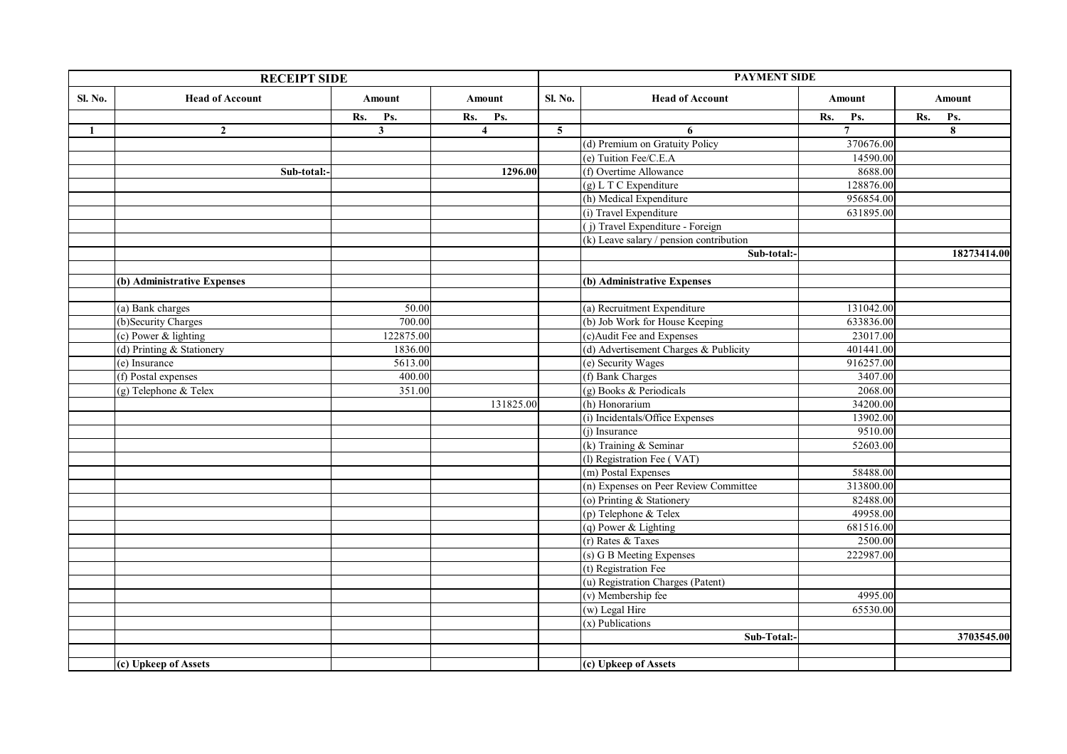|         | <b>RECEIPT SIDE</b>         |                |                         |                         | <b>PAYMENT SIDE</b>                       |                |     |             |
|---------|-----------------------------|----------------|-------------------------|-------------------------|-------------------------------------------|----------------|-----|-------------|
| Sl. No. | <b>Head of Account</b>      | Amount         | Amount                  | Sl. No.                 | <b>Head of Account</b>                    | Amount         |     | Amount      |
|         |                             | Rs.<br>Ps.     | Rs.<br>Ps.              |                         |                                           | Rs.<br>Ps.     | Rs. | Ps.         |
| 1       | $\mathbf{2}$                | $\overline{3}$ | $\overline{\mathbf{4}}$ | $\overline{\mathbf{5}}$ | 6                                         | $\overline{7}$ |     | 8           |
|         |                             |                |                         |                         | (d) Premium on Gratuity Policy            | 370676.00      |     |             |
|         |                             |                |                         |                         | (e) Tuition Fee/C.E.A                     | 14590.00       |     |             |
|         | Sub-total:-                 |                | 1296.00                 |                         | (f) Overtime Allowance                    | 8688.00        |     |             |
|         |                             |                |                         |                         | $(g)$ L T C Expenditure                   | 128876.00      |     |             |
|         |                             |                |                         |                         | (h) Medical Expenditure                   | 956854.00      |     |             |
|         |                             |                |                         |                         | (i) Travel Expenditure                    | 631895.00      |     |             |
|         |                             |                |                         |                         | (j) Travel Expenditure - Foreign          |                |     |             |
|         |                             |                |                         |                         | $(k)$ Leave salary / pension contribution |                |     |             |
|         |                             |                |                         |                         | Sub-total:-                               |                |     | 18273414.00 |
|         |                             |                |                         |                         |                                           |                |     |             |
|         | (b) Administrative Expenses |                |                         |                         | (b) Administrative Expenses               |                |     |             |
|         |                             |                |                         |                         |                                           |                |     |             |
|         | (a) Bank charges            | 50.00          |                         |                         | (a) Recruitment Expenditure               | 131042.00      |     |             |
|         | (b)Security Charges         | 700.00         |                         |                         | (b) Job Work for House Keeping            | 633836.00      |     |             |
|         | (c) Power & lighting        | 122875.00      |                         |                         | (c)Audit Fee and Expenses                 | 23017.00       |     |             |
|         | (d) Printing & Stationery   | 1836.00        |                         |                         | (d) Advertisement Charges & Publicity     | 401441.00      |     |             |
|         | (e) Insurance               | 5613.00        |                         |                         | (e) Security Wages                        | 916257.00      |     |             |
|         | (f) Postal expenses         | 400.00         |                         |                         | (f) Bank Charges                          | 3407.00        |     |             |
|         | (g) Telephone & Telex       | 351.00         |                         |                         | (g) Books & Periodicals                   | 2068.00        |     |             |
|         |                             |                | 131825.00               |                         | (h) Honorarium                            | 34200.00       |     |             |
|         |                             |                |                         |                         | (i) Incidentals/Office Expenses           | 13902.00       |     |             |
|         |                             |                |                         |                         | (j) Insurance                             | 9510.00        |     |             |
|         |                             |                |                         |                         | (k) Training & Seminar                    | 52603.00       |     |             |
|         |                             |                |                         |                         | (1) Registration Fee (VAT)                |                |     |             |
|         |                             |                |                         |                         | (m) Postal Expenses                       | 58488.00       |     |             |
|         |                             |                |                         |                         | (n) Expenses on Peer Review Committee     | 313800.00      |     |             |
|         |                             |                |                         |                         | (o) Printing & Stationery                 | 82488.00       |     |             |
|         |                             |                |                         |                         | (p) Telephone & Telex                     | 49958.00       |     |             |
|         |                             |                |                         |                         | $(q)$ Power & Lighting                    | 681516.00      |     |             |
|         |                             |                |                         |                         | $(r)$ Rates & Taxes                       | 2500.00        |     |             |
|         |                             |                |                         |                         | (s) G B Meeting Expenses                  | 222987.00      |     |             |
|         |                             |                |                         |                         | (t) Registration Fee                      |                |     |             |
|         |                             |                |                         |                         | (u) Registration Charges (Patent)         |                |     |             |
|         |                             |                |                         |                         | (v) Membership fee                        | 4995.00        |     |             |
|         |                             |                |                         |                         | (w) Legal Hire                            | 65530.00       |     |             |
|         |                             |                |                         |                         | (x) Publications                          |                |     |             |
|         |                             |                |                         |                         | Sub-Total:                                |                |     | 3703545.00  |
|         |                             |                |                         |                         |                                           |                |     |             |
|         | (c) Upkeep of Assets        |                |                         |                         | (c) Upkeep of Assets                      |                |     |             |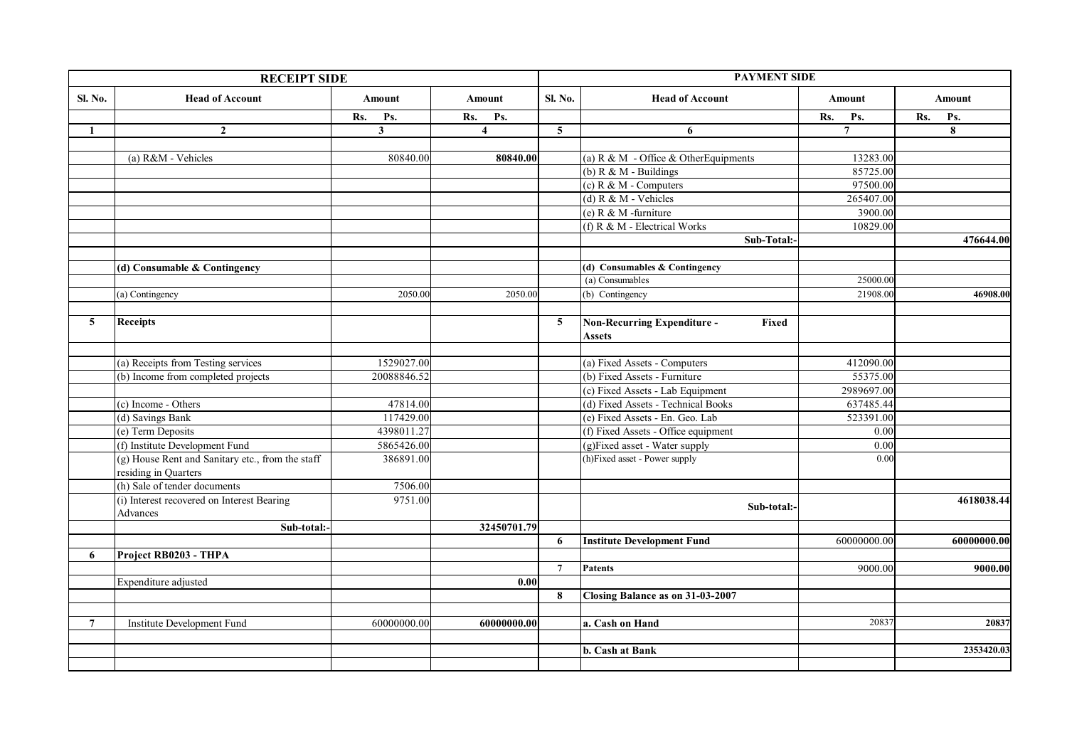| <b>RECEIPT SIDE</b> |                                                  |                |                         |                 | <b>PAYMENT SIDE</b>                         |                   |             |  |  |
|---------------------|--------------------------------------------------|----------------|-------------------------|-----------------|---------------------------------------------|-------------------|-------------|--|--|
| Sl. No.             | <b>Head of Account</b>                           | <b>Amount</b>  | Amount                  | Sl. No.         | <b>Head of Account</b>                      | Amount            | Amount      |  |  |
|                     |                                                  | Rs.<br>Ps.     | Rs.<br>Ps.              |                 |                                             | Rs.<br>Ps.        | Rs.<br>Ps.  |  |  |
| 1                   | $\mathbf{2}$                                     | 3 <sup>1</sup> | $\overline{\mathbf{4}}$ | $5\overline{)}$ | 6                                           | $\overline{7}$    | 8           |  |  |
|                     |                                                  |                |                         |                 |                                             |                   |             |  |  |
|                     | (a) R&M - Vehicles                               | 80840.00       | 80840.00                |                 | (a) R & M - Office & OtherEquipments        | 13283.00          |             |  |  |
|                     |                                                  |                |                         |                 | (b) $R & M$ - Buildings                     | 85725.00          |             |  |  |
|                     |                                                  |                |                         |                 | (c) $R & M - Computers$                     | 97500.00          |             |  |  |
|                     |                                                  |                |                         |                 | (d) R & M - Vehicles                        | 265407.00         |             |  |  |
|                     |                                                  |                |                         |                 | (e) $R & M$ -furniture                      | 3900.00           |             |  |  |
|                     |                                                  |                |                         |                 | (f) $R & M$ - Electrical Works              | 10829.00          |             |  |  |
|                     |                                                  |                |                         |                 | Sub-Total:-                                 |                   | 476644.00   |  |  |
|                     |                                                  |                |                         |                 |                                             |                   |             |  |  |
|                     | (d) Consumable & Contingency                     |                |                         |                 | (d) Consumables & Contingency               |                   |             |  |  |
|                     |                                                  |                |                         |                 | (a) Consumables                             | 25000.00          |             |  |  |
|                     | (a) Contingency                                  | 2050.00        | 2050.00                 |                 | (b) Contingency                             | 21908.00          | 46908.00    |  |  |
|                     |                                                  |                |                         |                 |                                             |                   |             |  |  |
| $5^{\circ}$         | <b>Receipts</b>                                  |                |                         | $5\overline{)}$ | <b>Non-Recurring Expenditure -</b><br>Fixed |                   |             |  |  |
|                     |                                                  |                |                         |                 | Assets                                      |                   |             |  |  |
|                     |                                                  |                |                         |                 |                                             |                   |             |  |  |
|                     | (a) Receipts from Testing services               | 1529027.00     |                         |                 | (a) Fixed Assets - Computers                | 412090.00         |             |  |  |
|                     | (b) Income from completed projects               | 20088846.52    |                         |                 | (b) Fixed Assets - Furniture                | 55375.00          |             |  |  |
|                     |                                                  |                |                         |                 | (c) Fixed Assets - Lab Equipment            | 2989697.00        |             |  |  |
|                     | (c) Income - Others                              | 47814.00       |                         |                 | (d) Fixed Assets - Technical Books          | 637485.44         |             |  |  |
|                     | (d) Savings Bank                                 | 117429.00      |                         |                 | (e) Fixed Assets - En. Geo. Lab             | 523391.00         |             |  |  |
|                     | (e) Term Deposits                                | 4398011.27     |                         |                 | (f) Fixed Assets - Office equipment         | 0.00              |             |  |  |
|                     | (f) Institute Development Fund                   | 5865426.00     |                         |                 | (g)Fixed asset - Water supply               | $\overline{0.00}$ |             |  |  |
|                     | (g) House Rent and Sanitary etc., from the staff | 386891.00      |                         |                 | (h)Fixed asset - Power supply               | 0.00              |             |  |  |
|                     | residing in Quarters                             |                |                         |                 |                                             |                   |             |  |  |
|                     | (h) Sale of tender documents                     | 7506.00        |                         |                 |                                             |                   |             |  |  |
|                     | (i) Interest recovered on Interest Bearing       | 9751.00        |                         |                 |                                             |                   | 4618038.44  |  |  |
|                     | Advances                                         |                |                         |                 | Sub-total:-                                 |                   |             |  |  |
|                     | Sub-total:-                                      |                | 32450701.79             |                 |                                             |                   |             |  |  |
|                     |                                                  |                |                         | 6               | <b>Institute Development Fund</b>           | 60000000.00       | 60000000.00 |  |  |
| 6                   | Project RB0203 - THPA                            |                |                         |                 |                                             |                   |             |  |  |
|                     |                                                  |                |                         | $\overline{7}$  | Patents                                     | 9000.00           | 9000.00     |  |  |
|                     | Expenditure adjusted                             |                | 0.00                    |                 |                                             |                   |             |  |  |
|                     |                                                  |                |                         | 8               | Closing Balance as on 31-03-2007            |                   |             |  |  |
|                     |                                                  |                |                         |                 |                                             |                   |             |  |  |
| $7\phantom{.0}$     | <b>Institute Development Fund</b>                | 60000000.00    | 60000000.00             |                 | a. Cash on Hand                             | 20837             | 20837       |  |  |
|                     |                                                  |                |                         |                 |                                             |                   |             |  |  |
|                     |                                                  |                |                         |                 | b. Cash at Bank                             |                   | 2353420.03  |  |  |
|                     |                                                  |                |                         |                 |                                             |                   |             |  |  |
|                     |                                                  |                |                         |                 |                                             |                   |             |  |  |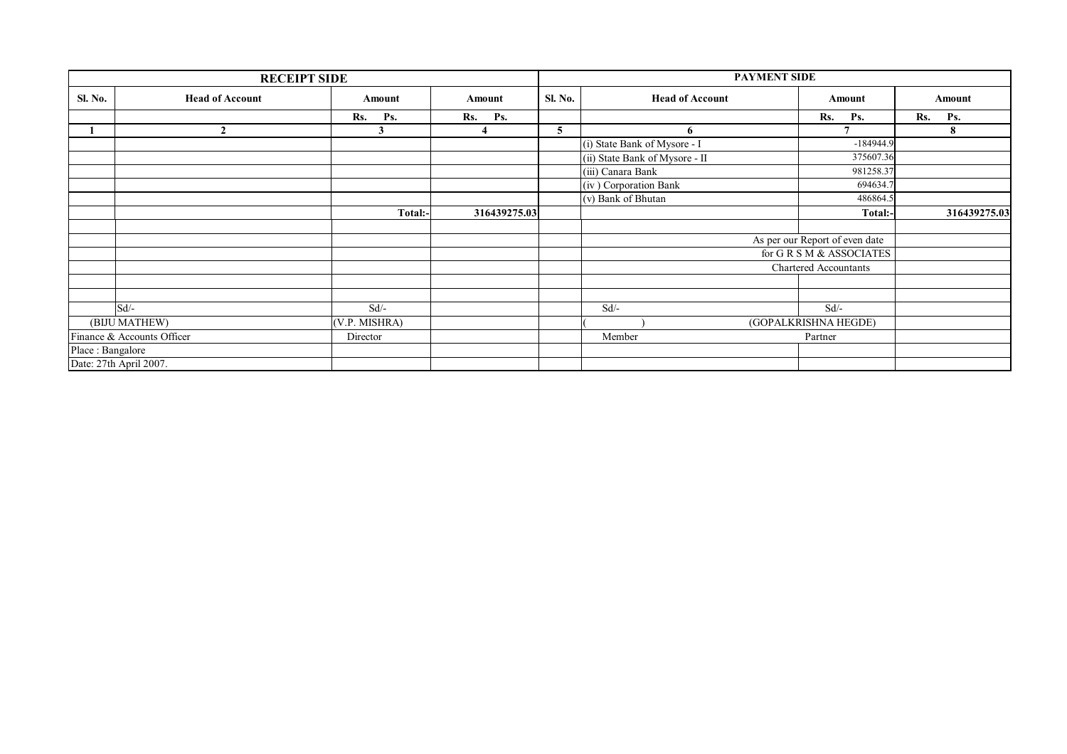|                            | <b>RECEIPT SIDE</b>    |               |              | <b>PAYMENT SIDE</b> |                                |                                |     |              |
|----------------------------|------------------------|---------------|--------------|---------------------|--------------------------------|--------------------------------|-----|--------------|
| Sl. No.                    | <b>Head of Account</b> | Amount        | Amount       | <b>Sl. No.</b>      | <b>Head of Account</b>         | Amount                         |     | Amount       |
|                            |                        | Rs.<br>Ps.    | Rs. Ps.      |                     |                                | Rs.<br>Ps.                     | Rs. | Ps.          |
|                            | $\mathbf{2}$           |               |              | 5                   | 6                              |                                |     | 8            |
|                            |                        |               |              |                     | (i) State Bank of Mysore - I   | $-184944.9$                    |     |              |
|                            |                        |               |              |                     | (ii) State Bank of Mysore - II | 375607.36                      |     |              |
|                            |                        |               |              |                     | (iii) Canara Bank              | 981258.37                      |     |              |
|                            |                        |               |              |                     | (iv) Corporation Bank          | 694634.7                       |     |              |
|                            |                        |               |              |                     | (v) Bank of Bhutan             | 486864.5                       |     |              |
|                            |                        | Total:-       | 316439275.03 |                     |                                | Total:-                        |     | 316439275.03 |
|                            |                        |               |              |                     |                                |                                |     |              |
|                            |                        |               |              |                     |                                | As per our Report of even date |     |              |
|                            |                        |               |              |                     |                                | for G R S M & ASSOCIATES       |     |              |
|                            |                        |               |              |                     |                                | Chartered Accountants          |     |              |
|                            |                        |               |              |                     |                                |                                |     |              |
|                            |                        |               |              |                     |                                |                                |     |              |
|                            | Sd                     | $Sd$ /-       |              |                     | $Sd$ /-                        | $Sd$ /-                        |     |              |
|                            | (BIJU MATHEW)          | (V.P. MISHRA) |              |                     |                                | (GOPALKRISHNA HEGDE)           |     |              |
| Finance & Accounts Officer |                        | Director      |              |                     | Member                         | Partner                        |     |              |
| Place: Bangalore           |                        |               |              |                     |                                |                                |     |              |
|                            | Date: 27th April 2007. |               |              |                     |                                |                                |     |              |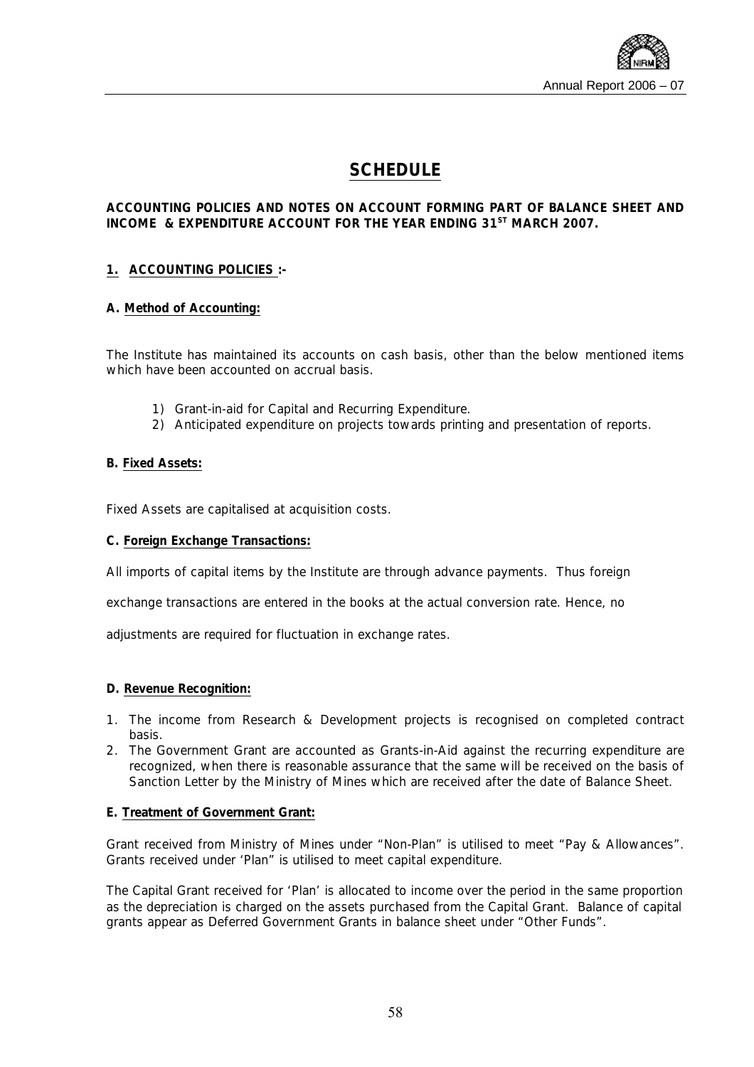

### **SCHEDULE**

#### **ACCOUNTING POLICIES AND NOTES ON ACCOUNT FORMING PART OF BALANCE SHEET AND INCOME & EXPENDITURE ACCOUNT FOR THE YEAR ENDING 31ST MARCH 2007.**

#### **1. ACCOUNTING POLICIES :-**

#### **A. Method of Accounting:**

The Institute has maintained its accounts on cash basis, other than the below mentioned items which have been accounted on accrual basis.

- 1) Grant-in-aid for Capital and Recurring Expenditure.
- 2) Anticipated expenditure on projects towards printing and presentation of reports.

#### **B. Fixed Assets:**

Fixed Assets are capitalised at acquisition costs.

#### **C. Foreign Exchange Transactions:**

All imports of capital items by the Institute are through advance payments. Thus foreign

exchange transactions are entered in the books at the actual conversion rate. Hence, no

adjustments are required for fluctuation in exchange rates.

#### **D. Revenue Recognition:**

- 1. The income from Research & Development projects is recognised on completed contract basis.
- 2. The Government Grant are accounted as Grants-in-Aid against the recurring expenditure are recognized, when there is reasonable assurance that the same will be received on the basis of Sanction Letter by the Ministry of Mines which are received after the date of Balance Sheet.

#### **E. Treatment of Government Grant:**

Grant received from Ministry of Mines under "Non-Plan" is utilised to meet "Pay & Allowances". Grants received under 'Plan" is utilised to meet capital expenditure.

The Capital Grant received for 'Plan' is allocated to income over the period in the same proportion as the depreciation is charged on the assets purchased from the Capital Grant. Balance of capital grants appear as Deferred Government Grants in balance sheet under "Other Funds".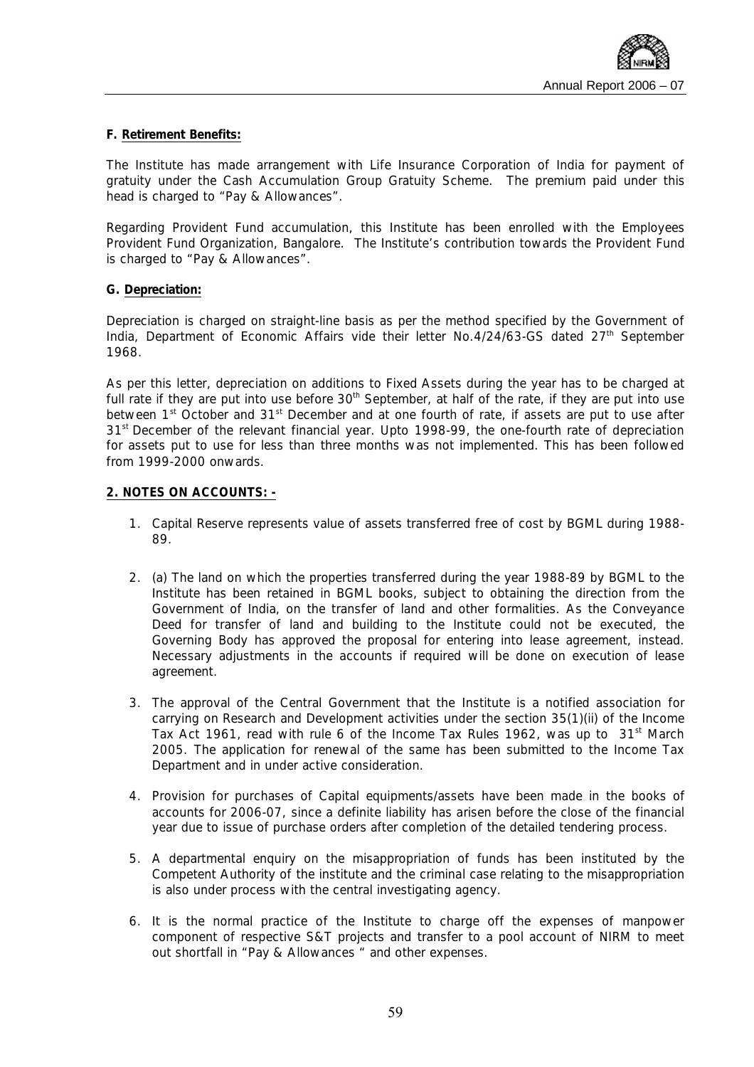

#### **F. Retirement Benefits:**

The Institute has made arrangement with Life Insurance Corporation of India for payment of gratuity under the Cash Accumulation Group Gratuity Scheme. The premium paid under this head is charged to "Pay & Allowances".

Regarding Provident Fund accumulation, this Institute has been enrolled with the Employees Provident Fund Organization, Bangalore. The Institute's contribution towards the Provident Fund is charged to "Pay & Allowances".

#### **G. Depreciation:**

Depreciation is charged on straight-line basis as per the method specified by the Government of India, Department of Economic Affairs vide their letter No.4/24/63-GS dated 27<sup>th</sup> September 1968.

As per this letter, depreciation on additions to Fixed Assets during the year has to be charged at full rate if they are put into use before  $30<sup>th</sup>$  September, at half of the rate, if they are put into use between 1<sup>st</sup> October and 31<sup>st</sup> December and at one fourth of rate, if assets are put to use after 31<sup>st</sup> December of the relevant financial year. Upto 1998-99, the one-fourth rate of depreciation for assets put to use for less than three months was not implemented. This has been followed from 1999-2000 onwards.

#### **2. NOTES ON ACCOUNTS: -**

- 1. Capital Reserve represents value of assets transferred free of cost by BGML during 1988- 89.
- 2. (a) The land on which the properties transferred during the year 1988-89 by BGML to the Institute has been retained in BGML books, subject to obtaining the direction from the Government of India, on the transfer of land and other formalities. As the Conveyance Deed for transfer of land and building to the Institute could not be executed, the Governing Body has approved the proposal for entering into lease agreement, instead. Necessary adjustments in the accounts if required will be done on execution of lease agreement.
- 3. The approval of the Central Government that the Institute is a notified association for carrying on Research and Development activities under the section 35(1)(ii) of the Income Tax Act 1961, read with rule 6 of the Income Tax Rules 1962, was up to  $31<sup>st</sup>$  March 2005. The application for renewal of the same has been submitted to the Income Tax Department and in under active consideration.
- 4. Provision for purchases of Capital equipments/assets have been made in the books of accounts for 2006-07, since a definite liability has arisen before the close of the financial year due to issue of purchase orders after completion of the detailed tendering process.
- 5. A departmental enquiry on the misappropriation of funds has been instituted by the Competent Authority of the institute and the criminal case relating to the misappropriation is also under process with the central investigating agency.
- 6. It is the normal practice of the Institute to charge off the expenses of manpower component of respective S&T projects and transfer to a pool account of NIRM to meet out shortfall in "Pay & Allowances " and other expenses.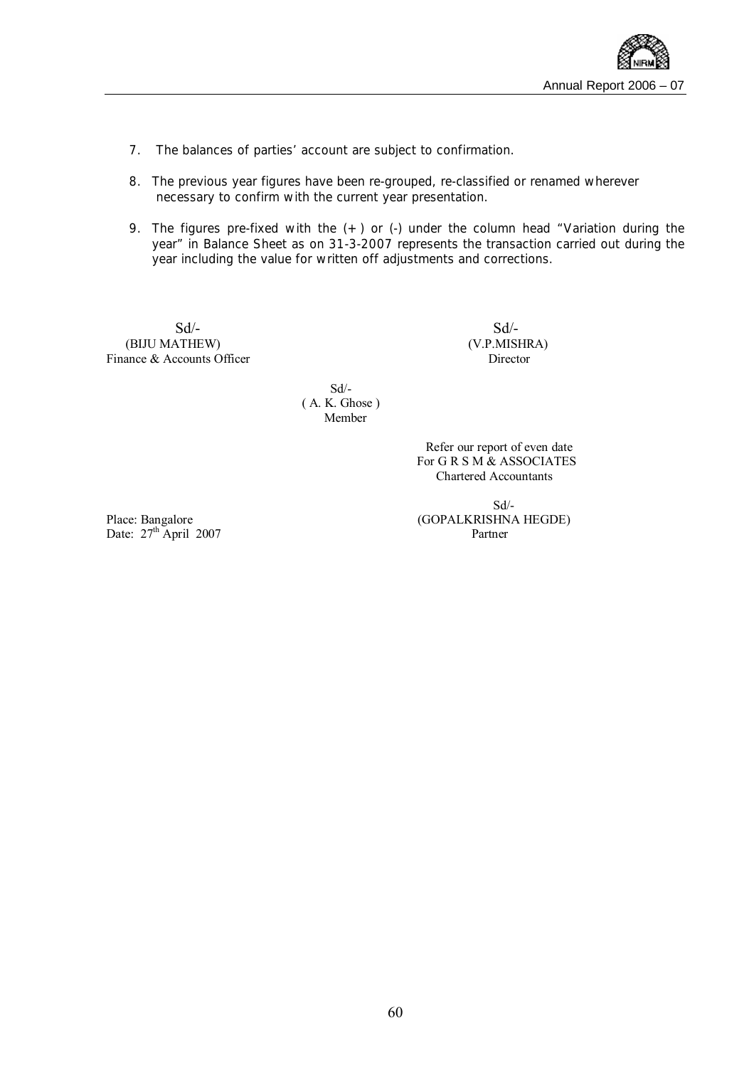- 7. The balances of parties' account are subject to confirmation.
- 8. The previous year figures have been re-grouped, re-classified or renamed wherever necessary to confirm with the current year presentation.
- 9. The figures pre-fixed with the  $(+)$  or  $(.)$  under the column head "Variation during the year" in Balance Sheet as on 31-3-2007 represents the transaction carried out during the year including the value for written off adjustments and corrections.

 $Sd$ - (BIJU MATHEW) (V.P.MISHRA) Finance & Accounts Officer Director

 Sd/- ( A. K. Ghose ) Member

> Refer our report of even date For G R S M & ASSOCIATES Chartered Accountants

 Sd/- Place: Bangalore (GOPALKRISHNA HEGDE)

Date:  $27^{\text{th}}$  April 2007 Partner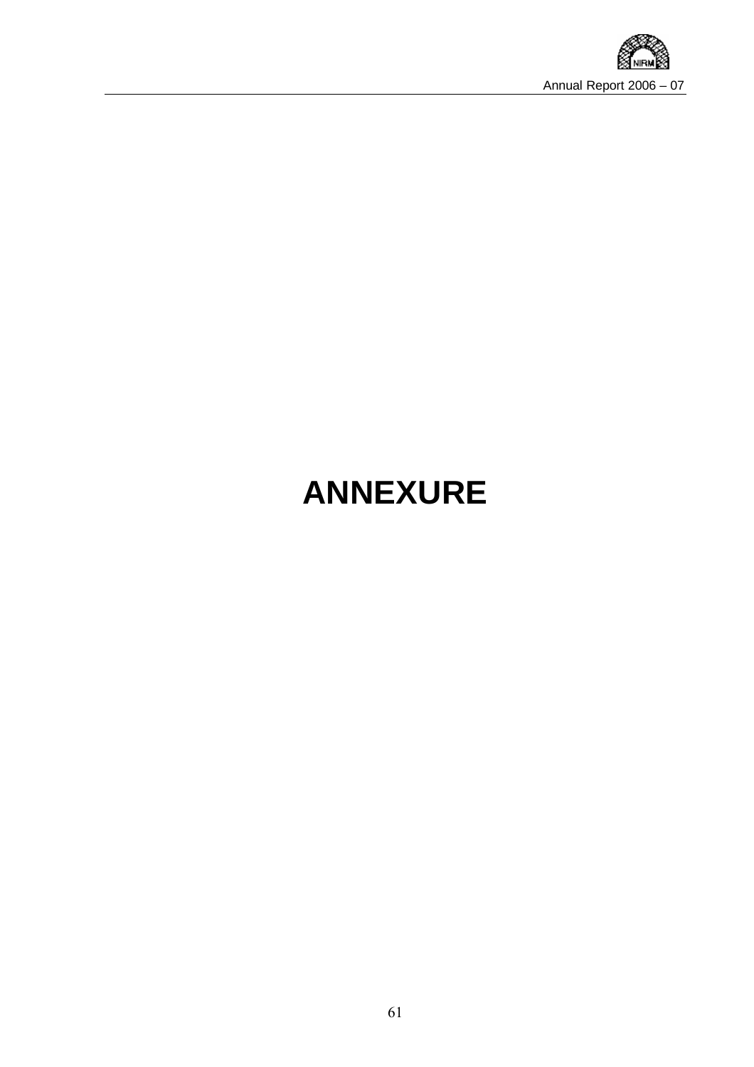

# **ANNEXURE**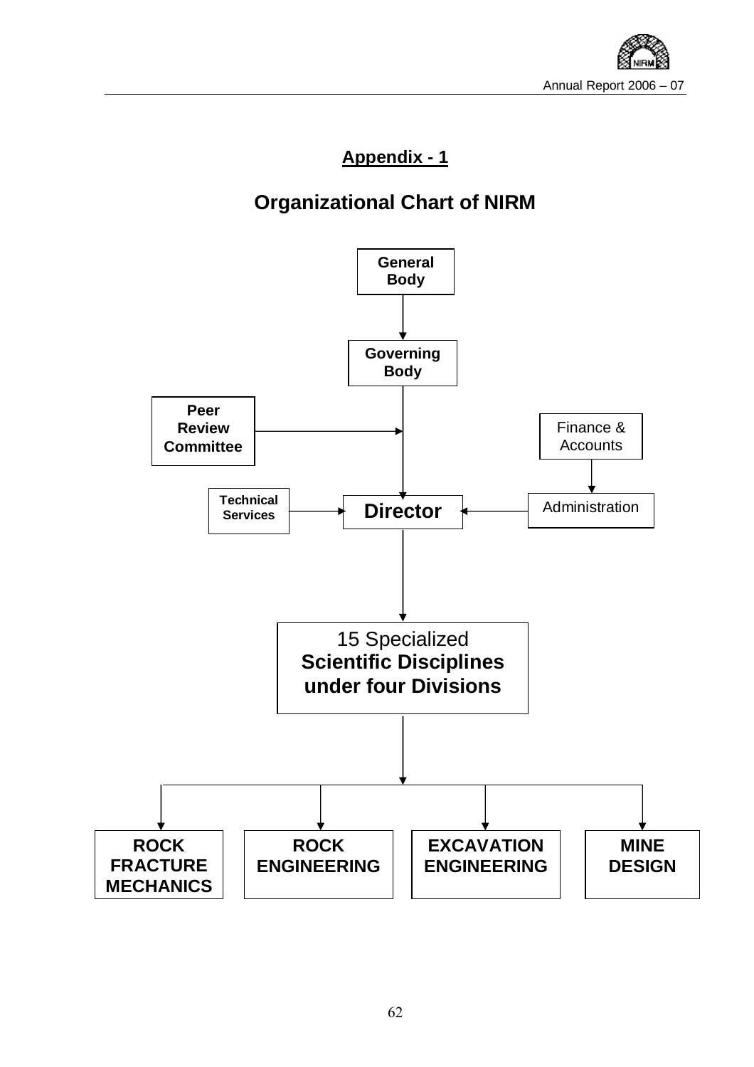

### **Appendix - 1**

## **Organizational Chart of NIRM**

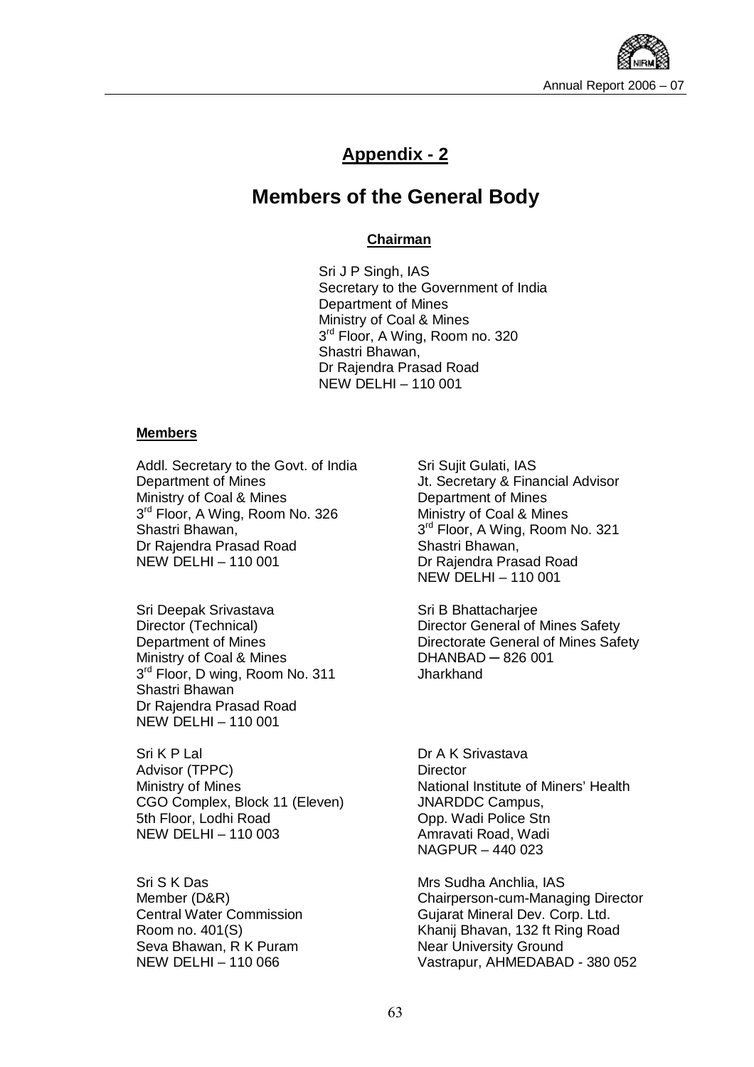

### **Appendix - 2**

### **Members of the General Body**

#### **Chairman**

Sri J P Singh, IAS Secretary to the Government of India Department of Mines Ministry of Coal & Mines 3<sup>rd</sup> Floor, A Wing, Room no. 320 Shastri Bhawan, Dr Rajendra Prasad Road NEW DELHI – 110 001

#### **Members**

Addl. Secretary to the Govt. of India Department of Mines Ministry of Coal & Mines 3<sup>rd</sup> Floor, A Wing, Room No. 326 Shastri Bhawan, Dr Rajendra Prasad Road NEW DELHI – 110 001

Sri Deepak Srivastava Director (Technical) Department of Mines Ministry of Coal & Mines 3<sup>rd</sup> Floor, D wing, Room No. 311 Shastri Bhawan Dr Rajendra Prasad Road NEW DELHI – 110 001

Sri K P Lal Advisor (TPPC) Ministry of Mines CGO Complex, Block 11 (Eleven) 5th Floor, Lodhi Road NEW DELHI – 110 003

Sri S K Das Member (D&R) Central Water Commission Room no. 401(S) Seva Bhawan, R K Puram NEW DELHI – 110 066

Sri Sujit Gulati, IAS Jt. Secretary & Financial Advisor Department of Mines Ministry of Coal & Mines 3<sup>rd</sup> Floor, A Wing, Room No. 321 Shastri Bhawan, Dr Rajendra Prasad Road NEW DELHI – 110 001

Sri B Bhattacharjee Director General of Mines Safety Directorate General of Mines Safety DHANBAD ─ 826 001 **Jharkhand** 

Dr A K Srivastava **Director** National Institute of Miners' Health JNARDDC Campus, Opp. Wadi Police Stn Amravati Road, Wadi NAGPUR – 440 023

Mrs Sudha Anchlia, IAS Chairperson-cum-Managing Director Gujarat Mineral Dev. Corp. Ltd. Khanij Bhavan, 132 ft Ring Road Near University Ground Vastrapur, AHMEDABAD - 380 052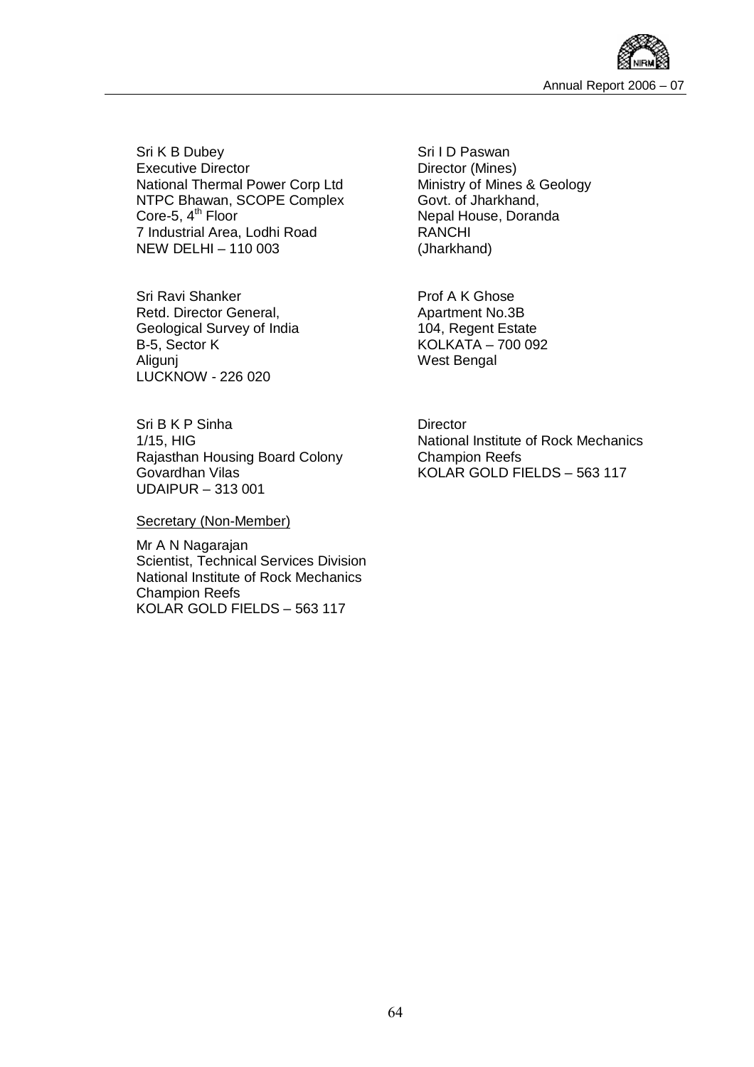

Sri K B Dubey Executive Director National Thermal Power Corp Ltd NTPC Bhawan, SCOPE Complex Core-5,  $4<sup>th</sup>$  Floor 7 Industrial Area, Lodhi Road NEW DELHI – 110 003

Sri Ravi Shanker Retd. Director General, Geological Survey of India B-5, Sector K Aligunj LUCKNOW - 226 020

Sri B K P Sinha 1/15, HIG Rajasthan Housing Board Colony Govardhan Vilas UDAIPUR – 313 001

Secretary (Non-Member)

Mr A N Nagarajan Scientist, Technical Services Division National Institute of Rock Mechanics Champion Reefs KOLAR GOLD FIELDS – 563 117

Sri I D Paswan Director (Mines) Ministry of Mines & Geology Govt. of Jharkhand, Nepal House, Doranda RANCHI (Jharkhand)

Prof A K Ghose Apartment No.3B 104, Regent Estate KOLKATA – 700 092 West Bengal

**Director** National Institute of Rock Mechanics Champion Reefs KOLAR GOLD FIELDS – 563 117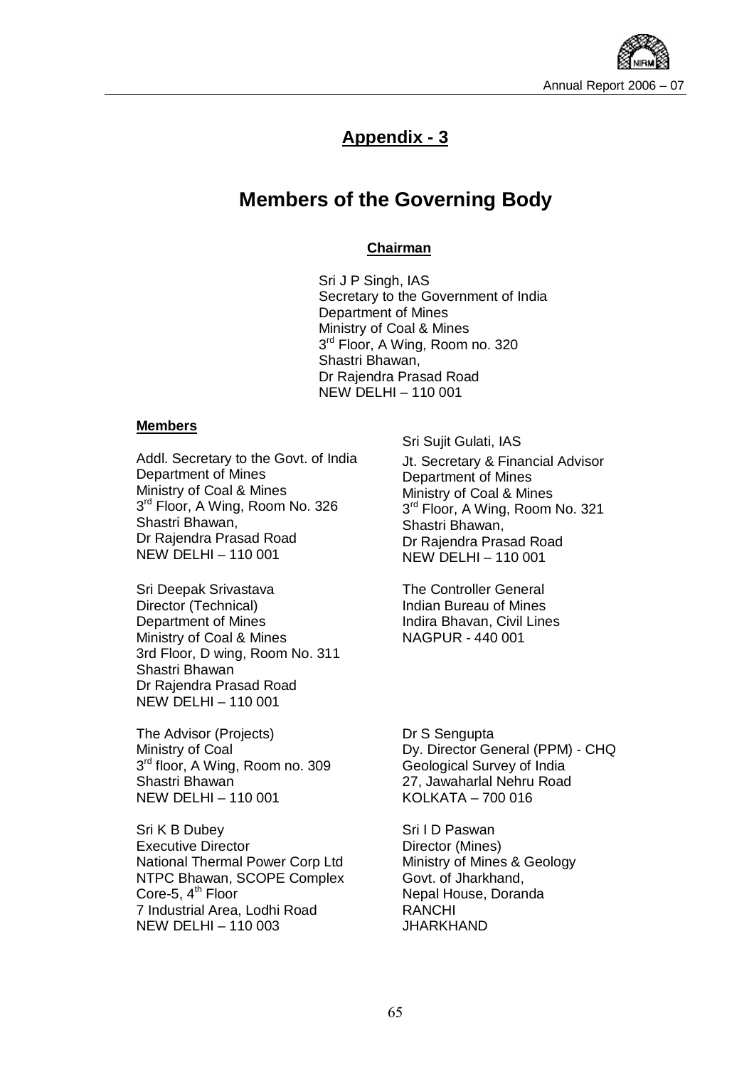

### **Appendix - 3**

### **Members of the Governing Body**

#### **Chairman**

Sri J P Singh, IAS Secretary to the Government of India Department of Mines Ministry of Coal & Mines 3<sup>rd</sup> Floor, A Wing, Room no. 320 Shastri Bhawan, Dr Rajendra Prasad Road NEW DELHI – 110 001

#### **Members**

Addl. Secretary to the Govt. of India Department of Mines Ministry of Coal & Mines 3<sup>rd</sup> Floor, A Wing, Room No. 326 Shastri Bhawan, Dr Rajendra Prasad Road NEW DELHI – 110 001

Sri Deepak Srivastava Director (Technical) Department of Mines Ministry of Coal & Mines 3rd Floor, D wing, Room No. 311 Shastri Bhawan Dr Rajendra Prasad Road NEW DELHI – 110 001

The Advisor (Projects) Ministry of Coal 3 rd floor, A Wing, Room no. 309 Shastri Bhawan NEW DELHI – 110 001

Sri K B Dubey Executive Director National Thermal Power Corp Ltd NTPC Bhawan, SCOPE Complex Core-5,  $4<sup>th</sup>$  Floor 7 Industrial Area, Lodhi Road NEW DELHI – 110 003

Sri Sujit Gulati, IAS

Jt. Secretary & Financial Advisor Department of Mines Ministry of Coal & Mines 3<sup>rd</sup> Floor, A Wing, Room No. 321 Shastri Bhawan, Dr Rajendra Prasad Road NEW DELHI – 110 001

The Controller General Indian Bureau of Mines Indira Bhavan, Civil Lines NAGPUR - 440 001

Dr S Sengupta Dy. Director General (PPM) - CHQ Geological Survey of India 27, Jawaharlal Nehru Road KOLKATA – 700 016

Sri I D Paswan Director (Mines) Ministry of Mines & Geology Govt. of Jharkhand, Nepal House, Doranda RANCHI JHARKHAND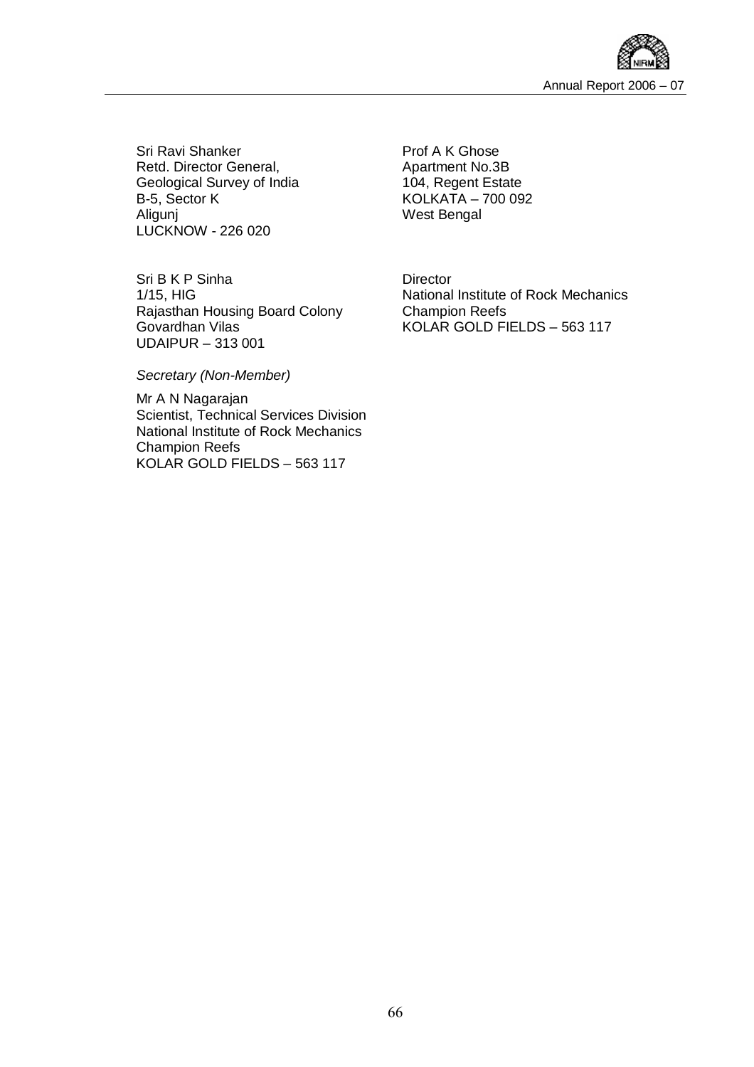

Sri Ravi Shanker Retd. Director General, Geological Survey of India B-5, Sector K Aligunj LUCKNOW - 226 020

Sri B K P Sinha 1/15, HIG Rajasthan Housing Board Colony Govardhan Vilas UDAIPUR – 313 001

Prof A K Ghose Apartment No.3B 104, Regent Estate KOLKATA – 700 092 West Bengal

**Director** National Institute of Rock Mechanics Champion Reefs KOLAR GOLD FIELDS – 563 117

*Secretary (Non-Member)* 

Mr A N Nagarajan Scientist, Technical Services Division National Institute of Rock Mechanics Champion Reefs KOLAR GOLD FIELDS – 563 117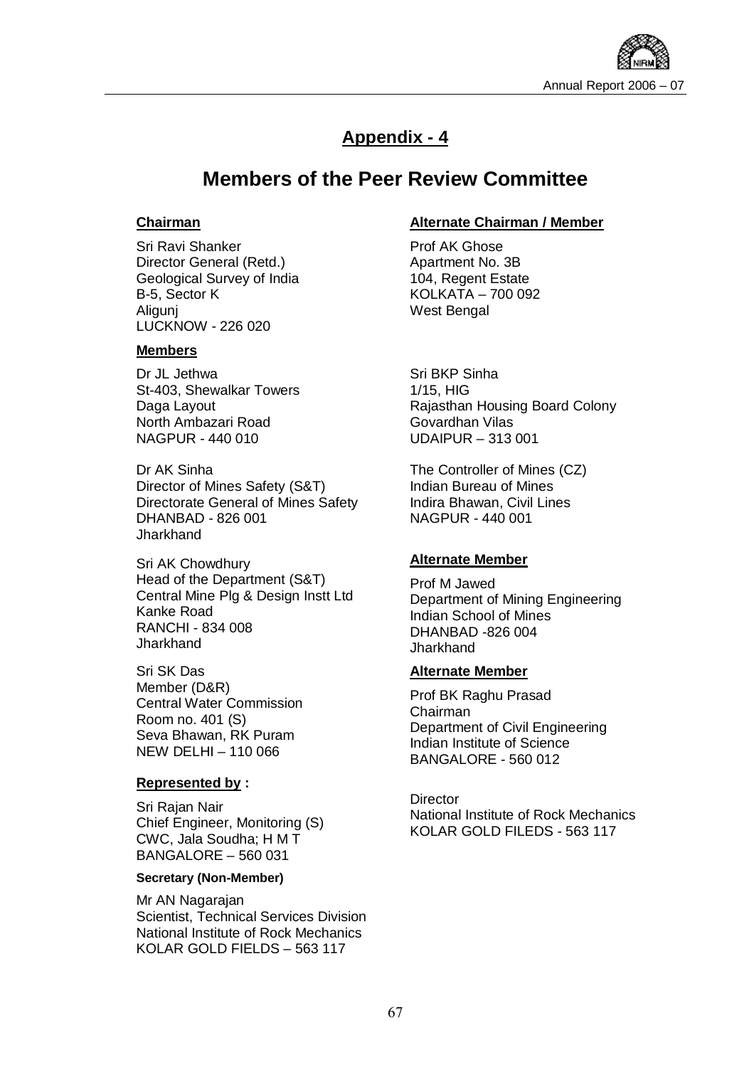

### **Appendix - 4**

### **Members of the Peer Review Committee**

#### **Chairman**

Sri Ravi Shanker Director General (Retd.) Geological Survey of India B-5, Sector K Aligunj LUCKNOW - 226 020

#### **Members**

Dr JL Jethwa St-403, Shewalkar Towers Daga Layout North Ambazari Road NAGPUR - 440 010

Dr AK Sinha Director of Mines Safety (S&T) Directorate General of Mines Safety DHANBAD - 826 001 **Jharkhand** 

Sri AK Chowdhury Head of the Department (S&T) Central Mine Plg & Design Instt Ltd Kanke Road RANCHI - 834 008 **Jharkhand** 

Sri SK Das Member (D&R) Central Water Commission Room no. 401 (S) Seva Bhawan, RK Puram NEW DELHI – 110 066

#### **Represented by :**

Sri Rajan Nair Chief Engineer, Monitoring (S) CWC, Jala Soudha; H M T BANGALORE – 560 031

#### **Secretary (Non-Member)**

Mr AN Nagarajan Scientist, Technical Services Division National Institute of Rock Mechanics KOLAR GOLD FIELDS – 563 117

#### **Alternate Chairman / Member**

Prof AK Ghose Apartment No. 3B 104, Regent Estate KOLKATA – 700 092 West Bengal

Sri BKP Sinha 1/15, HIG Rajasthan Housing Board Colony Govardhan Vilas UDAIPUR – 313 001

The Controller of Mines (CZ) Indian Bureau of Mines Indira Bhawan, Civil Lines NAGPUR - 440 001

#### **Alternate Member**

Prof M Jawed Department of Mining Engineering Indian School of Mines DHANBAD -826 004 Jharkhand

#### **Alternate Member**

Prof BK Raghu Prasad Chairman Department of Civil Engineering Indian Institute of Science BANGALORE - 560 012

**Director** National Institute of Rock Mechanics KOLAR GOLD FILEDS - 563 117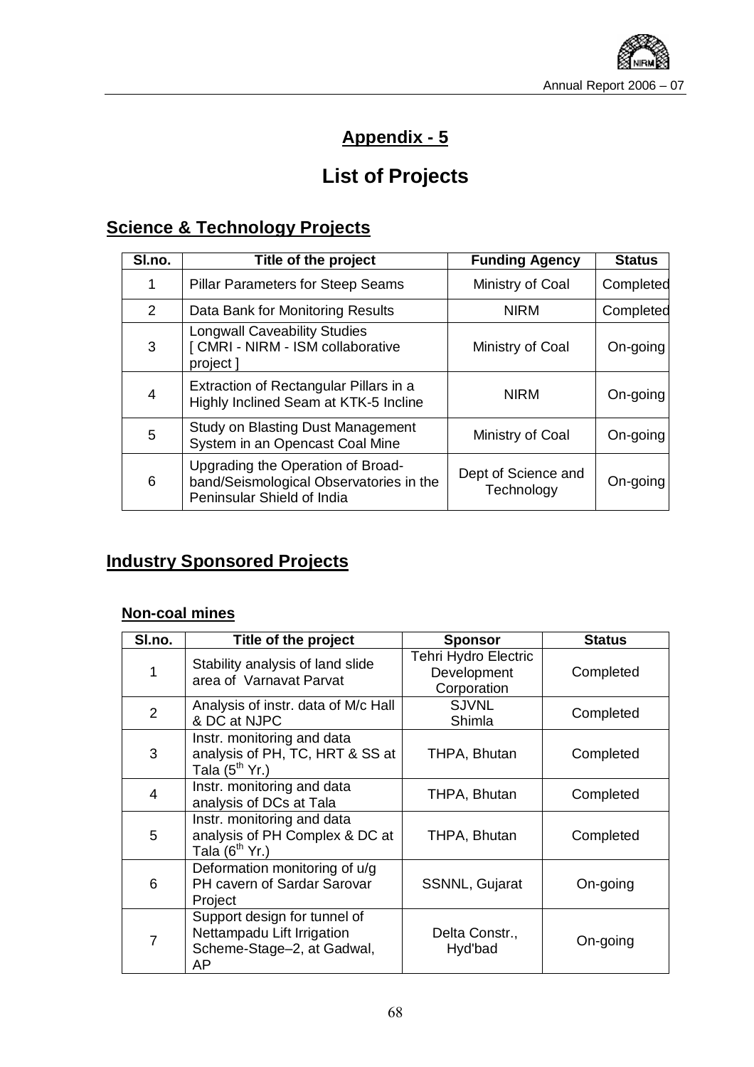

### **Appendix - 5**

## **List of Projects**

### **Science & Technology Projects**

| SI.no. | Title of the project                                                                                       | <b>Funding Agency</b>             | <b>Status</b> |
|--------|------------------------------------------------------------------------------------------------------------|-----------------------------------|---------------|
| 1      | <b>Pillar Parameters for Steep Seams</b>                                                                   | Ministry of Coal                  | Completed     |
| 2      | Data Bank for Monitoring Results                                                                           | <b>NIRM</b>                       | Completed     |
| 3      | <b>Longwall Caveability Studies</b><br>[ CMRI - NIRM - ISM collaborative<br>project 1                      | Ministry of Coal                  | On-going      |
| 4      | Extraction of Rectangular Pillars in a<br>Highly Inclined Seam at KTK-5 Incline                            | <b>NIRM</b>                       | On-going      |
| 5      | <b>Study on Blasting Dust Management</b><br>System in an Opencast Coal Mine                                | Ministry of Coal                  | On-going      |
| 6      | Upgrading the Operation of Broad-<br>band/Seismological Observatories in the<br>Peninsular Shield of India | Dept of Science and<br>Technology | On-going      |

### **Industry Sponsored Projects**

### **Non-coal mines**

| SI.no.         | Title of the project                                                                           | <b>Sponsor</b>                                            | <b>Status</b> |
|----------------|------------------------------------------------------------------------------------------------|-----------------------------------------------------------|---------------|
| 1              | Stability analysis of land slide<br>area of Varnavat Parvat                                    | <b>Tehri Hydro Electric</b><br>Development<br>Corporation | Completed     |
| $\overline{2}$ | Analysis of instr. data of M/c Hall<br>& DC at NJPC                                            | <b>SJVNL</b><br>Shimla                                    | Completed     |
| 3              | Instr. monitoring and data<br>analysis of PH, TC, HRT & SS at<br>Tala $(5th$ Yr.)              | THPA, Bhutan                                              | Completed     |
| 4              | Instr. monitoring and data<br>analysis of DCs at Tala                                          | THPA, Bhutan                                              | Completed     |
| 5              | Instr. monitoring and data<br>analysis of PH Complex & DC at<br>Tala $(6th$ Yr.)               | THPA, Bhutan                                              | Completed     |
| 6              | Deformation monitoring of u/g<br>PH cavern of Sardar Sarovar<br>Project                        | SSNNL, Gujarat                                            | On-going      |
| $\overline{7}$ | Support design for tunnel of<br>Nettampadu Lift Irrigation<br>Scheme-Stage-2, at Gadwal,<br>AP | Delta Constr.,<br>Hyd'bad                                 | On-going      |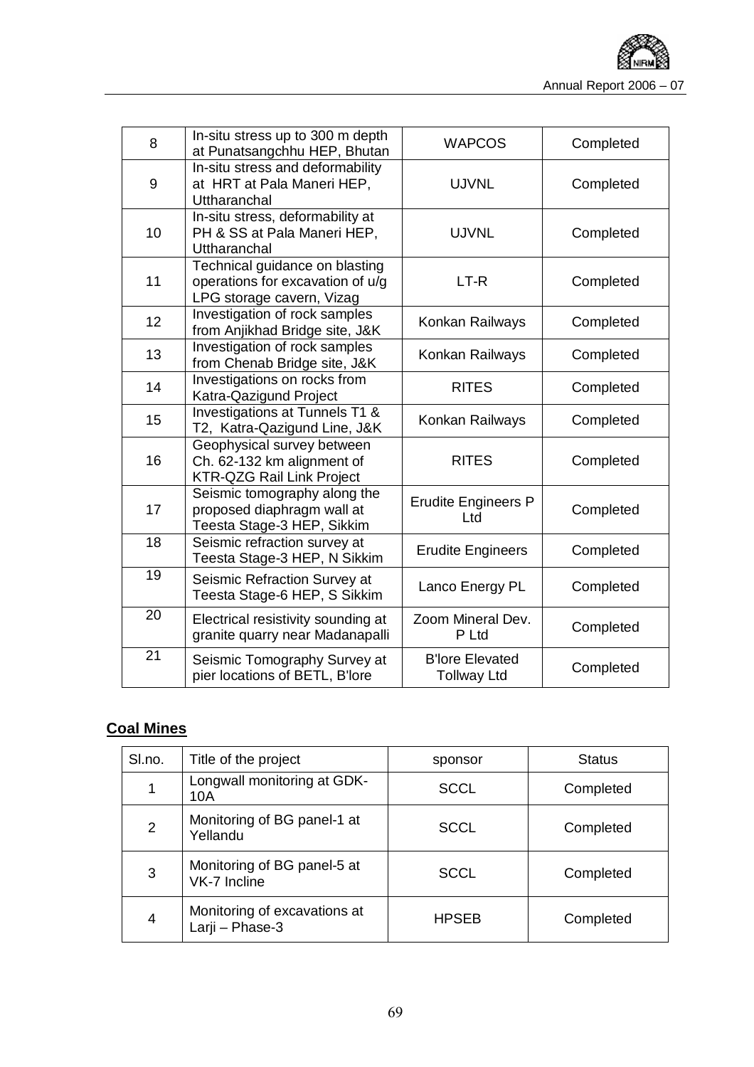

| 8  | In-situ stress up to 300 m depth<br>at Punatsangchhu HEP, Bhutan                                | <b>WAPCOS</b>                                | Completed |
|----|-------------------------------------------------------------------------------------------------|----------------------------------------------|-----------|
| 9  | In-situ stress and deformability<br>at HRT at Pala Maneri HEP,<br>Uttharanchal                  | <b>UJVNL</b>                                 | Completed |
| 10 | In-situ stress, deformability at<br>PH & SS at Pala Maneri HEP,<br>Uttharanchal                 | <b>UJVNL</b>                                 | Completed |
| 11 | Technical guidance on blasting<br>operations for excavation of u/g<br>LPG storage cavern, Vizag | LT-R                                         | Completed |
| 12 | Investigation of rock samples<br>from Anjikhad Bridge site, J&K                                 | Konkan Railways                              | Completed |
| 13 | Investigation of rock samples<br>from Chenab Bridge site, J&K                                   | Konkan Railways                              | Completed |
| 14 | Investigations on rocks from<br>Katra-Qazigund Project                                          | <b>RITES</b>                                 | Completed |
| 15 | Investigations at Tunnels T1 &<br>T2, Katra-Qazigund Line, J&K                                  | Konkan Railways                              | Completed |
| 16 | Geophysical survey between<br>Ch. 62-132 km alignment of<br><b>KTR-QZG Rail Link Project</b>    | <b>RITES</b>                                 | Completed |
| 17 | Seismic tomography along the<br>proposed diaphragm wall at<br>Teesta Stage-3 HEP, Sikkim        | <b>Erudite Engineers P</b><br>Ltd            | Completed |
| 18 | Seismic refraction survey at<br>Teesta Stage-3 HEP, N Sikkim                                    | <b>Erudite Engineers</b>                     | Completed |
| 19 | Seismic Refraction Survey at<br>Teesta Stage-6 HEP, S Sikkim                                    | Lanco Energy PL                              | Completed |
| 20 | Electrical resistivity sounding at<br>granite quarry near Madanapalli                           | Zoom Mineral Dev.<br>P Ltd                   | Completed |
| 21 | Seismic Tomography Survey at<br>pier locations of BETL, B'lore                                  | <b>B'lore Elevated</b><br><b>Tollway Ltd</b> | Completed |

### **Coal Mines**

| SI.no.         | Title of the project                            | sponsor      | <b>Status</b> |
|----------------|-------------------------------------------------|--------------|---------------|
|                | Longwall monitoring at GDK-<br>10A              | <b>SCCL</b>  | Completed     |
| $\overline{2}$ | Monitoring of BG panel-1 at<br>Yellandu         | <b>SCCL</b>  | Completed     |
| 3              | Monitoring of BG panel-5 at<br>VK-7 Incline     | <b>SCCL</b>  | Completed     |
| $\overline{4}$ | Monitoring of excavations at<br>Larji - Phase-3 | <b>HPSEB</b> | Completed     |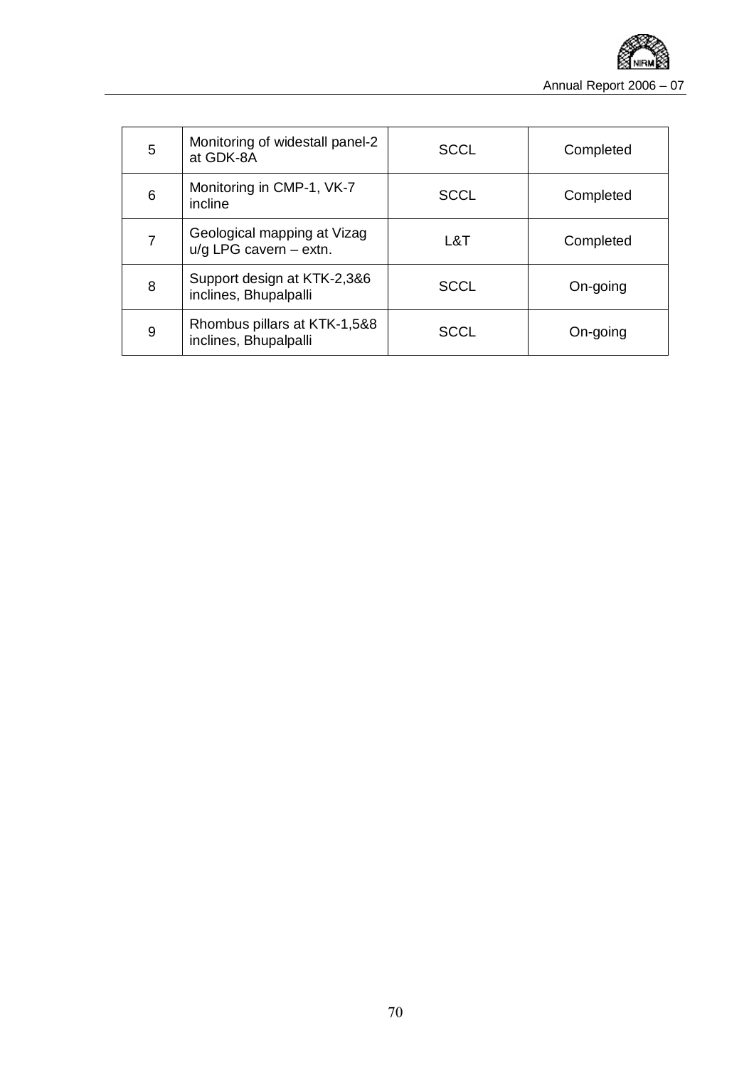

| 5 | Monitoring of widestall panel-2<br>at GDK-8A            | <b>SCCL</b> | Completed |
|---|---------------------------------------------------------|-------------|-----------|
| 6 | Monitoring in CMP-1, VK-7<br>incline                    | <b>SCCL</b> | Completed |
| 7 | Geological mapping at Vizag<br>$u/g$ LPG cavern - extn. | L&T         | Completed |
| 8 | Support design at KTK-2,3&6<br>inclines, Bhupalpalli    | <b>SCCL</b> | On-going  |
| 9 | Rhombus pillars at KTK-1,5&8<br>inclines, Bhupalpalli   | <b>SCCL</b> | On-going  |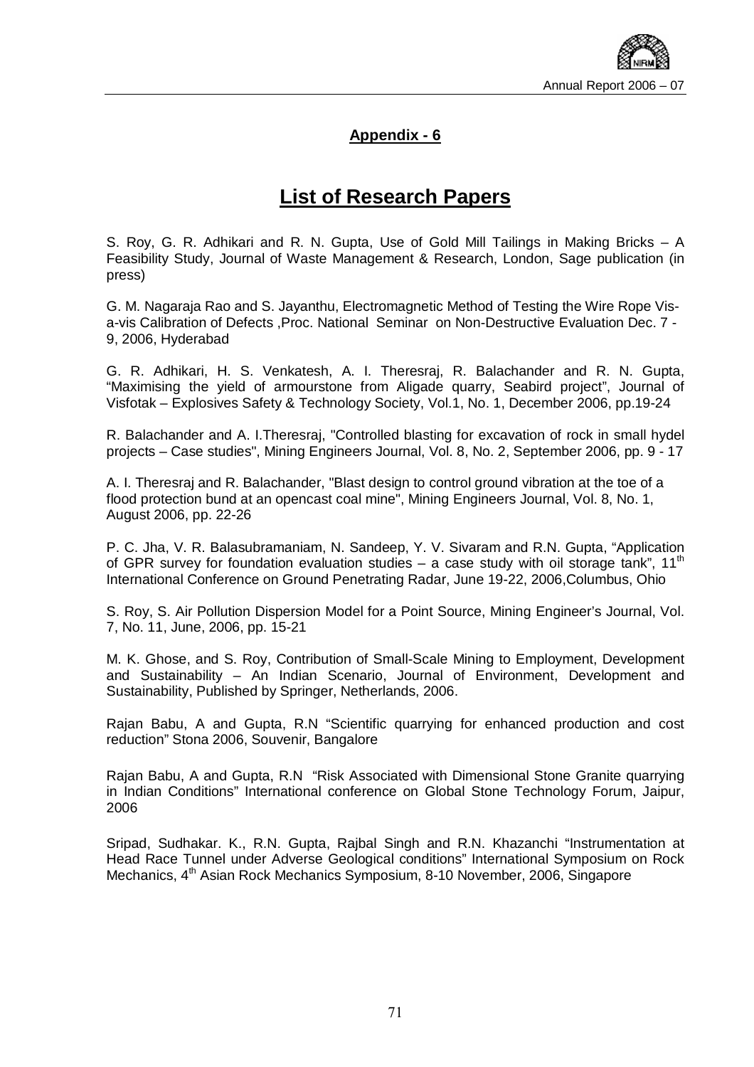

#### **Appendix - 6**

## **List of Research Papers**

S. Roy, G. R. Adhikari and R. N. Gupta, Use of Gold Mill Tailings in Making Bricks – A Feasibility Study, Journal of Waste Management & Research, London, Sage publication (in press)

G. M. Nagaraja Rao and S. Jayanthu, Electromagnetic Method of Testing the Wire Rope Visa-vis Calibration of Defects ,Proc. National Seminar on Non-Destructive Evaluation Dec. 7 - 9, 2006, Hyderabad

G. R. Adhikari, H. S. Venkatesh, A. I. Theresraj, R. Balachander and R. N. Gupta, "Maximising the yield of armourstone from Aligade quarry, Seabird project", Journal of Visfotak – Explosives Safety & Technology Society, Vol.1, No. 1, December 2006, pp.19-24

R. Balachander and A. I.Theresraj, "Controlled blasting for excavation of rock in small hydel projects – Case studies", Mining Engineers Journal, Vol. 8, No. 2, September 2006, pp. 9 - 17

A. I. Theresraj and R. Balachander, "Blast design to control ground vibration at the toe of a flood protection bund at an opencast coal mine", Mining Engineers Journal, Vol. 8, No. 1, August 2006, pp. 22-26

P. C. Jha, V. R. Balasubramaniam, N. Sandeep, Y. V. Sivaram and R.N. Gupta, "Application of GPR survey for foundation evaluation studies – a case study with oil storage tank", 11<sup>th</sup> International Conference on Ground Penetrating Radar, June 19-22, 2006,Columbus, Ohio

S. Roy, S. Air Pollution Dispersion Model for a Point Source, Mining Engineer's Journal, Vol. 7, No. 11, June, 2006, pp. 15-21

M. K. Ghose, and S. Roy, Contribution of Small-Scale Mining to Employment, Development and Sustainability – An Indian Scenario, Journal of Environment, Development and Sustainability, Published by Springer, Netherlands, 2006.

Rajan Babu, A and Gupta, R.N "Scientific quarrying for enhanced production and cost reduction" Stona 2006, Souvenir, Bangalore

Rajan Babu, A and Gupta, R.N "Risk Associated with Dimensional Stone Granite quarrying in Indian Conditions" International conference on Global Stone Technology Forum, Jaipur, 2006

Sripad, Sudhakar. K., R.N. Gupta, Rajbal Singh and R.N. Khazanchi "Instrumentation at Head Race Tunnel under Adverse Geological conditions" International Symposium on Rock Mechanics, 4<sup>th</sup> Asian Rock Mechanics Symposium, 8-10 November, 2006, Singapore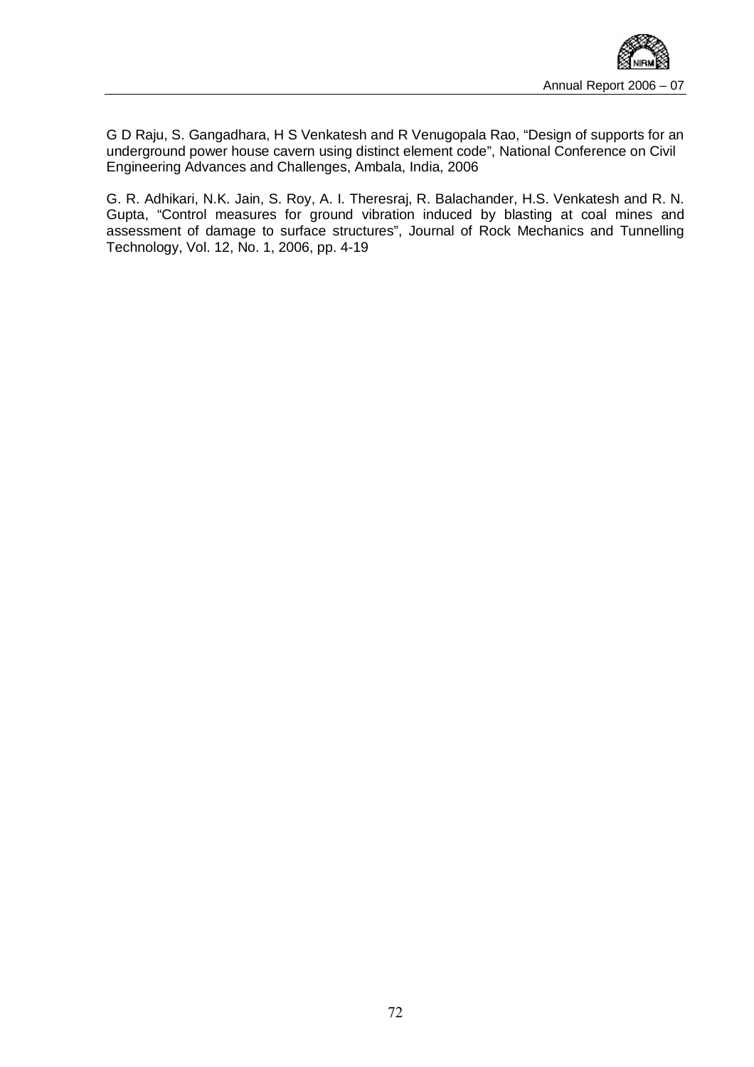

G D Raju, S. Gangadhara, H S Venkatesh and R Venugopala Rao, "Design of supports for an underground power house cavern using distinct element code", National Conference on Civil Engineering Advances and Challenges, Ambala, India, 2006

G. R. Adhikari, N.K. Jain, S. Roy, A. I. Theresraj, R. Balachander, H.S. Venkatesh and R. N. Gupta, "Control measures for ground vibration induced by blasting at coal mines and assessment of damage to surface structures", Journal of Rock Mechanics and Tunnelling Technology, Vol. 12, No. 1, 2006, pp. 4-19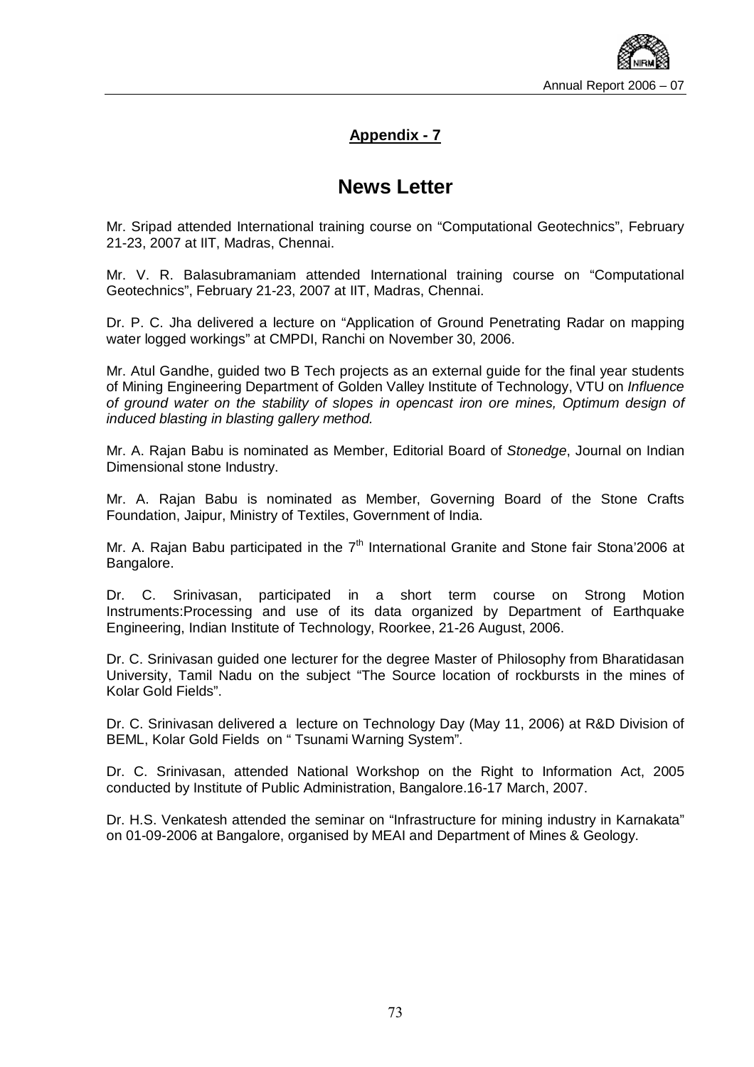

#### **Appendix - 7**

## **News Letter**

Mr. Sripad attended International training course on "Computational Geotechnics", February 21-23, 2007 at IIT, Madras, Chennai.

Mr. V. R. Balasubramaniam attended International training course on "Computational Geotechnics", February 21-23, 2007 at IIT, Madras, Chennai.

Dr. P. C. Jha delivered a lecture on "Application of Ground Penetrating Radar on mapping water logged workings" at CMPDI, Ranchi on November 30, 2006.

Mr. Atul Gandhe, guided two B Tech projects as an external guide for the final year students of Mining Engineering Department of Golden Valley Institute of Technology, VTU on *Influence of ground water on the stability of slopes in opencast iron ore mines, Optimum design of induced blasting in blasting gallery method.* 

Mr. A. Rajan Babu is nominated as Member, Editorial Board of *Stonedge*, Journal on Indian Dimensional stone Industry.

Mr. A. Rajan Babu is nominated as Member, Governing Board of the Stone Crafts Foundation, Jaipur, Ministry of Textiles, Government of India.

Mr. A. Rajan Babu participated in the  $7<sup>th</sup>$  International Granite and Stone fair Stona'2006 at Bangalore.

Dr. C. Srinivasan, participated in a short term course on Strong Motion Instruments:Processing and use of its data organized by Department of Earthquake Engineering, Indian Institute of Technology, Roorkee, 21-26 August, 2006.

Dr. C. Srinivasan guided one lecturer for the degree Master of Philosophy from Bharatidasan University, Tamil Nadu on the subject "The Source location of rockbursts in the mines of Kolar Gold Fields".

Dr. C. Srinivasan delivered a lecture on Technology Day (May 11, 2006) at R&D Division of BEML, Kolar Gold Fields on " Tsunami Warning System".

Dr. C. Srinivasan, attended National Workshop on the Right to Information Act, 2005 conducted by Institute of Public Administration, Bangalore.16-17 March, 2007.

Dr. H.S. Venkatesh attended the seminar on "Infrastructure for mining industry in Karnakata" on 01-09-2006 at Bangalore, organised by MEAI and Department of Mines & Geology.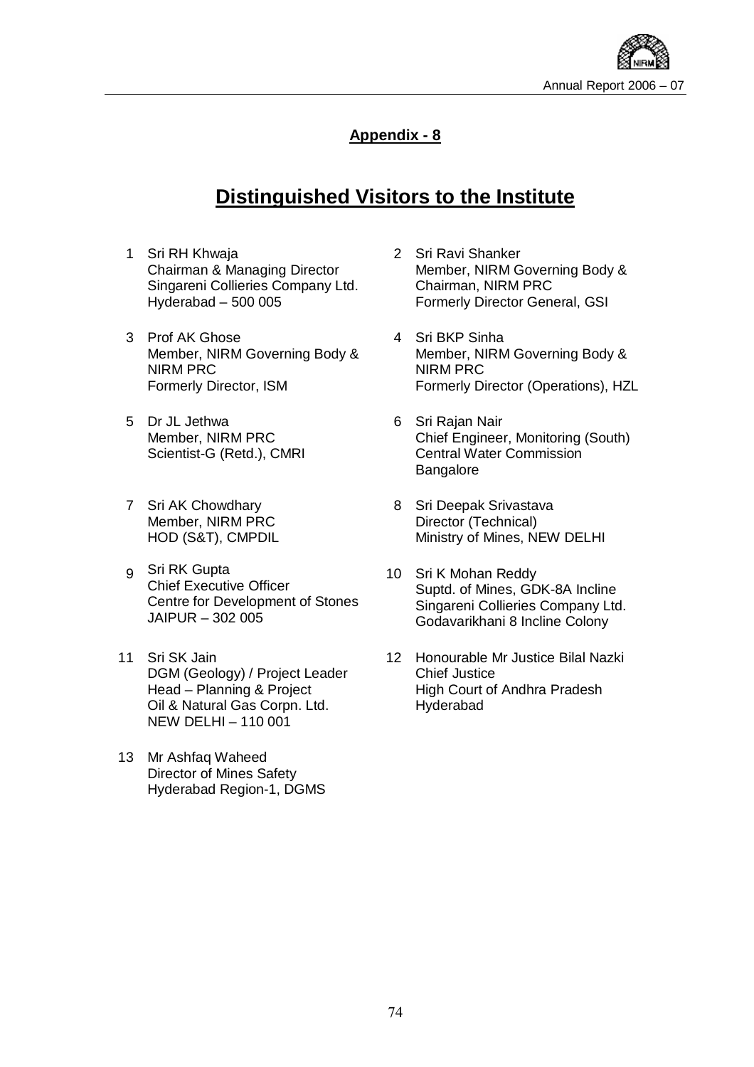

### **Appendix - 8**

# **Distinguished Visitors to the Institute**

- 1 Sri RH Khwaja Chairman & Managing Director Singareni Collieries Company Ltd. Hyderabad – 500 005
- 3 Prof AK Ghose Member, NIRM Governing Body & NIRM PRC Formerly Director, ISM
- 5 Dr JL Jethwa Member, NIRM PRC Scientist-G (Retd.), CMRI
- 7 Sri AK Chowdhary Member, NIRM PRC HOD (S&T), CMPDIL
- 9 Sri RK Gupta Chief Executive Officer Centre for Development of Stones JAIPUR – 302 005
- 11 Sri SK Jain DGM (Geology) / Project Leader Head – Planning & Project Oil & Natural Gas Corpn. Ltd. NEW DELHI – 110 001
- 13 Mr Ashfaq Waheed Director of Mines Safety Hyderabad Region-1, DGMS
- 2 Sri Ravi Shanker Member, NIRM Governing Body & Chairman, NIRM PRC Formerly Director General, GSI
- 4 Sri BKP Sinha Member, NIRM Governing Body & NIRM PRC Formerly Director (Operations), HZL
- 6 Sri Rajan Nair Chief Engineer, Monitoring (South) Central Water Commission **Bangalore**
- 8 Sri Deepak Srivastava Director (Technical) Ministry of Mines, NEW DELHI
- 10 Sri K Mohan Reddy Suptd. of Mines, GDK-8A Incline Singareni Collieries Company Ltd. Godavarikhani 8 Incline Colony
- 12 Honourable Mr Justice Bilal Nazki Chief Justice High Court of Andhra Pradesh Hyderabad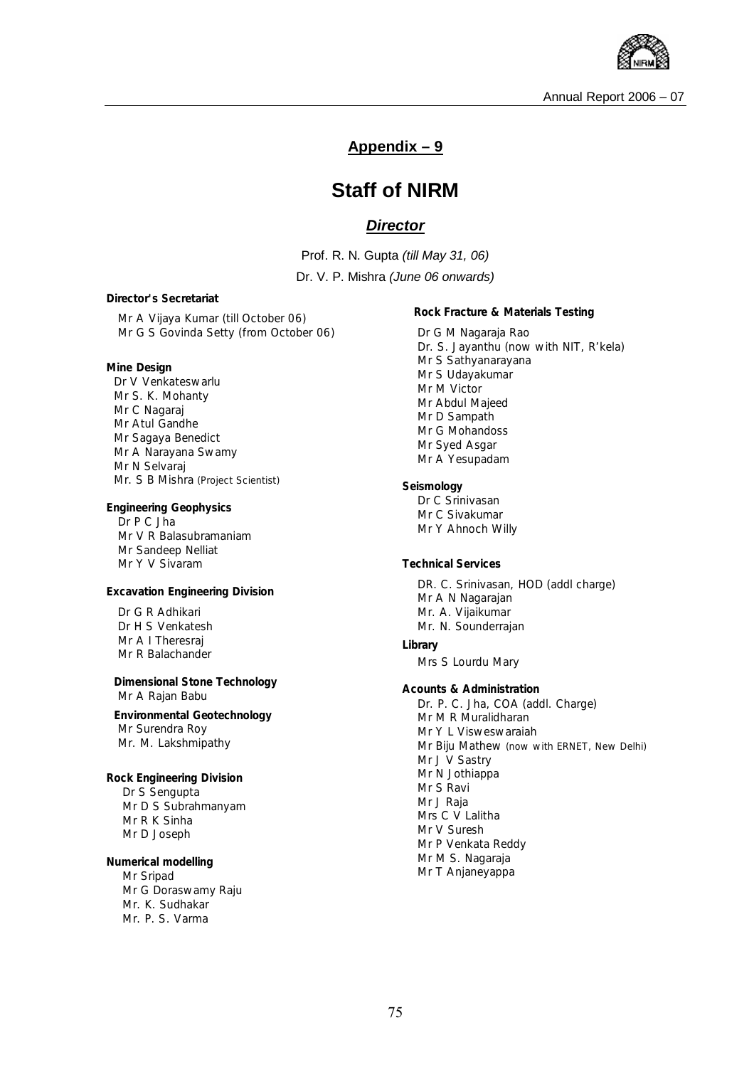

#### **Appendix – 9**

## **Staff of NIRM**

#### *Director*

Prof. R. N. Gupta *(till May 31, 06)*

Dr. V. P. Mishra *(June 06 onwards)*

*Director's Secretariat* 

Mr A Vijaya Kumar *(till October 06)*  Mr G S Govinda Setty *(from October 06)* 

**Mine Design**  Dr V Venkateswarlu Mr S. K. Mohanty Mr C Nagaraj Mr Atul Gandhe Mr Sagaya Benedict Mr A Narayana Swamy Mr N Selvaraj Mr. S B Mishra *(Project Scientist)*

**Engineering Geophysics** Dr P C Jha Mr V R Balasubramaniam Mr Sandeep Nelliat Mr Y V Sivaram

**Excavation Engineering Division** 

Dr G R Adhikari Dr H S Venkatesh Mr A I Theresraj Mr R Balachander

**Dimensional Stone Technology**  Mr A Rajan Babu

**Environmental Geotechnology**  Mr Surendra Roy Mr. M. Lakshmipathy

**Rock Engineering Division**  Dr S Sengupta Mr D S Subrahmanyam Mr R K Sinha Mr D Joseph

**Numerical modelling**  Mr Sripad Mr G Doraswamy Raju Mr. K. Sudhakar Mr. P. S. Varma

**Rock Fracture & Materials Testing**  Dr G M Nagaraja Rao Dr. S. Jayanthu *(now with NIT, R'kela)*  Mr S Sathyanarayana Mr S Udayakumar Mr M Victor Mr Abdul Majeed Mr D Sampath Mr G Mohandoss Mr Syed Asgar Mr A Yesupadam **Seismology**  Dr C Srinivasan Mr C Sivakumar Mr Y Ahnoch Willy **Technical Services**  DR. C. Srinivasan, *HOD (addl charge)* Mr A N Nagarajan Mr. A. Vijaikumar Mr. N. Sounderrajan *Library*  Mrs S Lourdu Mary *Acounts & Administration Dr. P. C. Jha, COA (addl. Charge)* Mr M R Muralidharan Mr Y L Visweswaraiah Mr Biju Mathew *(now with ERNET, New Delhi)* Mr J V Sastry Mr N Jothiappa Mr S Ravi Mr J Raja Mrs C V Lalitha Mr V Suresh Mr P Venkata Reddy Mr M S. Nagaraja Mr T Anjaneyappa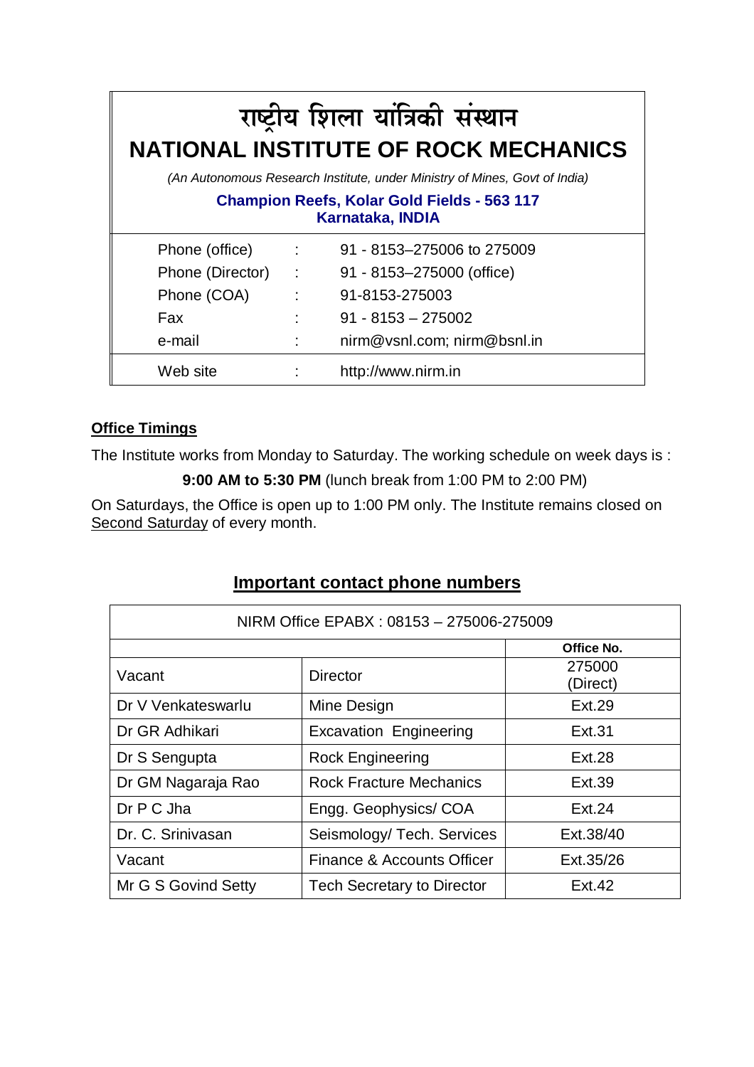| राष्ट्रीय शिला यांत्रिकी संस्थान<br><b>NATIONAL INSTITUTE OF ROCK MECHANICS</b> |                                   |                             |  |  |
|---------------------------------------------------------------------------------|-----------------------------------|-----------------------------|--|--|
| (An Autonomous Research Institute, under Ministry of Mines, Govt of India)      |                                   |                             |  |  |
| <b>Champion Reefs, Kolar Gold Fields - 563 117</b><br>Karnataka, INDIA          |                                   |                             |  |  |
| Phone (office)                                                                  | $\mathcal{L} = \{1, \ldots, n\}$  | 91 - 8153-275006 to 275009  |  |  |
| Phone (Director) :                                                              |                                   | 91 - 8153-275000 (office)   |  |  |
| Phone (COA)                                                                     | $\mathcal{L} = \{1, 2, \ldots \}$ | 91-8153-275003              |  |  |
| Fax                                                                             |                                   | $91 - 8153 - 275002$        |  |  |
| e-mail                                                                          |                                   | nirm@vsnl.com; nirm@bsnl.in |  |  |
| Web site                                                                        |                                   | http://www.nirm.in          |  |  |

## **Office Timings**

The Institute works from Monday to Saturday. The working schedule on week days is :

**9:00 AM to 5:30 PM** (lunch break from 1:00 PM to 2:00 PM)

On Saturdays, the Office is open up to 1:00 PM only. The Institute remains closed on Second Saturday of every month.

## **Important contact phone numbers**

| NIRM Office EPABX: 08153 - 275006-275009 |                                   |                    |  |
|------------------------------------------|-----------------------------------|--------------------|--|
|                                          |                                   | Office No.         |  |
| Vacant                                   | <b>Director</b>                   | 275000<br>(Direct) |  |
| Dr V Venkateswarlu                       | Mine Design                       | <b>Ext.29</b>      |  |
| Dr GR Adhikari                           | <b>Excavation Engineering</b>     | Ext.31             |  |
| Dr S Sengupta                            | <b>Rock Engineering</b>           | Ext.28             |  |
| Dr GM Nagaraja Rao                       | <b>Rock Fracture Mechanics</b>    | Ext.39             |  |
| Dr P C Jha                               | Engg. Geophysics/COA              | Ext.24             |  |
| Dr. C. Srinivasan                        | Seismology/Tech. Services         | Ext.38/40          |  |
| Vacant                                   | Finance & Accounts Officer        | Ext.35/26          |  |
| Mr G S Govind Setty                      | <b>Tech Secretary to Director</b> | Ext.42             |  |